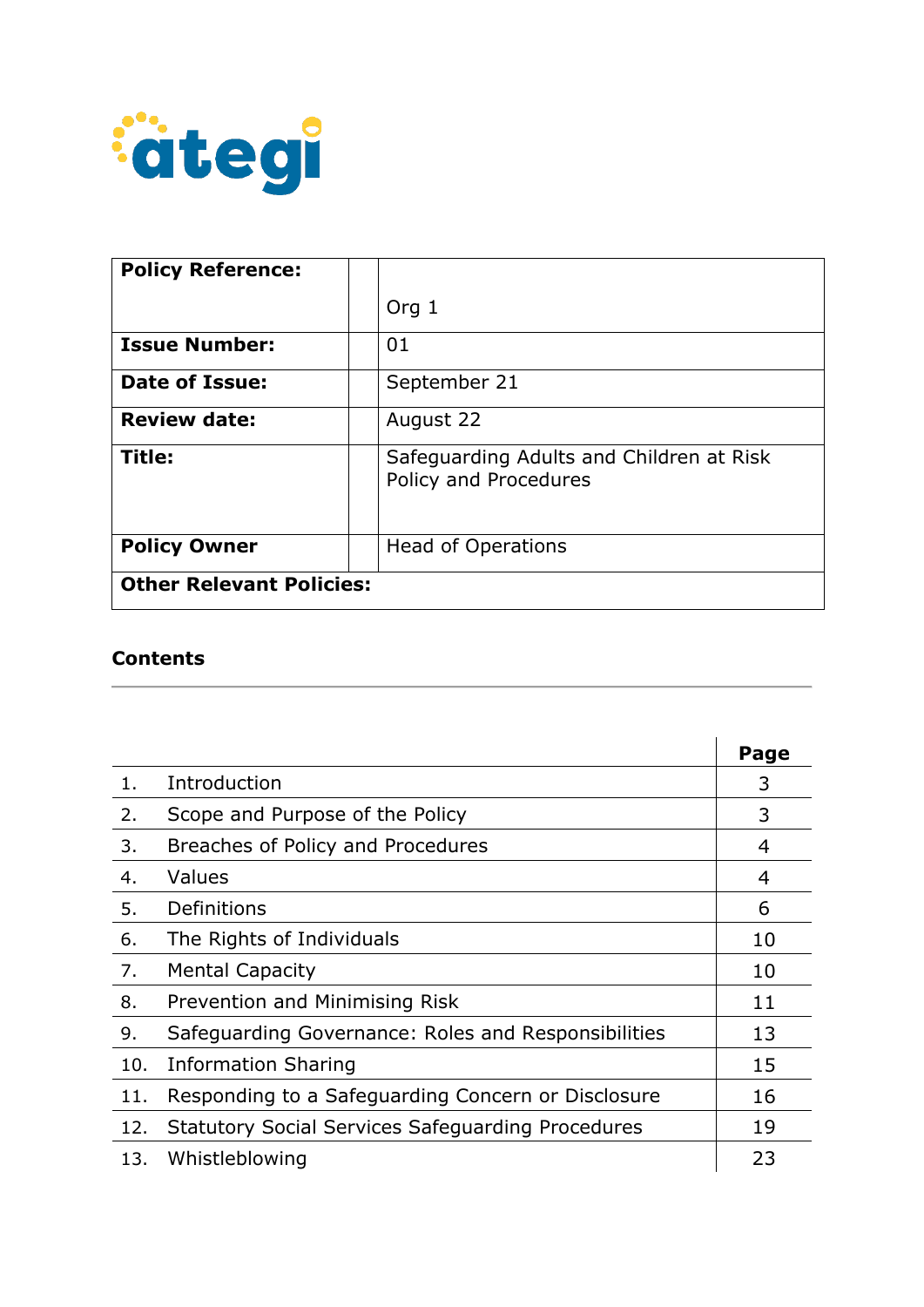

| <b>Policy Reference:</b>        |                                                                   |
|---------------------------------|-------------------------------------------------------------------|
|                                 | Org $1$                                                           |
| <b>Issue Number:</b>            | 01                                                                |
| <b>Date of Issue:</b>           | September 21                                                      |
| <b>Review date:</b>             | August 22                                                         |
| Title:                          | Safeguarding Adults and Children at Risk<br>Policy and Procedures |
| <b>Policy Owner</b>             | <b>Head of Operations</b>                                         |
| <b>Other Relevant Policies:</b> |                                                                   |

### **Contents**

|     |                                                          | Page |
|-----|----------------------------------------------------------|------|
| 1.  | Introduction                                             | 3    |
| 2.  | Scope and Purpose of the Policy                          | 3    |
| 3.  | Breaches of Policy and Procedures                        | 4    |
| 4.  | Values                                                   | 4    |
| 5.  | Definitions                                              | 6    |
| 6.  | The Rights of Individuals                                | 10   |
| 7.  | <b>Mental Capacity</b>                                   | 10   |
| 8.  | Prevention and Minimising Risk                           | 11   |
| 9.  | Safeguarding Governance: Roles and Responsibilities      | 13   |
| 10. | <b>Information Sharing</b>                               | 15   |
| 11. | Responding to a Safeguarding Concern or Disclosure       | 16   |
| 12. | <b>Statutory Social Services Safeguarding Procedures</b> | 19   |
| 13. | Whistleblowing                                           | 23   |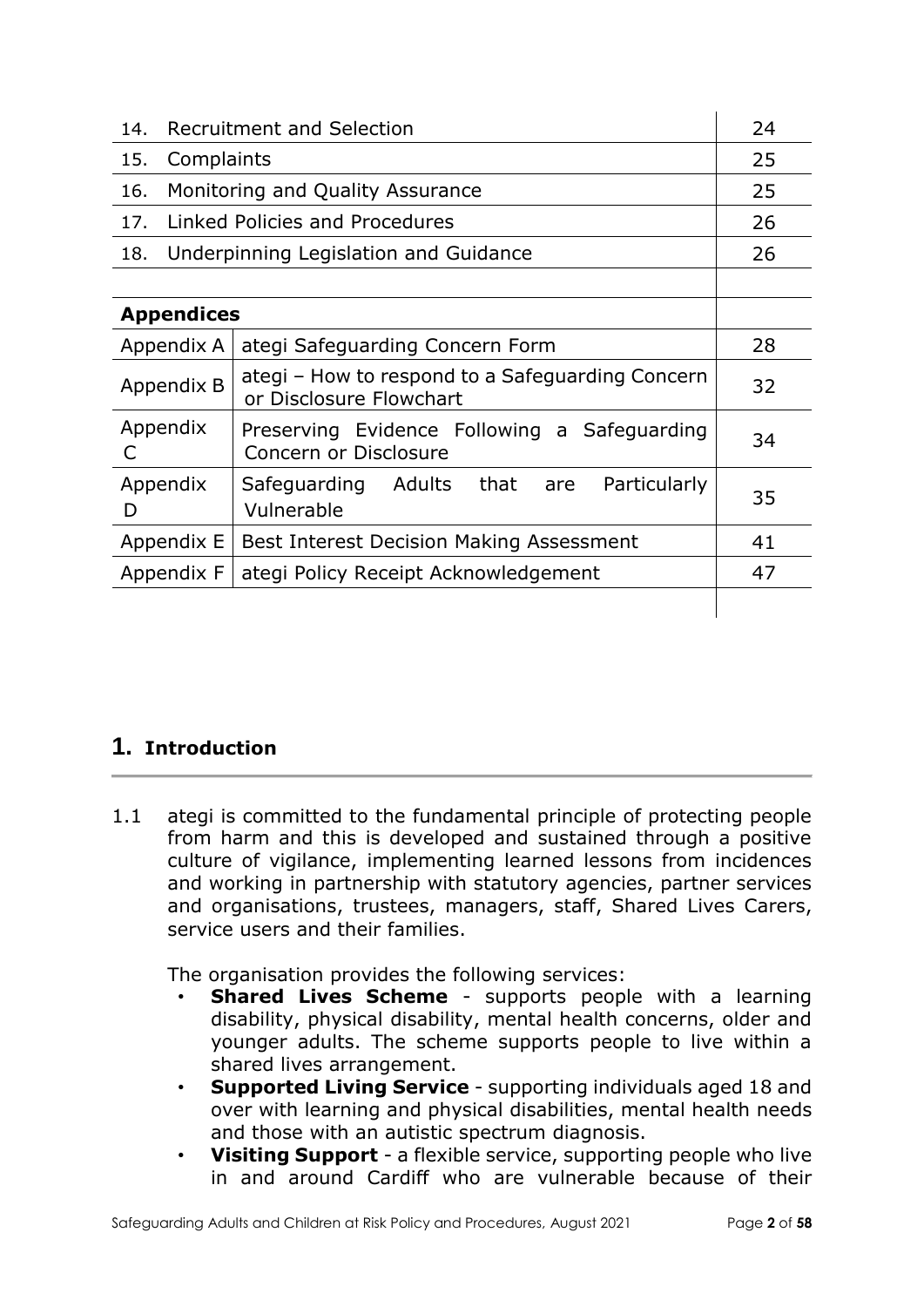| 14.                                                | <b>Recruitment and Selection</b>                                            |    |
|----------------------------------------------------|-----------------------------------------------------------------------------|----|
| 15.                                                | Complaints                                                                  |    |
| 16.                                                | Monitoring and Quality Assurance                                            | 25 |
| 17.                                                | Linked Policies and Procedures                                              | 26 |
| 18.                                                | Underpinning Legislation and Guidance                                       | 26 |
|                                                    |                                                                             |    |
| <b>Appendices</b>                                  |                                                                             |    |
| Appendix A                                         | ategi Safeguarding Concern Form                                             |    |
| Appendix B                                         | ategi - How to respond to a Safeguarding Concern<br>or Disclosure Flowchart |    |
| Appendix<br>C                                      | Preserving Evidence Following a Safeguarding<br>Concern or Disclosure       |    |
| Appendix<br>D                                      | Safeguarding Adults that<br>Particularly<br>are<br>Vulnerable               | 35 |
| Appendix E                                         | Best Interest Decision Making Assessment                                    |    |
| Appendix F<br>ategi Policy Receipt Acknowledgement |                                                                             | 47 |
|                                                    |                                                                             |    |

# **1. Introduction**

1.1 ategi is committed to the fundamental principle of protecting people from harm and this is developed and sustained through a positive culture of vigilance, implementing learned lessons from incidences and working in partnership with statutory agencies, partner services and organisations, trustees, managers, staff, Shared Lives Carers, service users and their families.

The organisation provides the following services:

- **Shared Lives Scheme** supports people with a learning disability, physical disability, mental health concerns, older and younger adults. The scheme supports people to live within a shared lives arrangement.
- **Supported Living Service** supporting individuals aged 18 and over with learning and physical disabilities, mental health needs and those with an autistic spectrum diagnosis.
- **Visiting Support** a flexible service, supporting people who live in and around Cardiff who are vulnerable because of their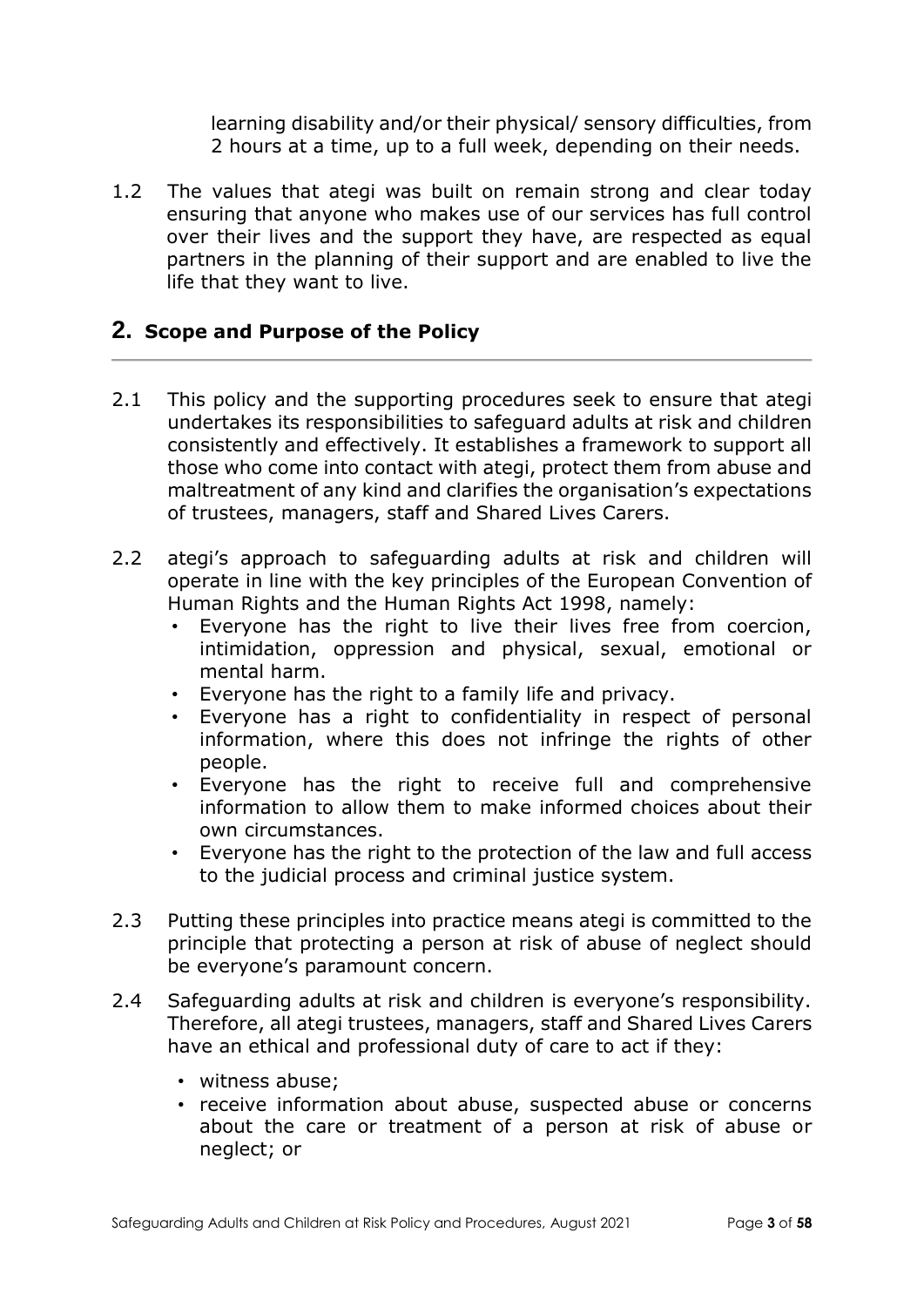learning disability and/or their physical/ sensory difficulties, from 2 hours at a time, up to a full week, depending on their needs.

1.2 The values that ategi was built on remain strong and clear today ensuring that anyone who makes use of our services has full control over their lives and the support they have, are respected as equal partners in the planning of their support and are enabled to live the life that they want to live.

### **2. Scope and Purpose of the Policy**

- 2.1 This policy and the supporting procedures seek to ensure that ategi undertakes its responsibilities to safeguard adults at risk and children consistently and effectively. It establishes a framework to support all those who come into contact with ategi, protect them from abuse and maltreatment of any kind and clarifies the organisation's expectations of trustees, managers, staff and Shared Lives Carers.
- 2.2 ategi's approach to safeguarding adults at risk and children will operate in line with the key principles of the European Convention of Human Rights and the Human Rights Act 1998, namely:
	- Everyone has the right to live their lives free from coercion, intimidation, oppression and physical, sexual, emotional or mental harm.
	- Everyone has the right to a family life and privacy.
	- Everyone has a right to confidentiality in respect of personal information, where this does not infringe the rights of other people.
	- Everyone has the right to receive full and comprehensive information to allow them to make informed choices about their own circumstances.
	- Everyone has the right to the protection of the law and full access to the judicial process and criminal justice system.
- 2.3 Putting these principles into practice means ategi is committed to the principle that protecting a person at risk of abuse of neglect should be everyone's paramount concern.
- 2.4 Safeguarding adults at risk and children is everyone's responsibility. Therefore, all ategi trustees, managers, staff and Shared Lives Carers have an ethical and professional duty of care to act if they:
	- witness abuse;
	- receive information about abuse, suspected abuse or concerns about the care or treatment of a person at risk of abuse or neglect; or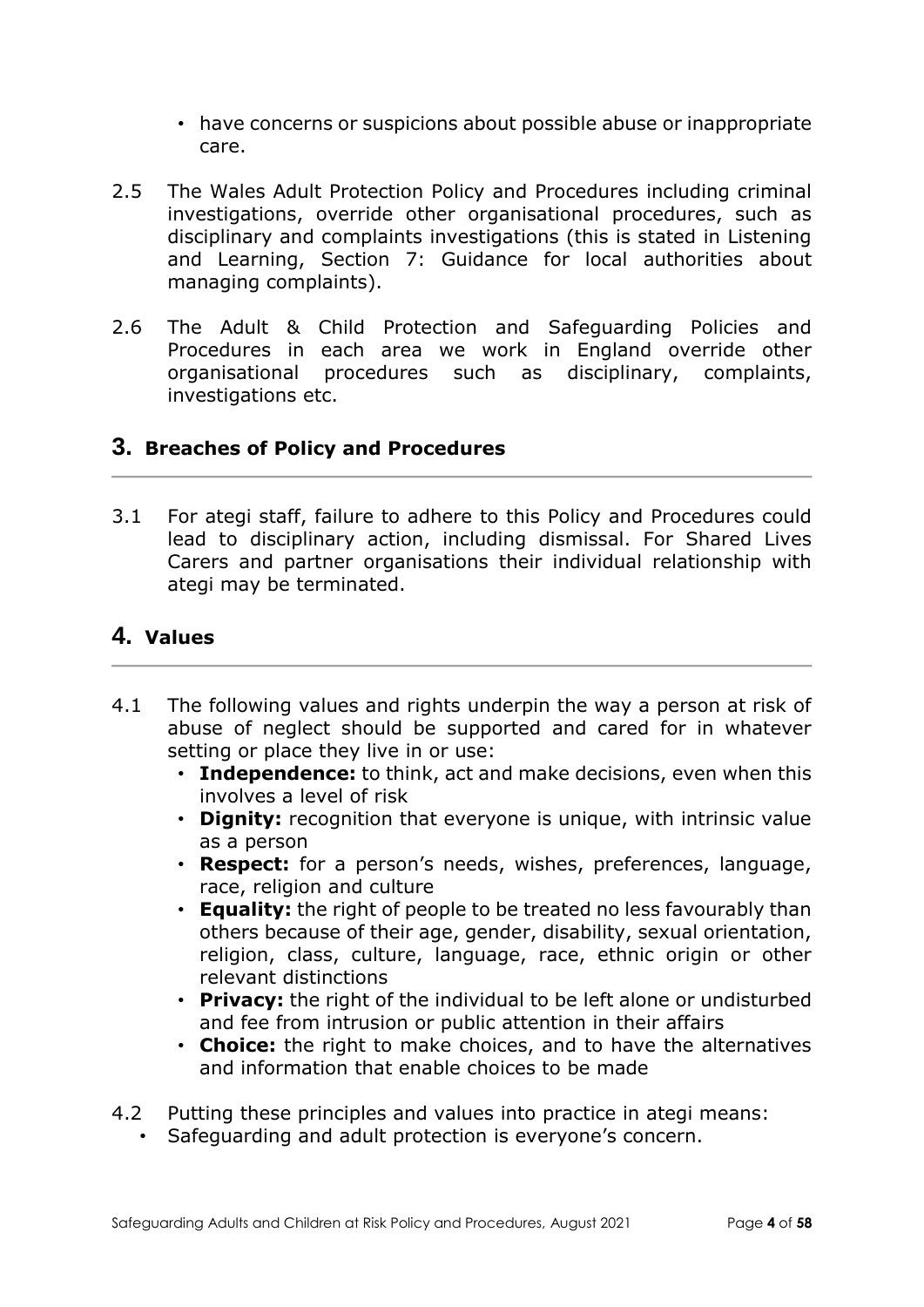- have concerns or suspicions about possible abuse or inappropriate care.
- 2.5 The Wales Adult Protection Policy and Procedures including criminal investigations, override other organisational procedures, such as disciplinary and complaints investigations (this is stated in Listening and Learning, Section 7: Guidance for local authorities about managing complaints).
- 2.6 The Adult & Child Protection and Safeguarding Policies and Procedures in each area we work in England override other organisational procedures such as disciplinary, complaints, investigations etc.

### **3. Breaches of Policy and Procedures**

3.1 For ategi staff, failure to adhere to this Policy and Procedures could lead to disciplinary action, including dismissal. For Shared Lives Carers and partner organisations their individual relationship with ategi may be terminated.

## **4. Values**

- 4.1 The following values and rights underpin the way a person at risk of abuse of neglect should be supported and cared for in whatever setting or place they live in or use:
	- **Independence:** to think, act and make decisions, even when this involves a level of risk
	- **Dignity:** recognition that everyone is unique, with intrinsic value as a person
	- **Respect:** for a person's needs, wishes, preferences, language, race, religion and culture
	- **Equality:** the right of people to be treated no less favourably than others because of their age, gender, disability, sexual orientation, religion, class, culture, language, race, ethnic origin or other relevant distinctions
	- **Privacy:** the right of the individual to be left alone or undisturbed and fee from intrusion or public attention in their affairs
	- **Choice:** the right to make choices, and to have the alternatives and information that enable choices to be made
- 4.2 Putting these principles and values into practice in ategi means:
	- Safeguarding and adult protection is everyone's concern.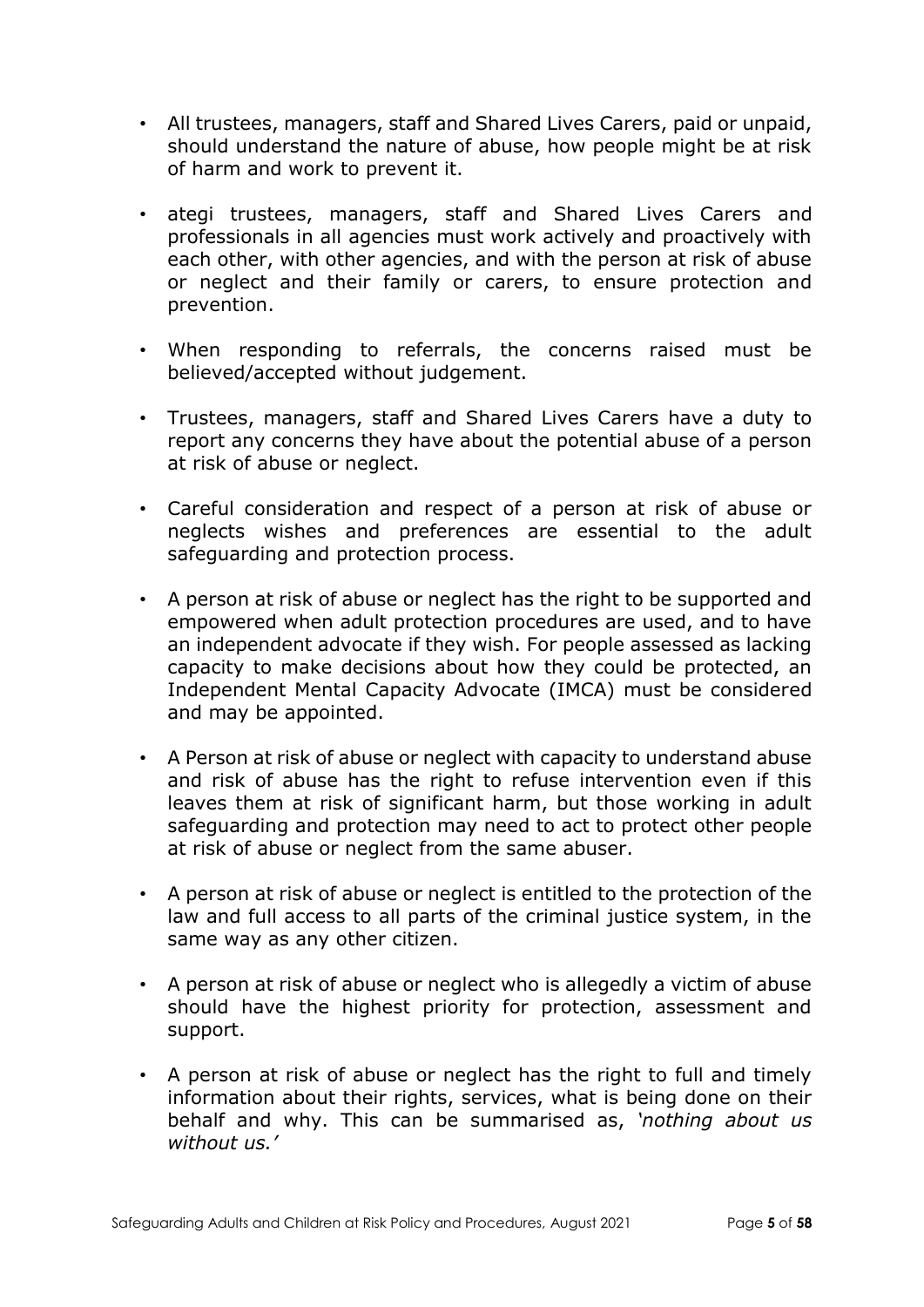- All trustees, managers, staff and Shared Lives Carers, paid or unpaid, should understand the nature of abuse, how people might be at risk of harm and work to prevent it.
- ategi trustees, managers, staff and Shared Lives Carers and professionals in all agencies must work actively and proactively with each other, with other agencies, and with the person at risk of abuse or neglect and their family or carers, to ensure protection and prevention.
- When responding to referrals, the concerns raised must be believed/accepted without judgement.
- Trustees, managers, staff and Shared Lives Carers have a duty to report any concerns they have about the potential abuse of a person at risk of abuse or neglect.
- Careful consideration and respect of a person at risk of abuse or neglects wishes and preferences are essential to the adult safeguarding and protection process.
- A person at risk of abuse or neglect has the right to be supported and empowered when adult protection procedures are used, and to have an independent advocate if they wish. For people assessed as lacking capacity to make decisions about how they could be protected, an Independent Mental Capacity Advocate (IMCA) must be considered and may be appointed.
- A Person at risk of abuse or neglect with capacity to understand abuse and risk of abuse has the right to refuse intervention even if this leaves them at risk of significant harm, but those working in adult safeguarding and protection may need to act to protect other people at risk of abuse or neglect from the same abuser.
- A person at risk of abuse or neglect is entitled to the protection of the law and full access to all parts of the criminal justice system, in the same way as any other citizen.
- A person at risk of abuse or neglect who is allegedly a victim of abuse should have the highest priority for protection, assessment and support.
- A person at risk of abuse or neglect has the right to full and timely information about their rights, services, what is being done on their behalf and why. This can be summarised as, *'nothing about us without us.'*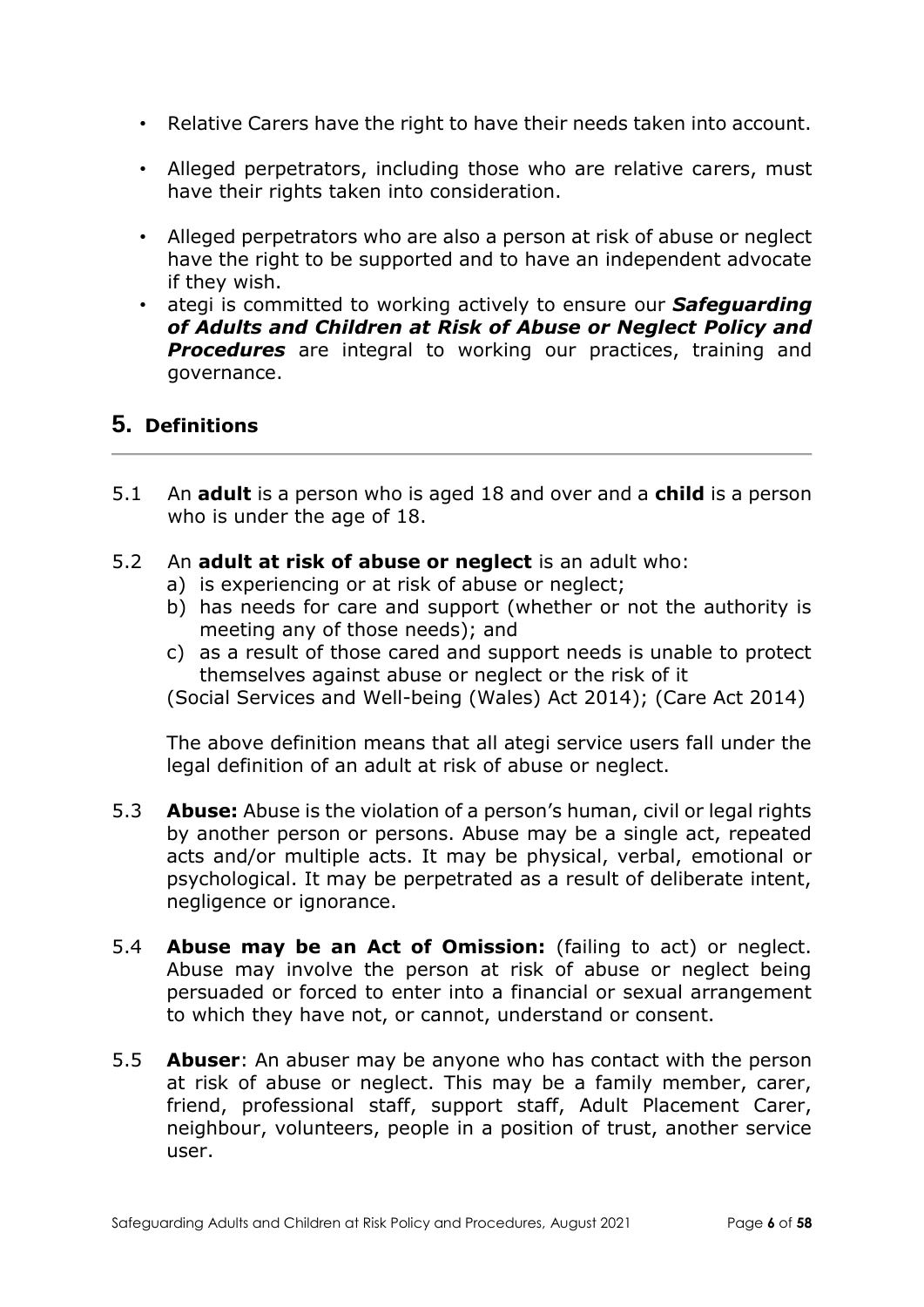- Relative Carers have the right to have their needs taken into account.
- Alleged perpetrators, including those who are relative carers, must have their rights taken into consideration.
- Alleged perpetrators who are also a person at risk of abuse or neglect have the right to be supported and to have an independent advocate if they wish.
- ategi is committed to working actively to ensure our *Safeguarding of Adults and Children at Risk of Abuse or Neglect Policy and*  **Procedures** are integral to working our practices, training and governance.

## **5. Definitions**

- 5.1 An **adult** is a person who is aged 18 and over and a **child** is a person who is under the age of 18.
- 5.2 An **adult at risk of abuse or neglect** is an adult who:
	- a) is experiencing or at risk of abuse or neglect;
	- b) has needs for care and support (whether or not the authority is meeting any of those needs); and
	- c) as a result of those cared and support needs is unable to protect themselves against abuse or neglect or the risk of it

(Social Services and Well-being (Wales) Act 2014); (Care Act 2014)

The above definition means that all ategi service users fall under the legal definition of an adult at risk of abuse or neglect.

- 5.3 **Abuse:** Abuse is the violation of a person's human, civil or legal rights by another person or persons. Abuse may be a single act, repeated acts and/or multiple acts. It may be physical, verbal, emotional or psychological. It may be perpetrated as a result of deliberate intent, negligence or ignorance.
- 5.4 **Abuse may be an Act of Omission:** (failing to act) or neglect. Abuse may involve the person at risk of abuse or neglect being persuaded or forced to enter into a financial or sexual arrangement to which they have not, or cannot, understand or consent.
- 5.5 **Abuser**: An abuser may be anyone who has contact with the person at risk of abuse or neglect. This may be a family member, carer, friend, professional staff, support staff, Adult Placement Carer, neighbour, volunteers, people in a position of trust, another service user.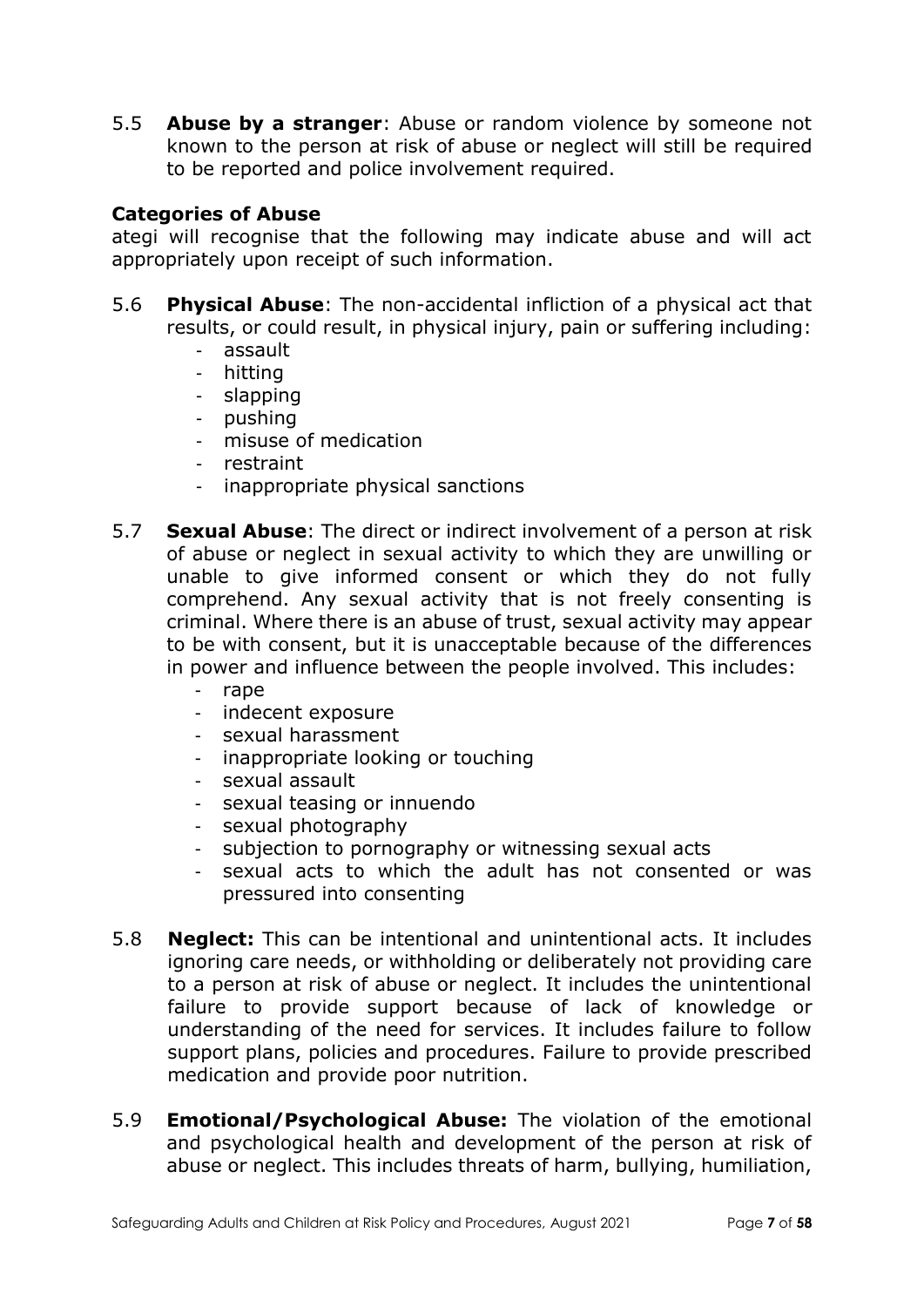5.5 **Abuse by a stranger**: Abuse or random violence by someone not known to the person at risk of abuse or neglect will still be required to be reported and police involvement required.

### **Categories of Abuse**

ategi will recognise that the following may indicate abuse and will act appropriately upon receipt of such information.

- 5.6 **Physical Abuse**: The non-accidental infliction of a physical act that results, or could result, in physical injury, pain or suffering including:
	- assault
	- hitting
	- slapping
	- pushing
	- misuse of medication
	- restraint
	- inappropriate physical sanctions
- 5.7 **Sexual Abuse**: The direct or indirect involvement of a person at risk of abuse or neglect in sexual activity to which they are unwilling or unable to give informed consent or which they do not fully comprehend. Any sexual activity that is not freely consenting is criminal. Where there is an abuse of trust, sexual activity may appear to be with consent, but it is unacceptable because of the differences in power and influence between the people involved. This includes:
	- rape
	- indecent exposure
	- sexual harassment
	- inappropriate looking or touching
	- sexual assault
	- sexual teasing or innuendo
	- sexual photography
	- subjection to pornography or witnessing sexual acts
	- sexual acts to which the adult has not consented or was pressured into consenting
- 5.8 **Neglect:** This can be intentional and unintentional acts. It includes ignoring care needs, or withholding or deliberately not providing care to a person at risk of abuse or neglect. It includes the unintentional failure to provide support because of lack of knowledge or understanding of the need for services. It includes failure to follow support plans, policies and procedures. Failure to provide prescribed medication and provide poor nutrition.
- 5.9 **Emotional/Psychological Abuse:** The violation of the emotional and psychological health and development of the person at risk of abuse or neglect. This includes threats of harm, bullying, humiliation,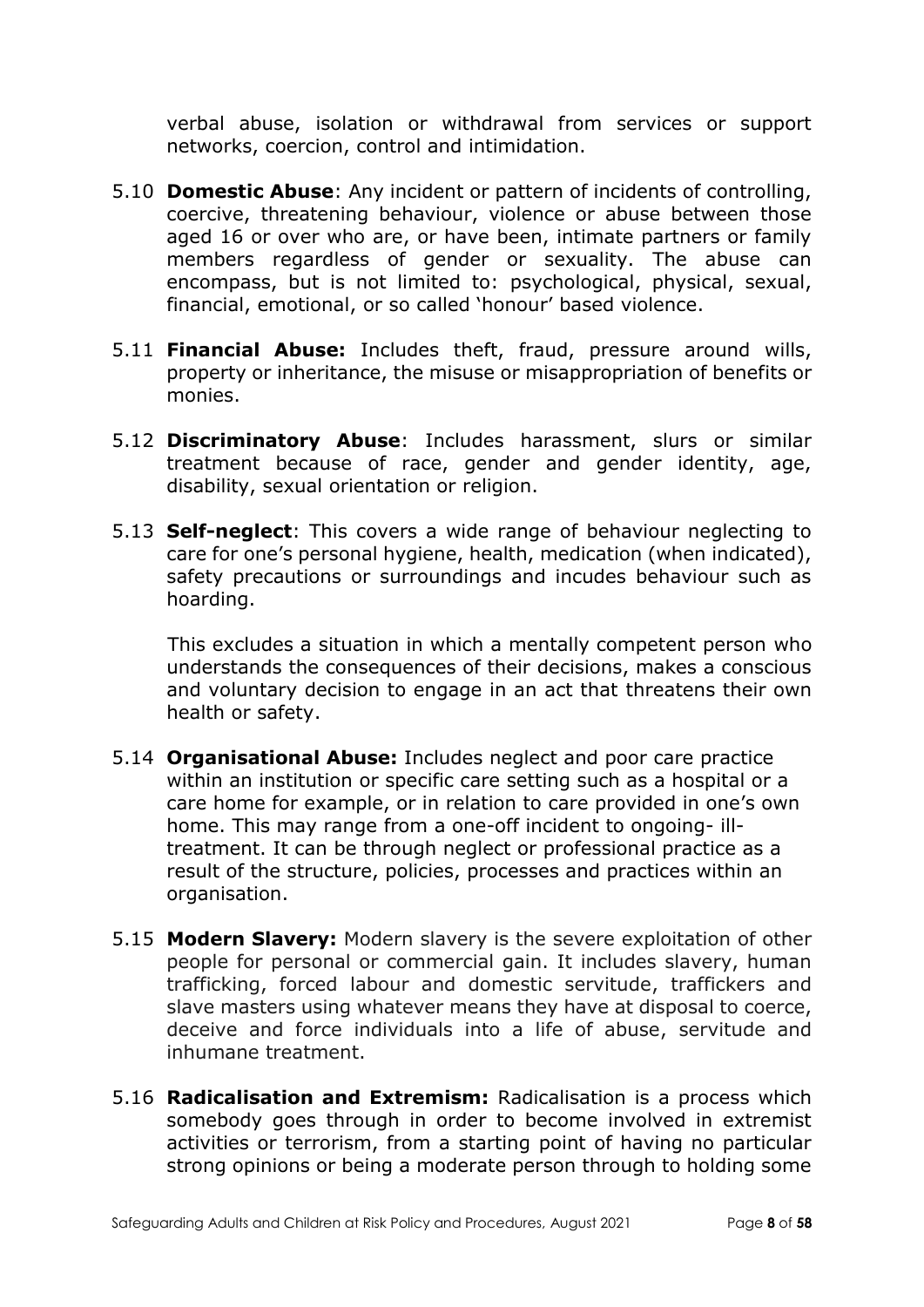verbal abuse, isolation or withdrawal from services or support networks, coercion, control and intimidation.

- 5.10 **Domestic Abuse**: Any incident or pattern of incidents of controlling, coercive, threatening behaviour, violence or abuse between those aged 16 or over who are, or have been, intimate partners or family members regardless of gender or sexuality. The abuse can encompass, but is not limited to: psychological, physical, sexual, financial, emotional, or so called 'honour' based violence.
- 5.11 **Financial Abuse:** Includes theft, fraud, pressure around wills, property or inheritance, the misuse or misappropriation of benefits or monies.
- 5.12 **Discriminatory Abuse**: Includes harassment, slurs or similar treatment because of race, gender and gender identity, age, disability, sexual orientation or religion.
- 5.13 **Self-neglect**: This covers a wide range of behaviour neglecting to care for one's personal hygiene, health, medication (when indicated), safety precautions or surroundings and incudes behaviour such as hoarding.

This excludes a situation in which a mentally competent person who understands the consequences of their decisions, makes a conscious and voluntary decision to engage in an act that threatens their own health or safety.

- 5.14 **Organisational Abuse:** Includes neglect and poor care practice within an institution or specific care setting such as a hospital or a care home for example, or in relation to care provided in one's own home. This may range from a one-off incident to ongoing- illtreatment. It can be through neglect or professional practice as a result of the structure, policies, processes and practices within an organisation.
- 5.15 **Modern Slavery:** Modern slavery is the severe exploitation of other people for personal or commercial gain. It includes slavery, human trafficking, forced labour and domestic servitude, traffickers and slave masters using whatever means they have at disposal to coerce, deceive and force individuals into a life of abuse, servitude and inhumane treatment.
- 5.16 **Radicalisation and Extremism:** Radicalisation is a process which somebody goes through in order to become involved in extremist activities or terrorism, from a starting point of having no particular strong opinions or being a moderate person through to holding some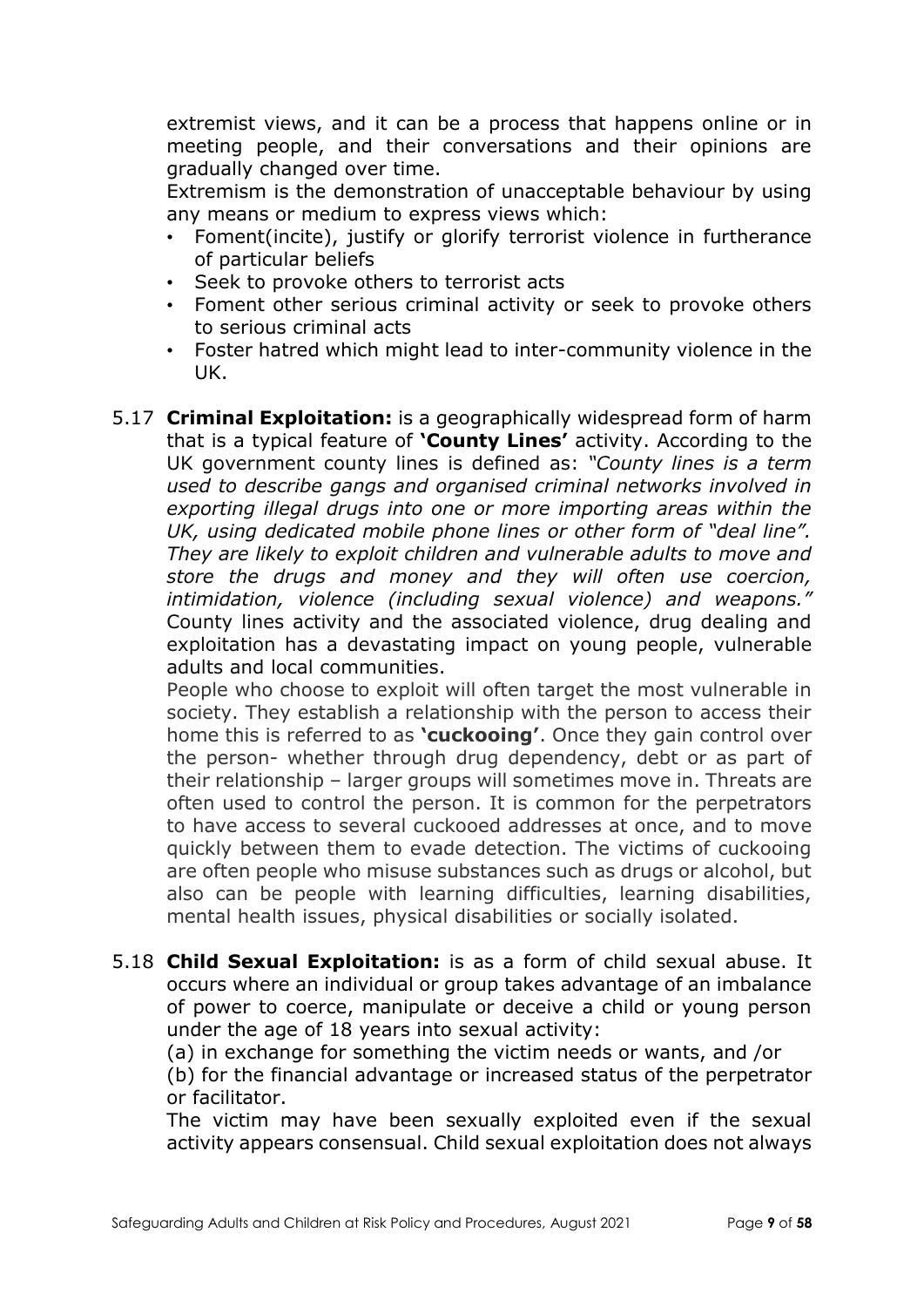extremist views, and it can be a process that happens online or in meeting people, and their conversations and their opinions are gradually changed over time.

Extremism is the demonstration of unacceptable behaviour by using any means or medium to express views which:

- Foment(incite), justify or glorify terrorist violence in furtherance of particular beliefs
- Seek to provoke others to terrorist acts
- Foment other serious criminal activity or seek to provoke others to serious criminal acts
- Foster hatred which might lead to inter-community violence in the UK.
- 5.17 **Criminal Exploitation:** is a geographically widespread form of harm that is a typical feature of **'County Lines'** activity. According to the UK government county lines is defined as: *"County lines is a term used to describe gangs and organised criminal networks involved in exporting illegal drugs into one or more importing areas within the UK, using dedicated mobile phone lines or other form of "deal line". They are likely to exploit children and vulnerable adults to move and store the drugs and money and they will often use coercion, intimidation, violence (including sexual violence) and weapons."* County lines activity and the associated violence, drug dealing and exploitation has a devastating impact on young people, vulnerable adults and local communities.

People who choose to exploit will often target the most vulnerable in society. They establish a relationship with the person to access their home this is referred to as **'cuckooing'**. Once they gain control over the person- whether through drug dependency, debt or as part of their relationship – larger groups will sometimes move in. Threats are often used to control the person. It is common for the perpetrators to have access to several cuckooed addresses at once, and to move quickly between them to evade detection. The victims of cuckooing are often people who misuse substances such as drugs or alcohol, but also can be people with learning difficulties, learning disabilities, mental health issues, physical disabilities or socially isolated.

5.18 **Child Sexual Exploitation:** is as a form of child sexual abuse. It occurs where an individual or group takes advantage of an imbalance of power to coerce, manipulate or deceive a child or young person under the age of 18 years into sexual activity:

(a) in exchange for something the victim needs or wants, and /or (b) for the financial advantage or increased status of the perpetrator or facilitator.

The victim may have been sexually exploited even if the sexual activity appears consensual. Child sexual exploitation does not always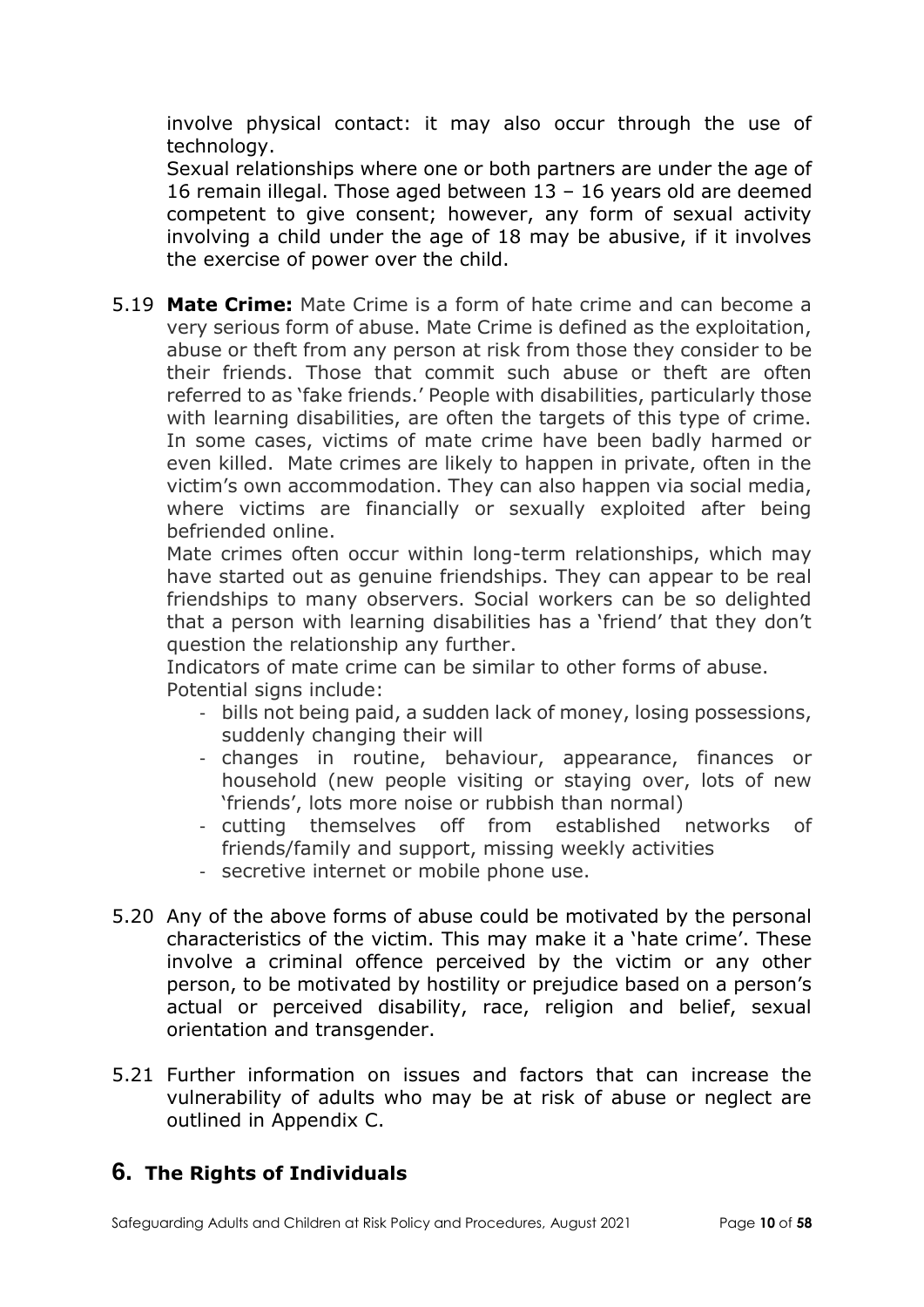involve physical contact: it may also occur through the use of technology.

Sexual relationships where one or both partners are under the age of 16 remain illegal. Those aged between 13 – 16 years old are deemed competent to give consent; however, any form of sexual activity involving a child under the age of 18 may be abusive, if it involves the exercise of power over the child.

5.19 **Mate Crime:** Mate Crime is a form of hate crime and can become a very serious form of abuse. Mate Crime is defined as the exploitation, abuse or theft from any person at risk from those they consider to be their friends. Those that commit such abuse or theft are often referred to as 'fake friends.' People with disabilities, particularly those with learning disabilities, are often the targets of this type of crime. In some cases, victims of mate crime have been badly harmed or even killed. Mate crimes are likely to happen in private, often in the victim's own accommodation. They can also happen via social media, where victims are financially or sexually exploited after being befriended online.

Mate crimes often occur within long-term relationships, which may have started out as genuine friendships. They can appear to be real friendships to many observers. Social workers can be so delighted that a person with learning disabilities has a 'friend' that they don't question the relationship any further.

Indicators of mate crime can be similar to other forms of abuse. Potential signs include:

- bills not being paid, a sudden lack of money, losing possessions, suddenly changing their will
- changes in routine, behaviour, appearance, finances or household (new people visiting or staying over, lots of new 'friends', lots more noise or rubbish than normal)
- cutting themselves off from established networks of friends/family and support, missing weekly activities
- secretive internet or mobile phone use.
- 5.20 Any of the above forms of abuse could be motivated by the personal characteristics of the victim. This may make it a 'hate crime'. These involve a criminal offence perceived by the victim or any other person, to be motivated by hostility or prejudice based on a person's actual or perceived disability, race, religion and belief, sexual orientation and transgender.
- 5.21 Further information on issues and factors that can increase the vulnerability of adults who may be at risk of abuse or neglect are outlined in Appendix C.

## **6. The Rights of Individuals**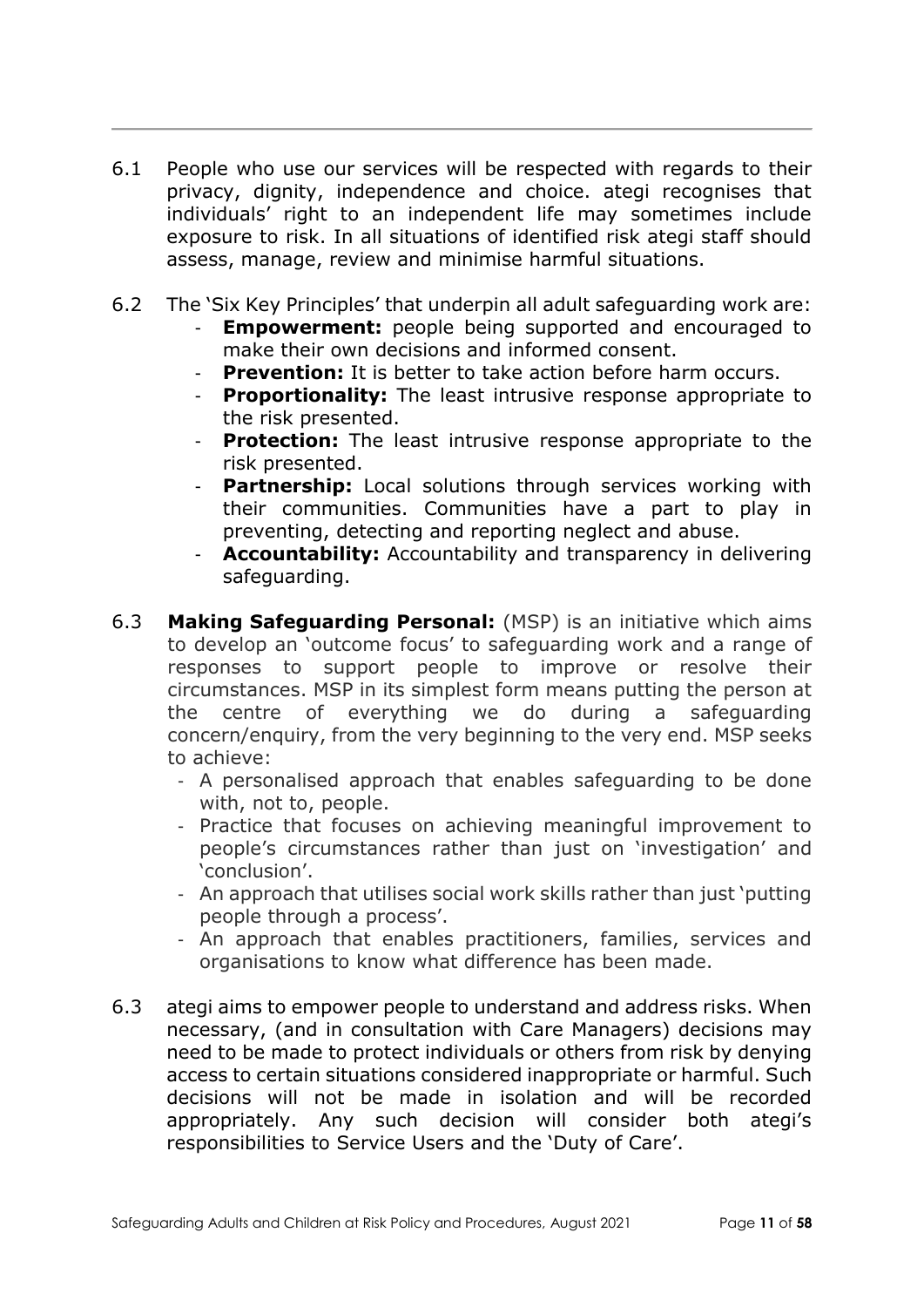- 6.1 People who use our services will be respected with regards to their privacy, dignity, independence and choice. ategi recognises that individuals' right to an independent life may sometimes include exposure to risk. In all situations of identified risk ategi staff should assess, manage, review and minimise harmful situations.
- 6.2 The 'Six Key Principles' that underpin all adult safeguarding work are: **Empowerment:** people being supported and encouraged to
	- make their own decisions and informed consent.
	- **Prevention:** It is better to take action before harm occurs.
	- **Proportionality:** The least intrusive response appropriate to the risk presented.
	- **Protection:** The least intrusive response appropriate to the risk presented.
	- **Partnership:** Local solutions through services working with their communities. Communities have a part to play in preventing, detecting and reporting neglect and abuse.
	- Accountability: Accountability and transparency in delivering safeguarding.
- 6.3 **Making Safeguarding Personal:** (MSP) is an initiative which aims to develop an 'outcome focus' to safeguarding work and a range of responses to support people to improve or resolve their circumstances. MSP in its simplest form means putting the person at the centre of everything we do during a safeguarding concern/enquiry, from the very beginning to the very end. MSP seeks to achieve:
	- A personalised approach that enables safeguarding to be done with, not to, people.
	- Practice that focuses on achieving meaningful improvement to people's circumstances rather than just on 'investigation' and 'conclusion'.
	- An approach that utilises social work skills rather than just 'putting people through a process'.
	- An approach that enables practitioners, families, services and organisations to know what difference has been made.
- 6.3 ategi aims to empower people to understand and address risks. When necessary, (and in consultation with Care Managers) decisions may need to be made to protect individuals or others from risk by denying access to certain situations considered inappropriate or harmful. Such decisions will not be made in isolation and will be recorded appropriately. Any such decision will consider both ategi's responsibilities to Service Users and the 'Duty of Care'.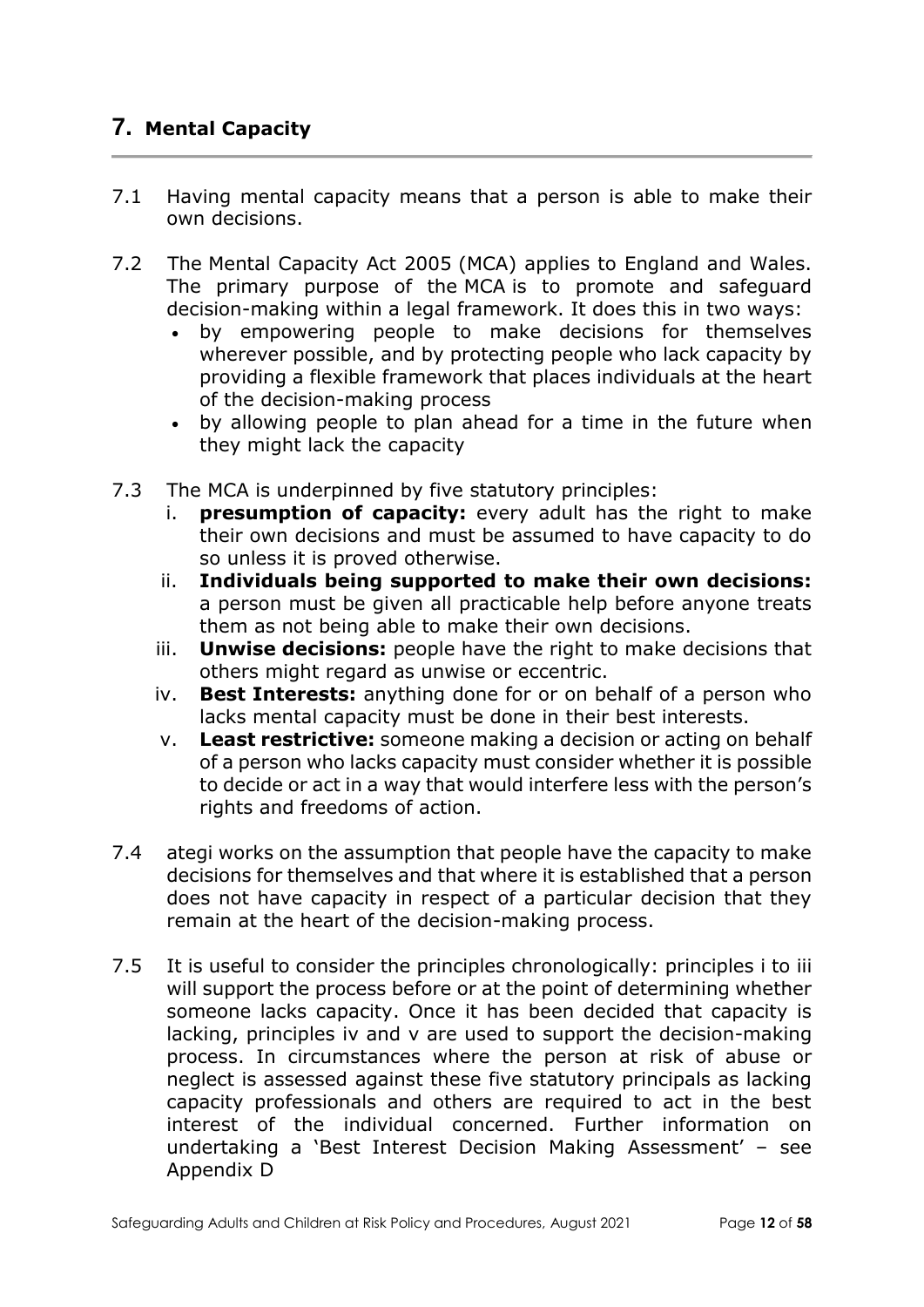# **7. Mental Capacity**

- 7.1 Having mental capacity means that a person is able to make their own decisions.
- 7.2 The Mental Capacity Act 2005 (MCA) applies to England and Wales. The primary purpose of the MCA is to promote and safeguard decision-making within a legal framework. It does this in two ways:
	- by empowering people to make decisions for themselves wherever possible, and by protecting people who lack capacity by providing a flexible framework that places individuals at the heart of the decision-making process
	- by allowing people to plan ahead for a time in the future when they might lack the capacity
- 7.3 The MCA is underpinned by five statutory principles:
	- i. **presumption of capacity:** every adult has the right to make their own decisions and must be assumed to have capacity to do so unless it is proved otherwise.
	- ii. **Individuals being supported to make their own decisions:** a person must be given all practicable help before anyone treats them as not being able to make their own decisions.
	- iii. **Unwise decisions:** people have the right to make decisions that others might regard as unwise or eccentric.
	- iv. **Best Interests:** anything done for or on behalf of a person who lacks mental capacity must be done in their best interests.
	- v. **Least restrictive:** someone making a decision or acting on behalf of a person who lacks capacity must consider whether it is possible to decide or act in a way that would interfere less with the person's rights and freedoms of action.
- 7.4 ategi works on the assumption that people have the capacity to make decisions for themselves and that where it is established that a person does not have capacity in respect of a particular decision that they remain at the heart of the decision-making process.
- 7.5 It is useful to consider the principles chronologically: principles i to iii will support the process before or at the point of determining whether someone lacks capacity. Once it has been decided that capacity is lacking, principles iv and v are used to support the decision-making process. In circumstances where the person at risk of abuse or neglect is assessed against these five statutory principals as lacking capacity professionals and others are required to act in the best interest of the individual concerned. Further information on undertaking a 'Best Interest Decision Making Assessment' – see Appendix D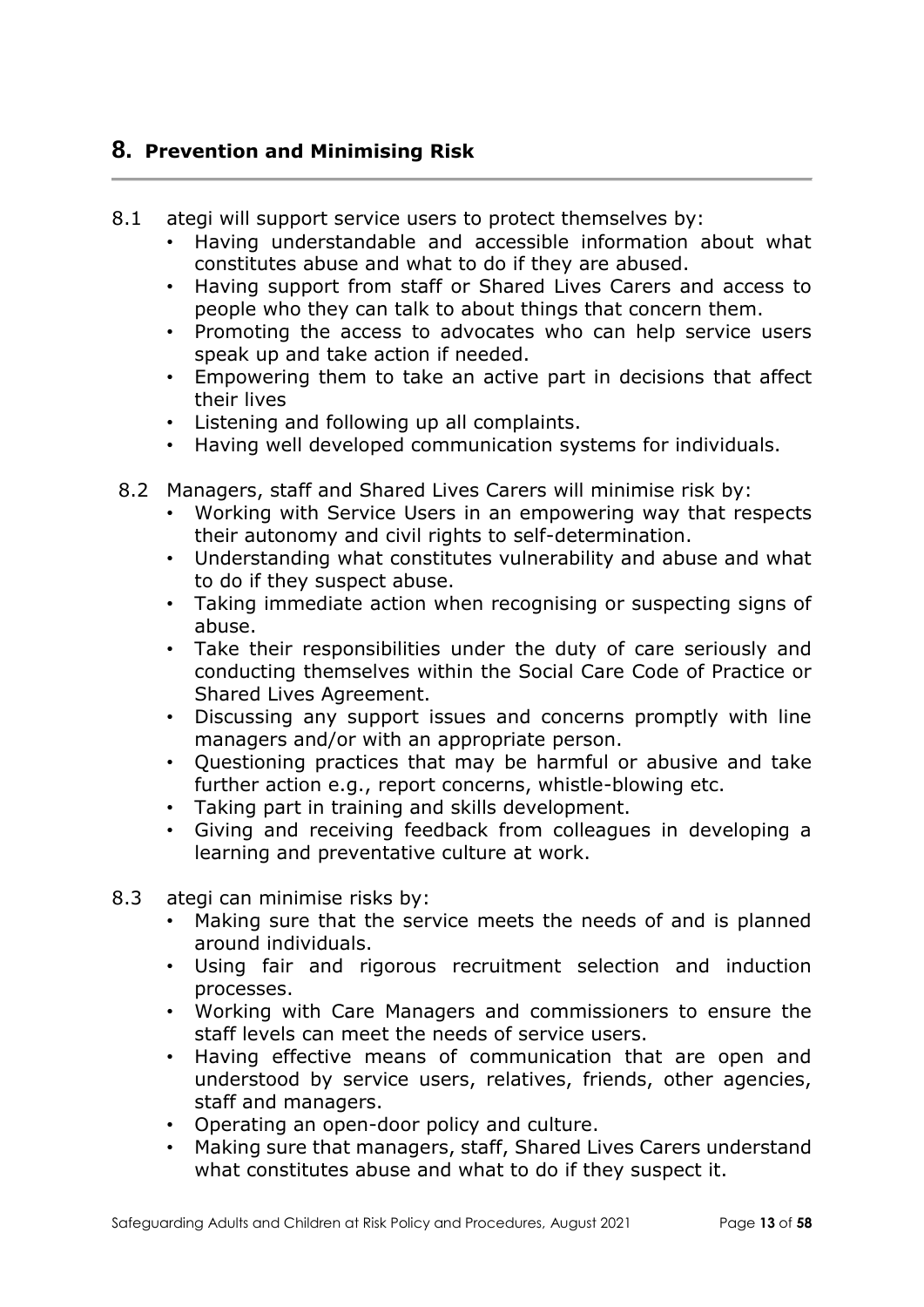### **8. Prevention and Minimising Risk**

- 8.1 ategi will support service users to protect themselves by:
	- Having understandable and accessible information about what constitutes abuse and what to do if they are abused.
	- Having support from staff or Shared Lives Carers and access to people who they can talk to about things that concern them.
	- Promoting the access to advocates who can help service users speak up and take action if needed.
	- Empowering them to take an active part in decisions that affect their lives
	- Listening and following up all complaints.
	- Having well developed communication systems for individuals.
- 8.2 Managers, staff and Shared Lives Carers will minimise risk by:
	- Working with Service Users in an empowering way that respects their autonomy and civil rights to self-determination.
	- Understanding what constitutes vulnerability and abuse and what to do if they suspect abuse.
	- Taking immediate action when recognising or suspecting signs of abuse.
	- Take their responsibilities under the duty of care seriously and conducting themselves within the Social Care Code of Practice or Shared Lives Agreement.
	- Discussing any support issues and concerns promptly with line managers and/or with an appropriate person.
	- Questioning practices that may be harmful or abusive and take further action e.g., report concerns, whistle-blowing etc.
	- Taking part in training and skills development.
	- Giving and receiving feedback from colleagues in developing a learning and preventative culture at work.
- 8.3 ategi can minimise risks by:
	- Making sure that the service meets the needs of and is planned around individuals.
	- Using fair and rigorous recruitment selection and induction processes.
	- Working with Care Managers and commissioners to ensure the staff levels can meet the needs of service users.
	- Having effective means of communication that are open and understood by service users, relatives, friends, other agencies, staff and managers.
	- Operating an open-door policy and culture.
	- Making sure that managers, staff, Shared Lives Carers understand what constitutes abuse and what to do if they suspect it.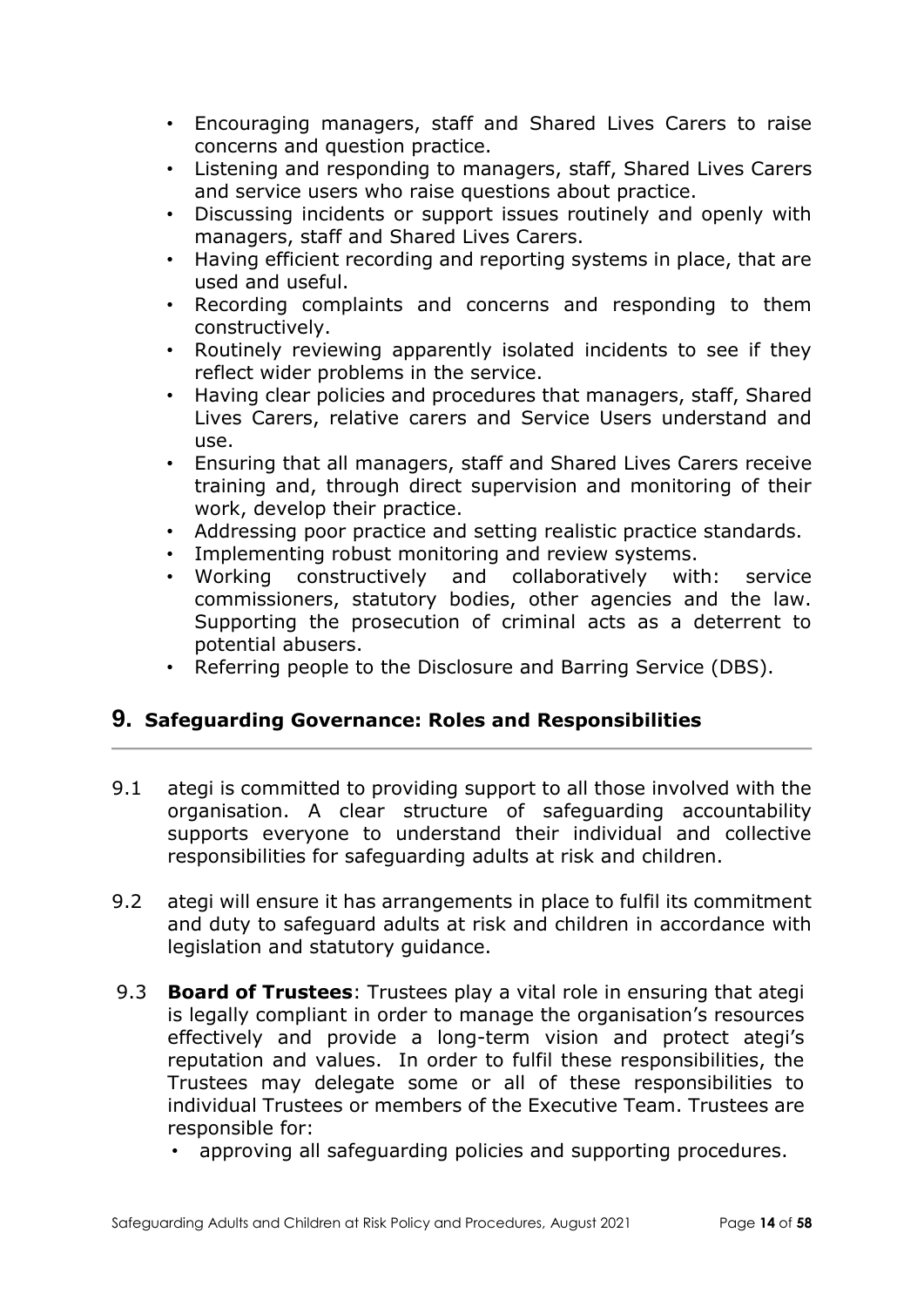- Encouraging managers, staff and Shared Lives Carers to raise concerns and question practice.
- Listening and responding to managers, staff, Shared Lives Carers and service users who raise questions about practice.
- Discussing incidents or support issues routinely and openly with managers, staff and Shared Lives Carers.
- Having efficient recording and reporting systems in place, that are used and useful.
- Recording complaints and concerns and responding to them constructively.
- Routinely reviewing apparently isolated incidents to see if they reflect wider problems in the service.
- Having clear policies and procedures that managers, staff, Shared Lives Carers, relative carers and Service Users understand and use.
- Ensuring that all managers, staff and Shared Lives Carers receive training and, through direct supervision and monitoring of their work, develop their practice.
- Addressing poor practice and setting realistic practice standards.
- Implementing robust monitoring and review systems.
- Working constructively and collaboratively with: service commissioners, statutory bodies, other agencies and the law. Supporting the prosecution of criminal acts as a deterrent to potential abusers.
- Referring people to the Disclosure and Barring Service (DBS).

## **9. Safeguarding Governance: Roles and Responsibilities**

- 9.1 ategi is committed to providing support to all those involved with the organisation. A clear structure of safeguarding accountability supports everyone to understand their individual and collective responsibilities for safeguarding adults at risk and children.
- 9.2 ategi will ensure it has arrangements in place to fulfil its commitment and duty to safeguard adults at risk and children in accordance with legislation and statutory guidance.
- 9.3 **Board of Trustees**: Trustees play a vital role in ensuring that ategi is legally compliant in order to manage the organisation's resources effectively and provide a long-term vision and protect ategi's reputation and values. In order to fulfil these responsibilities, the Trustees may delegate some or all of these responsibilities to individual Trustees or members of the Executive Team. Trustees are responsible for:
	- approving all safeguarding policies and supporting procedures.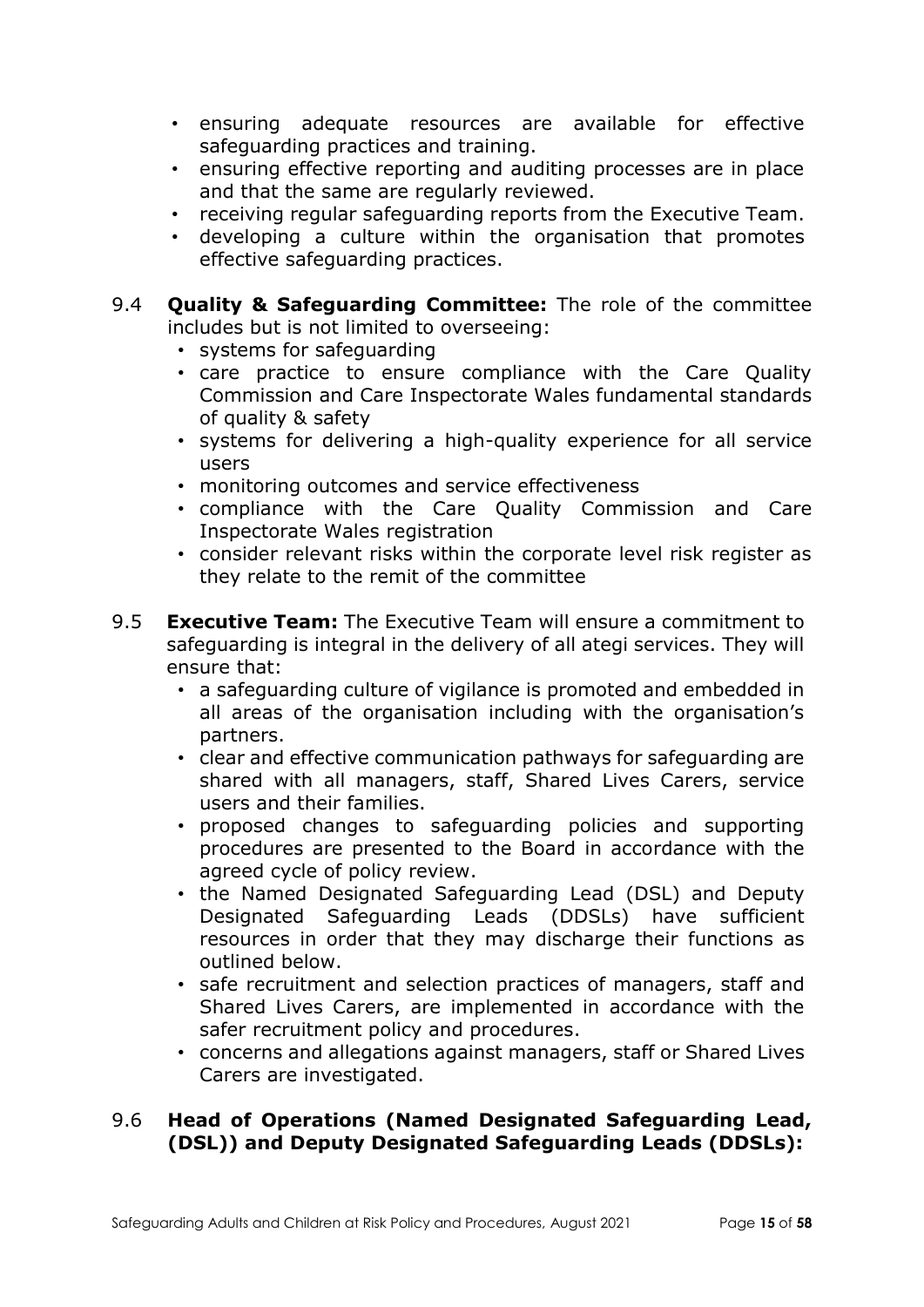- ensuring adequate resources are available for effective safeguarding practices and training.
- ensuring effective reporting and auditing processes are in place and that the same are regularly reviewed.
- receiving regular safeguarding reports from the Executive Team.
- developing a culture within the organisation that promotes effective safeguarding practices.
- 9.4 **Quality & Safeguarding Committee:** The role of the committee includes but is not limited to overseeing:
	- systems for safeguarding
	- care practice to ensure compliance with the Care Quality Commission and Care Inspectorate Wales fundamental standards of quality & safety
	- systems for delivering a high-quality experience for all service users
	- monitoring outcomes and service effectiveness
	- compliance with the Care Quality Commission and Care Inspectorate Wales registration
	- consider relevant risks within the corporate level risk register as they relate to the remit of the committee
- 9.5 **Executive Team:** The Executive Team will ensure a commitment to safeguarding is integral in the delivery of all ategi services. They will ensure that:
	- a safeguarding culture of vigilance is promoted and embedded in all areas of the organisation including with the organisation's partners.
	- clear and effective communication pathways for safeguarding are shared with all managers, staff, Shared Lives Carers, service users and their families.
	- proposed changes to safeguarding policies and supporting procedures are presented to the Board in accordance with the agreed cycle of policy review.
	- the Named Designated Safeguarding Lead (DSL) and Deputy Designated Safeguarding Leads (DDSLs) have sufficient resources in order that they may discharge their functions as outlined below.
	- safe recruitment and selection practices of managers, staff and Shared Lives Carers, are implemented in accordance with the safer recruitment policy and procedures.
	- concerns and allegations against managers, staff or Shared Lives Carers are investigated.

### 9.6 **Head of Operations (Named Designated Safeguarding Lead, (DSL)) and Deputy Designated Safeguarding Leads (DDSLs):**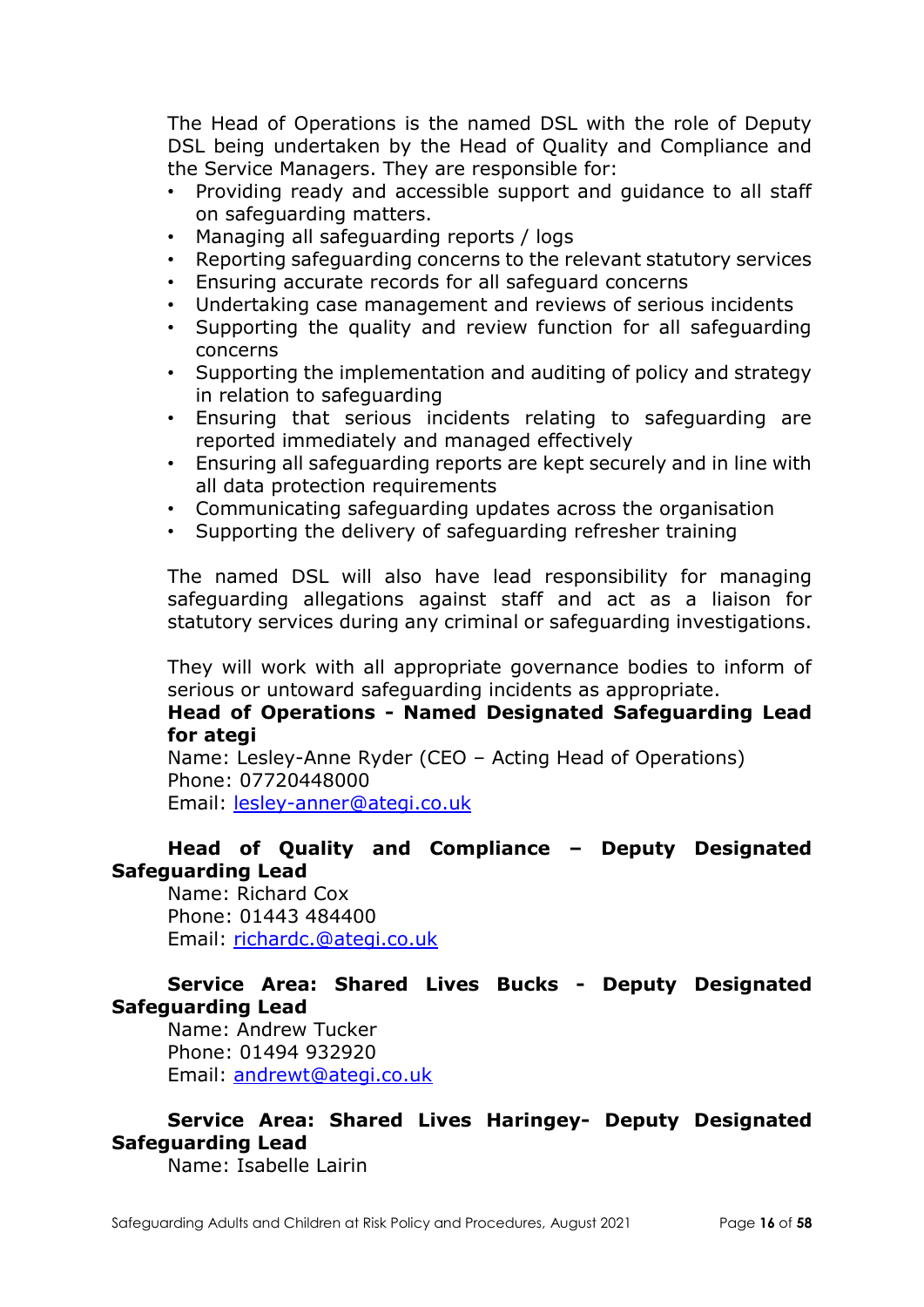The Head of Operations is the named DSL with the role of Deputy DSL being undertaken by the Head of Quality and Compliance and the Service Managers. They are responsible for:

- Providing ready and accessible support and guidance to all staff on safeguarding matters.
- Managing all safeguarding reports / logs
- Reporting safeguarding concerns to the relevant statutory services
- Ensuring accurate records for all safeguard concerns
- Undertaking case management and reviews of serious incidents
- Supporting the quality and review function for all safeguarding concerns
- Supporting the implementation and auditing of policy and strategy in relation to safeguarding
- Ensuring that serious incidents relating to safeguarding are reported immediately and managed effectively
- Ensuring all safeguarding reports are kept securely and in line with all data protection requirements
- Communicating safeguarding updates across the organisation
- Supporting the delivery of safeguarding refresher training

The named DSL will also have lead responsibility for managing safeguarding allegations against staff and act as a liaison for statutory services during any criminal or safeguarding investigations.

They will work with all appropriate governance bodies to inform of serious or untoward safeguarding incidents as appropriate.

#### **Head of Operations - Named Designated Safeguarding Lead for ategi**

Name: Lesley-Anne Ryder (CEO – Acting Head of Operations) Phone: 07720448000 Email: [lesley-anner@ategi.co.uk](mailto:lesley-anner@ategi.co.uk)

### **Head of Quality and Compliance – Deputy Designated Safeguarding Lead**

Name: Richard Cox Phone: 01443 484400 Email: [richardc.@ategi.co.uk](mailto:richardc.@ategi.co.uk)

## **Service Area: Shared Lives Bucks - Deputy Designated Safeguarding Lead**

Name: Andrew Tucker Phone: 01494 932920 Email: [andrewt@ategi.co.uk](mailto:andrewt@ategi.co.uk)

### **Service Area: Shared Lives Haringey- Deputy Designated Safeguarding Lead**

Name: Isabelle Lairin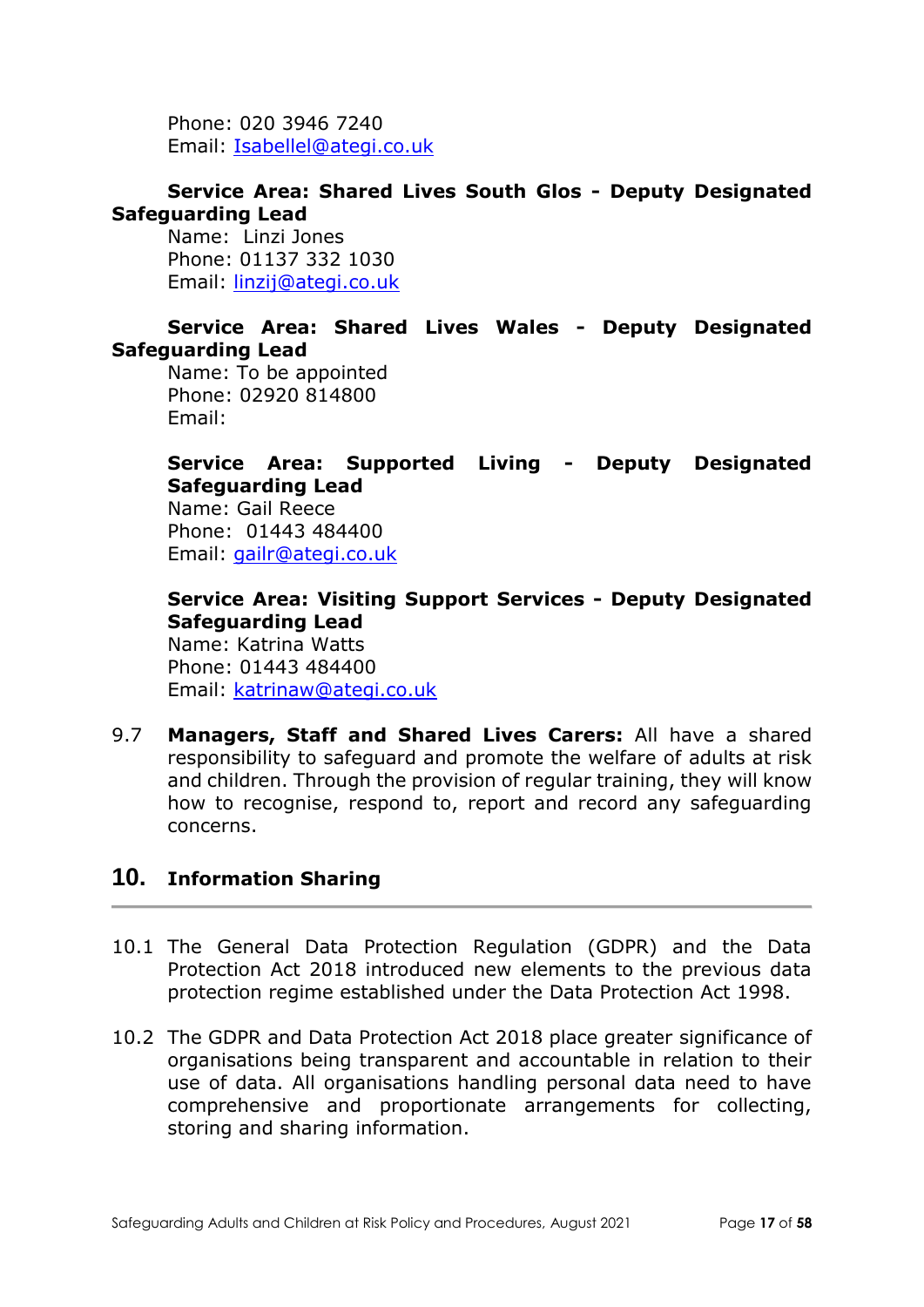Phone: 020 3946 7240 Email: [Isabellel@ategi.co.uk](mailto:Isabellel@ategi.co.uk)

#### **Service Area: Shared Lives South Glos - Deputy Designated Safeguarding Lead**

Name: Linzi Jones Phone: 01137 332 1030 Email: [linzij@ategi.co.uk](mailto:linzij@ategi.co.uk)

### **Service Area: Shared Lives Wales - Deputy Designated Safeguarding Lead**

Name: To be appointed Phone: 02920 814800 Email:

**Service Area: Supported Living - Deputy Designated Safeguarding Lead**

Name: Gail Reece Phone: 01443 484400 Email: [gailr@ategi.co.uk](mailto:gailr@ategi.co.uk)

## **Service Area: Visiting Support Services - Deputy Designated Safeguarding Lead**

Name: Katrina Watts Phone: 01443 484400 Email: [katrinaw@ategi.co.uk](mailto:katrinaw@ategi.co.uk)

9.7 **Managers, Staff and Shared Lives Carers:** All have a shared responsibility to safeguard and promote the welfare of adults at risk and children. Through the provision of regular training, they will know how to recognise, respond to, report and record any safeguarding concerns.

## **10. Information Sharing**

- 10.1 The General Data Protection Regulation (GDPR) and the Data Protection Act 2018 introduced new elements to the previous data protection regime established under the Data Protection Act 1998.
- 10.2 The GDPR and Data Protection Act 2018 place greater significance of organisations being transparent and accountable in relation to their use of data. All organisations handling personal data need to have comprehensive and proportionate arrangements for collecting, storing and sharing information.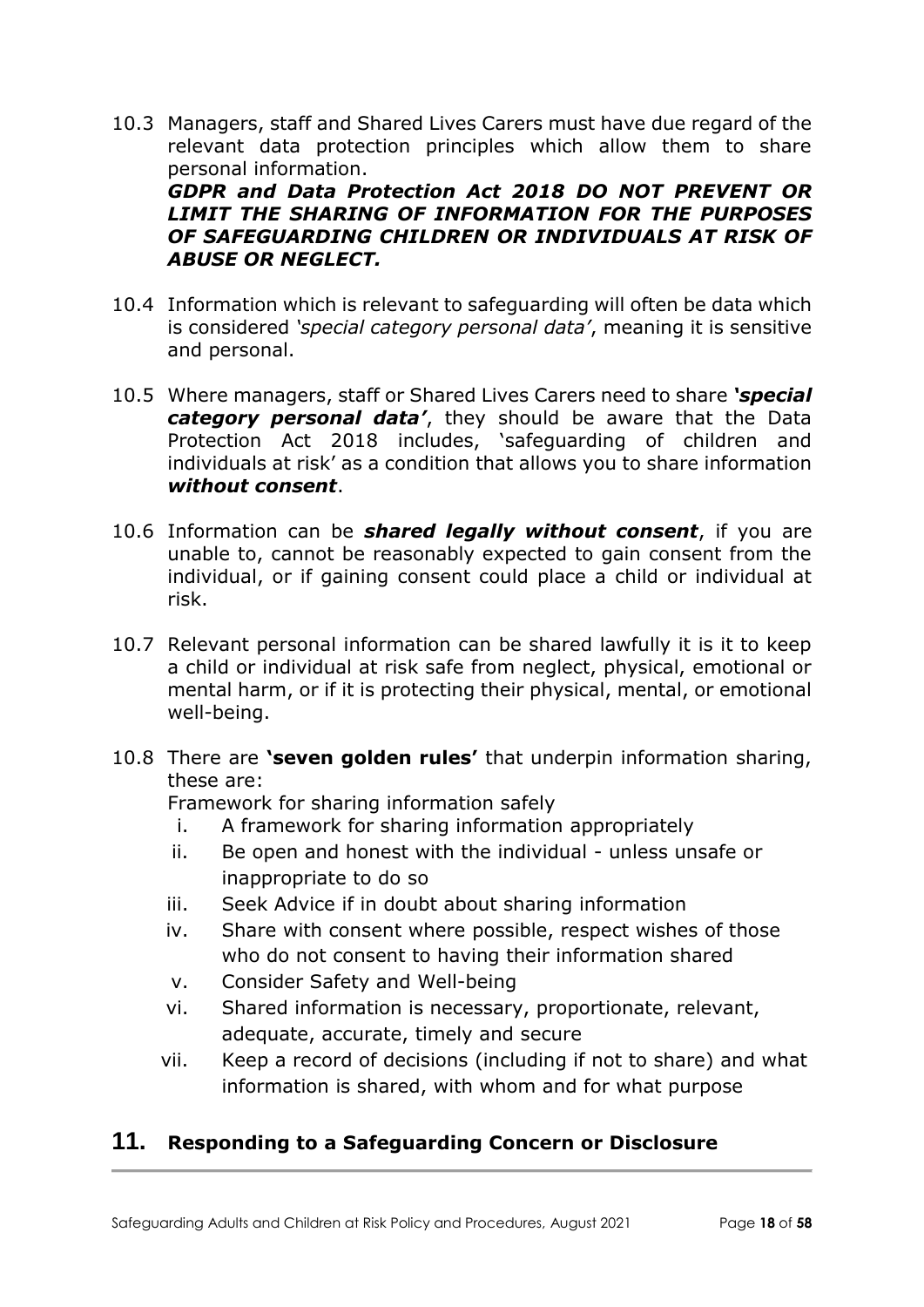10.3 Managers, staff and Shared Lives Carers must have due regard of the relevant data protection principles which allow them to share personal information.

*GDPR and Data Protection Act 2018 DO NOT PREVENT OR LIMIT THE SHARING OF INFORMATION FOR THE PURPOSES OF SAFEGUARDING CHILDREN OR INDIVIDUALS AT RISK OF ABUSE OR NEGLECT.* 

- 10.4 Information which is relevant to safeguarding will often be data which is considered *'special category personal data'*, meaning it is sensitive and personal.
- 10.5 Where managers, staff or Shared Lives Carers need to share *'special*  category personal data', they should be aware that the Data Protection Act 2018 includes, 'safeguarding of children and individuals at risk' as a condition that allows you to share information *without consent*.
- 10.6 Information can be *shared legally without consent*, if you are unable to, cannot be reasonably expected to gain consent from the individual, or if gaining consent could place a child or individual at risk.
- 10.7 Relevant personal information can be shared lawfully it is it to keep a child or individual at risk safe from neglect, physical, emotional or mental harm, or if it is protecting their physical, mental, or emotional well-being.
- 10.8 There are **'seven golden rules'** that underpin information sharing, these are:

Framework for sharing information safely

- i. A framework for sharing information appropriately
- ii. Be open and honest with the individual unless unsafe or inappropriate to do so
- iii. Seek Advice if in doubt about sharing information
- iv. Share with consent where possible, respect wishes of those who do not consent to having their information shared
- v. Consider Safety and Well-being
- vi. Shared information is necessary, proportionate, relevant, adequate, accurate, timely and secure
- vii. Keep a record of decisions (including if not to share) and what information is shared, with whom and for what purpose

# **11. Responding to a Safeguarding Concern or Disclosure**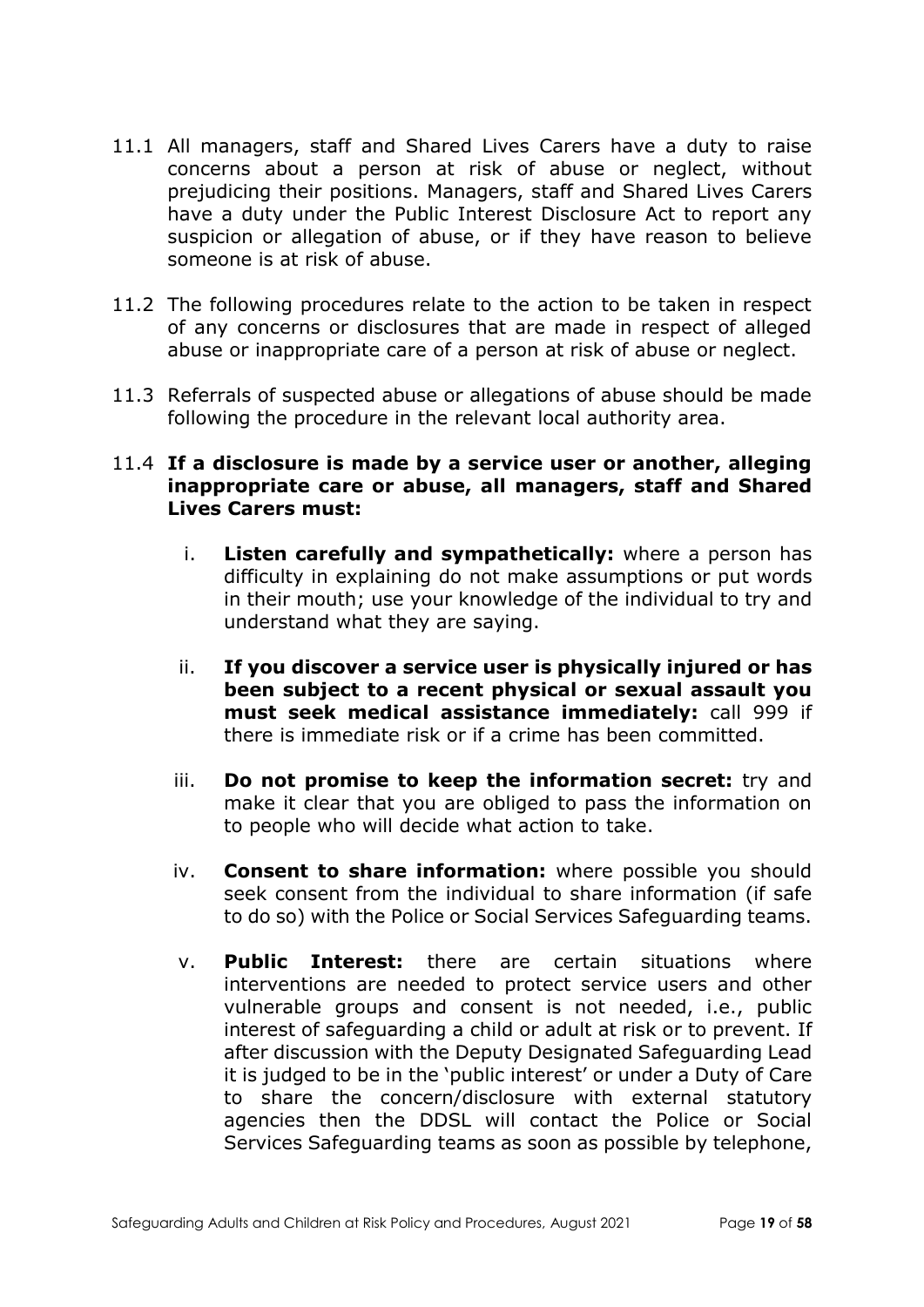- 11.1 All managers, staff and Shared Lives Carers have a duty to raise concerns about a person at risk of abuse or neglect, without prejudicing their positions. Managers, staff and Shared Lives Carers have a duty under the Public Interest Disclosure Act to report any suspicion or allegation of abuse, or if they have reason to believe someone is at risk of abuse.
- 11.2 The following procedures relate to the action to be taken in respect of any concerns or disclosures that are made in respect of alleged abuse or inappropriate care of a person at risk of abuse or neglect.
- 11.3 Referrals of suspected abuse or allegations of abuse should be made following the procedure in the relevant local authority area.

#### 11.4 **If a disclosure is made by a service user or another, alleging inappropriate care or abuse, all managers, staff and Shared Lives Carers must:**

- i. **Listen carefully and sympathetically:** where a person has difficulty in explaining do not make assumptions or put words in their mouth; use your knowledge of the individual to try and understand what they are saying.
- ii. **If you discover a service user is physically injured or has been subject to a recent physical or sexual assault you must seek medical assistance immediately:** call 999 if there is immediate risk or if a crime has been committed.
- iii. **Do not promise to keep the information secret:** try and make it clear that you are obliged to pass the information on to people who will decide what action to take.
- iv. **Consent to share information:** where possible you should seek consent from the individual to share information (if safe to do so) with the Police or Social Services Safeguarding teams.
- v. **Public Interest:** there are certain situations where interventions are needed to protect service users and other vulnerable groups and consent is not needed, i.e., public interest of safeguarding a child or adult at risk or to prevent. If after discussion with the Deputy Designated Safeguarding Lead it is judged to be in the 'public interest' or under a Duty of Care to share the concern/disclosure with external statutory agencies then the DDSL will contact the Police or Social Services Safeguarding teams as soon as possible by telephone,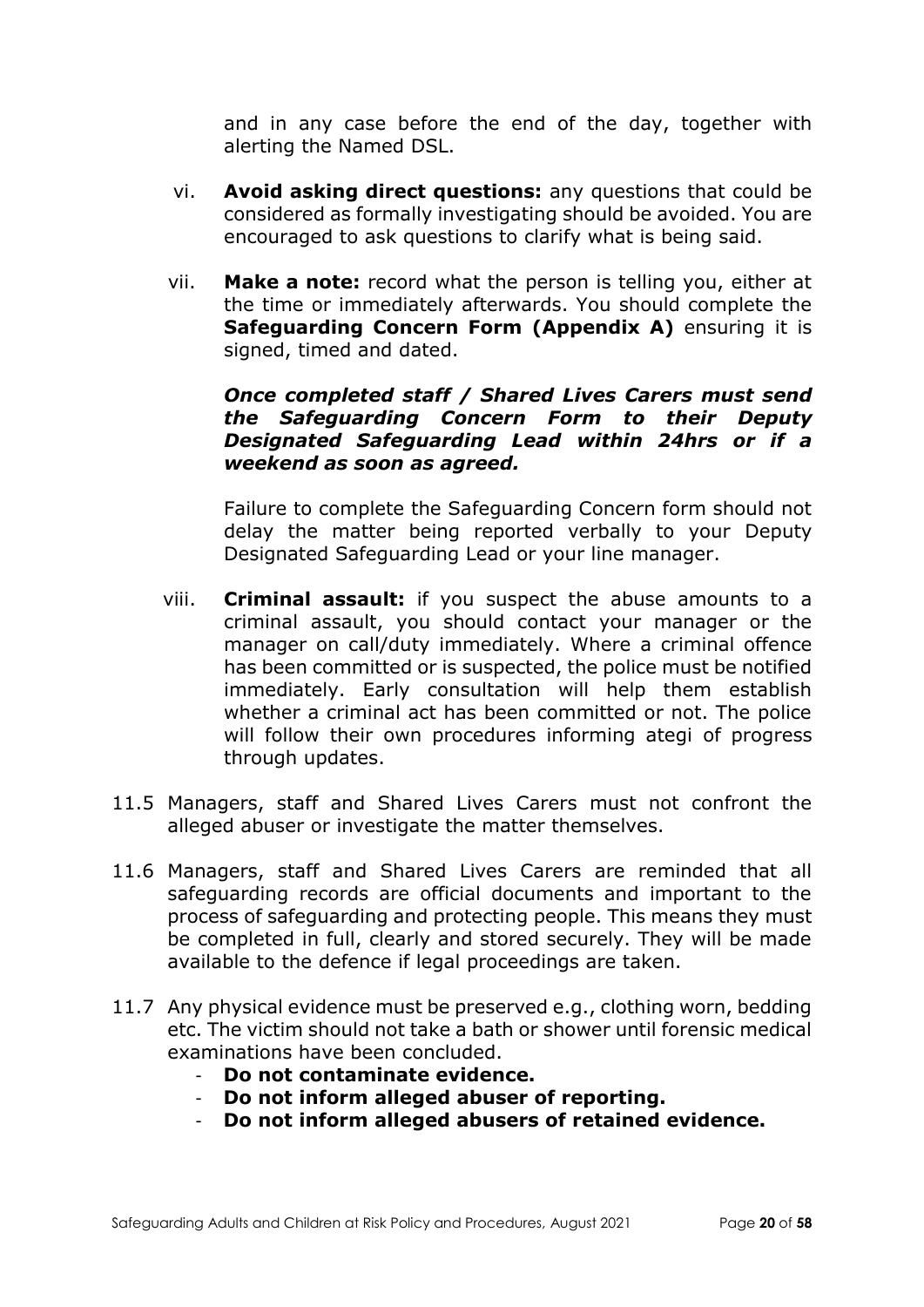and in any case before the end of the day, together with alerting the Named DSL.

- vi. **Avoid asking direct questions:** any questions that could be considered as formally investigating should be avoided. You are encouraged to ask questions to clarify what is being said.
- vii. **Make a note:** record what the person is telling you, either at the time or immediately afterwards. You should complete the **Safeguarding Concern Form (Appendix A)** ensuring it is signed, timed and dated.

#### *Once completed staff / Shared Lives Carers must send the Safeguarding Concern Form to their Deputy Designated Safeguarding Lead within 24hrs or if a weekend as soon as agreed.*

Failure to complete the Safeguarding Concern form should not delay the matter being reported verbally to your Deputy Designated Safeguarding Lead or your line manager.

- viii. **Criminal assault:** if you suspect the abuse amounts to a criminal assault, you should contact your manager or the manager on call/duty immediately. Where a criminal offence has been committed or is suspected, the police must be notified immediately. Early consultation will help them establish whether a criminal act has been committed or not. The police will follow their own procedures informing ategi of progress through updates.
- 11.5 Managers, staff and Shared Lives Carers must not confront the alleged abuser or investigate the matter themselves.
- 11.6 Managers, staff and Shared Lives Carers are reminded that all safeguarding records are official documents and important to the process of safeguarding and protecting people. This means they must be completed in full, clearly and stored securely. They will be made available to the defence if legal proceedings are taken.
- 11.7 Any physical evidence must be preserved e.g., clothing worn, bedding etc. The victim should not take a bath or shower until forensic medical examinations have been concluded.
	- **Do not contaminate evidence.**
	- **Do not inform alleged abuser of reporting.**
	- **Do not inform alleged abusers of retained evidence.**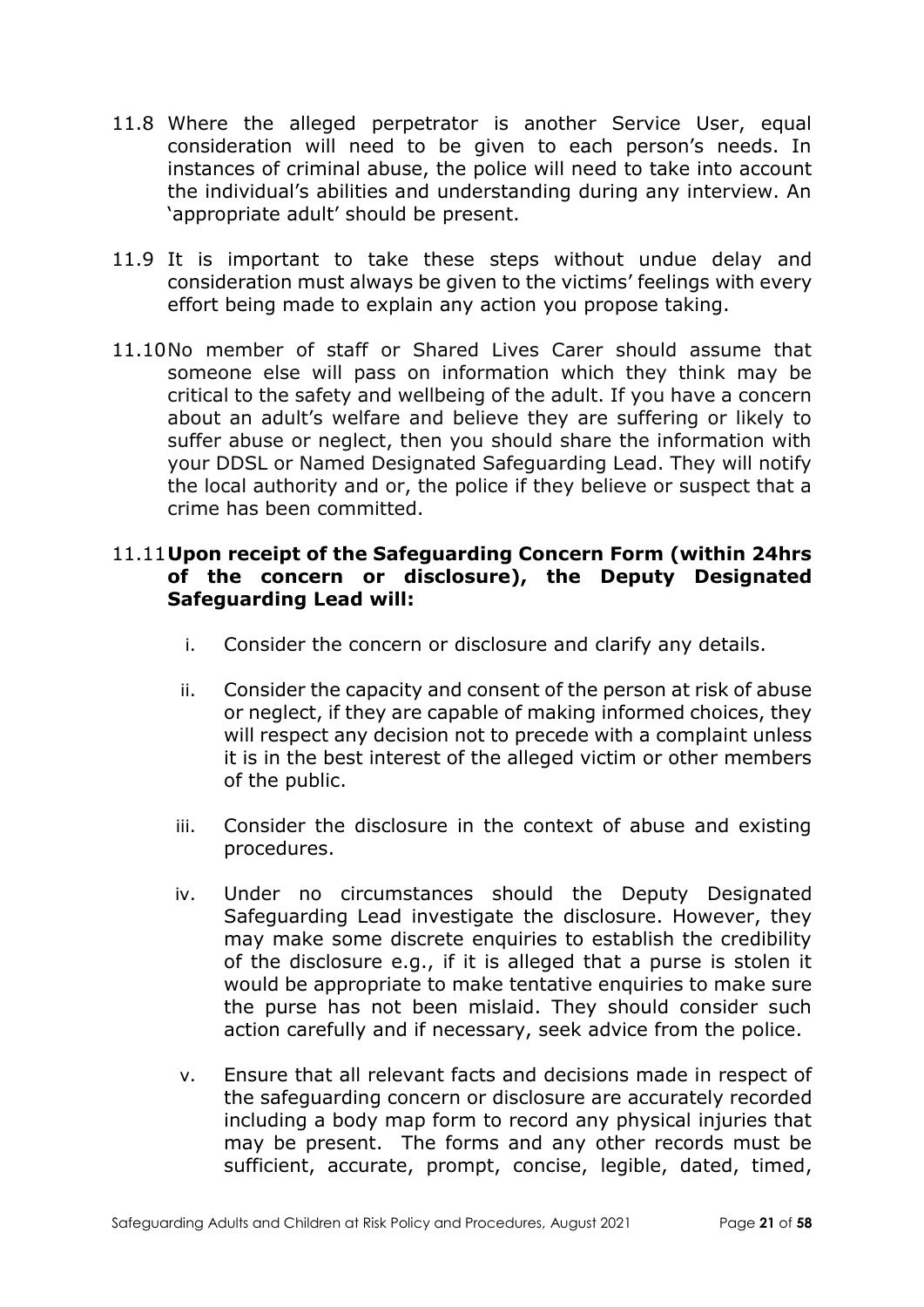- 11.8 Where the alleged perpetrator is another Service User, equal consideration will need to be given to each person's needs. In instances of criminal abuse, the police will need to take into account the individual's abilities and understanding during any interview. An 'appropriate adult' should be present.
- 11.9 It is important to take these steps without undue delay and consideration must always be given to the victims' feelings with every effort being made to explain any action you propose taking.
- 11.10No member of staff or Shared Lives Carer should assume that someone else will pass on information which they think may be critical to the safety and wellbeing of the adult. If you have a concern about an adult's welfare and believe they are suffering or likely to suffer abuse or neglect, then you should share the information with your DDSL or Named Designated Safeguarding Lead. They will notify the local authority and or, the police if they believe or suspect that a crime has been committed.

#### 11.11**Upon receipt of the Safeguarding Concern Form (within 24hrs of the concern or disclosure), the Deputy Designated Safeguarding Lead will:**

- i. Consider the concern or disclosure and clarify any details.
- ii. Consider the capacity and consent of the person at risk of abuse or neglect, if they are capable of making informed choices, they will respect any decision not to precede with a complaint unless it is in the best interest of the alleged victim or other members of the public.
- iii. Consider the disclosure in the context of abuse and existing procedures.
- iv. Under no circumstances should the Deputy Designated Safeguarding Lead investigate the disclosure. However, they may make some discrete enquiries to establish the credibility of the disclosure e.g., if it is alleged that a purse is stolen it would be appropriate to make tentative enquiries to make sure the purse has not been mislaid. They should consider such action carefully and if necessary, seek advice from the police.
- v. Ensure that all relevant facts and decisions made in respect of the safeguarding concern or disclosure are accurately recorded including a body map form to record any physical injuries that may be present. The forms and any other records must be sufficient, accurate, prompt, concise, legible, dated, timed,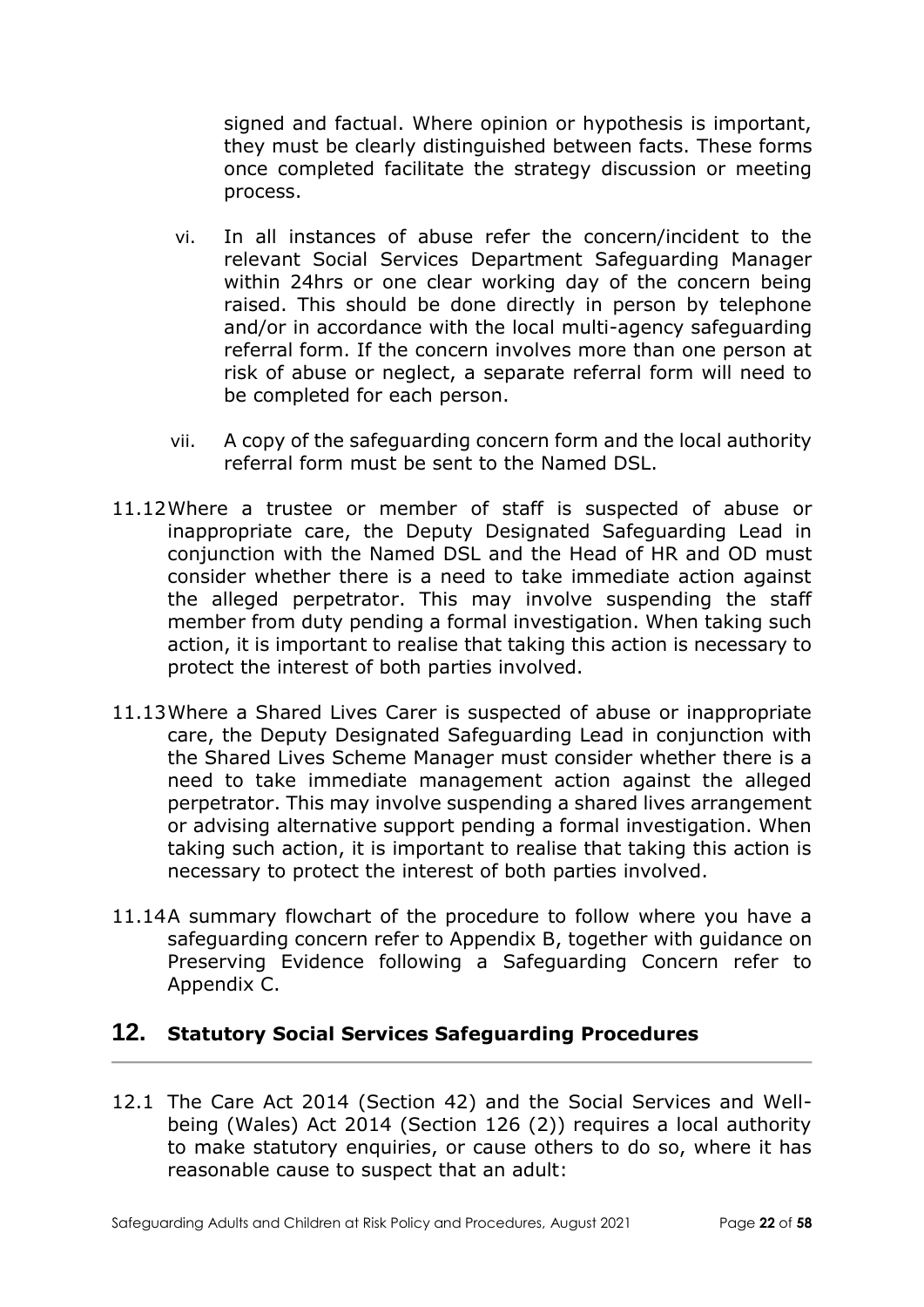signed and factual. Where opinion or hypothesis is important, they must be clearly distinguished between facts. These forms once completed facilitate the strategy discussion or meeting process.

- vi. In all instances of abuse refer the concern/incident to the relevant Social Services Department Safeguarding Manager within 24hrs or one clear working day of the concern being raised. This should be done directly in person by telephone and/or in accordance with the local multi-agency safeguarding referral form. If the concern involves more than one person at risk of abuse or neglect, a separate referral form will need to be completed for each person.
- vii. A copy of the safeguarding concern form and the local authority referral form must be sent to the Named DSL.
- 11.12Where a trustee or member of staff is suspected of abuse or inappropriate care, the Deputy Designated Safeguarding Lead in conjunction with the Named DSL and the Head of HR and OD must consider whether there is a need to take immediate action against the alleged perpetrator. This may involve suspending the staff member from duty pending a formal investigation. When taking such action, it is important to realise that taking this action is necessary to protect the interest of both parties involved.
- 11.13Where a Shared Lives Carer is suspected of abuse or inappropriate care, the Deputy Designated Safeguarding Lead in conjunction with the Shared Lives Scheme Manager must consider whether there is a need to take immediate management action against the alleged perpetrator. This may involve suspending a shared lives arrangement or advising alternative support pending a formal investigation. When taking such action, it is important to realise that taking this action is necessary to protect the interest of both parties involved.
- 11.14A summary flowchart of the procedure to follow where you have a safeguarding concern refer to Appendix B, together with guidance on Preserving Evidence following a Safeguarding Concern refer to Appendix C.

## **12. Statutory Social Services Safeguarding Procedures**

12.1 The Care Act 2014 (Section 42) and the Social Services and Wellbeing (Wales) Act 2014 (Section 126 (2)) requires a local authority to make statutory enquiries, or cause others to do so, where it has reasonable cause to suspect that an adult: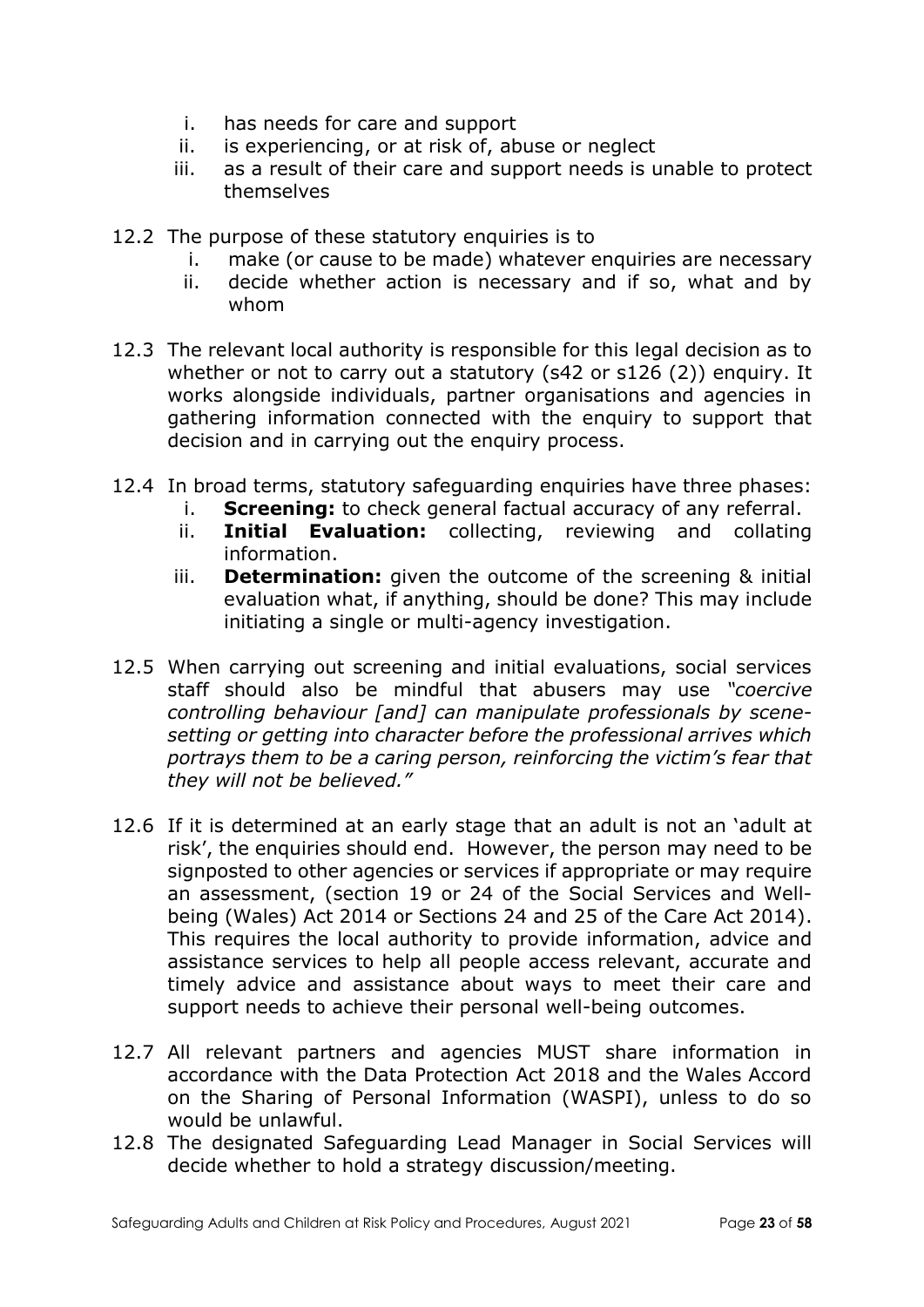- i. has needs for care and support
- ii. is experiencing, or at risk of, abuse or neglect
- iii. as a result of their care and support needs is unable to protect themselves
- 12.2 The purpose of these statutory enquiries is to
	- i. make (or cause to be made) whatever enquiries are necessary
	- ii. decide whether action is necessary and if so, what and by whom
- 12.3 The relevant local authority is responsible for this legal decision as to whether or not to carry out a statutory (s42 or s126 (2)) enquiry. It works alongside individuals, partner organisations and agencies in gathering information connected with the enquiry to support that decision and in carrying out the enquiry process.
- 12.4 In broad terms, statutory safeguarding enquiries have three phases:
	- i. **Screening:** to check general factual accuracy of any referral.
	- ii. **Initial Evaluation:** collecting, reviewing and collating information.
	- iii. **Determination:** given the outcome of the screening & initial evaluation what, if anything, should be done? This may include initiating a single or multi-agency investigation.
- 12.5 When carrying out screening and initial evaluations, social services staff should also be mindful that abusers may use *"coercive controlling behaviour [and] can manipulate professionals by scenesetting or getting into character before the professional arrives which portrays them to be a caring person, reinforcing the victim's fear that they will not be believed."*
- 12.6 If it is determined at an early stage that an adult is not an 'adult at risk', the enquiries should end. However, the person may need to be signposted to other agencies or services if appropriate or may require an assessment, (section 19 or 24 of the Social Services and Wellbeing (Wales) Act 2014 or Sections 24 and 25 of the Care Act 2014). This requires the local authority to provide information, advice and assistance services to help all people access relevant, accurate and timely advice and assistance about ways to meet their care and support needs to achieve their personal well-being outcomes.
- 12.7 All relevant partners and agencies MUST share information in accordance with the Data Protection Act 2018 and the Wales Accord on the Sharing of Personal Information (WASPI), unless to do so would be unlawful.
- 12.8 The designated Safeguarding Lead Manager in Social Services will decide whether to hold a strategy discussion/meeting.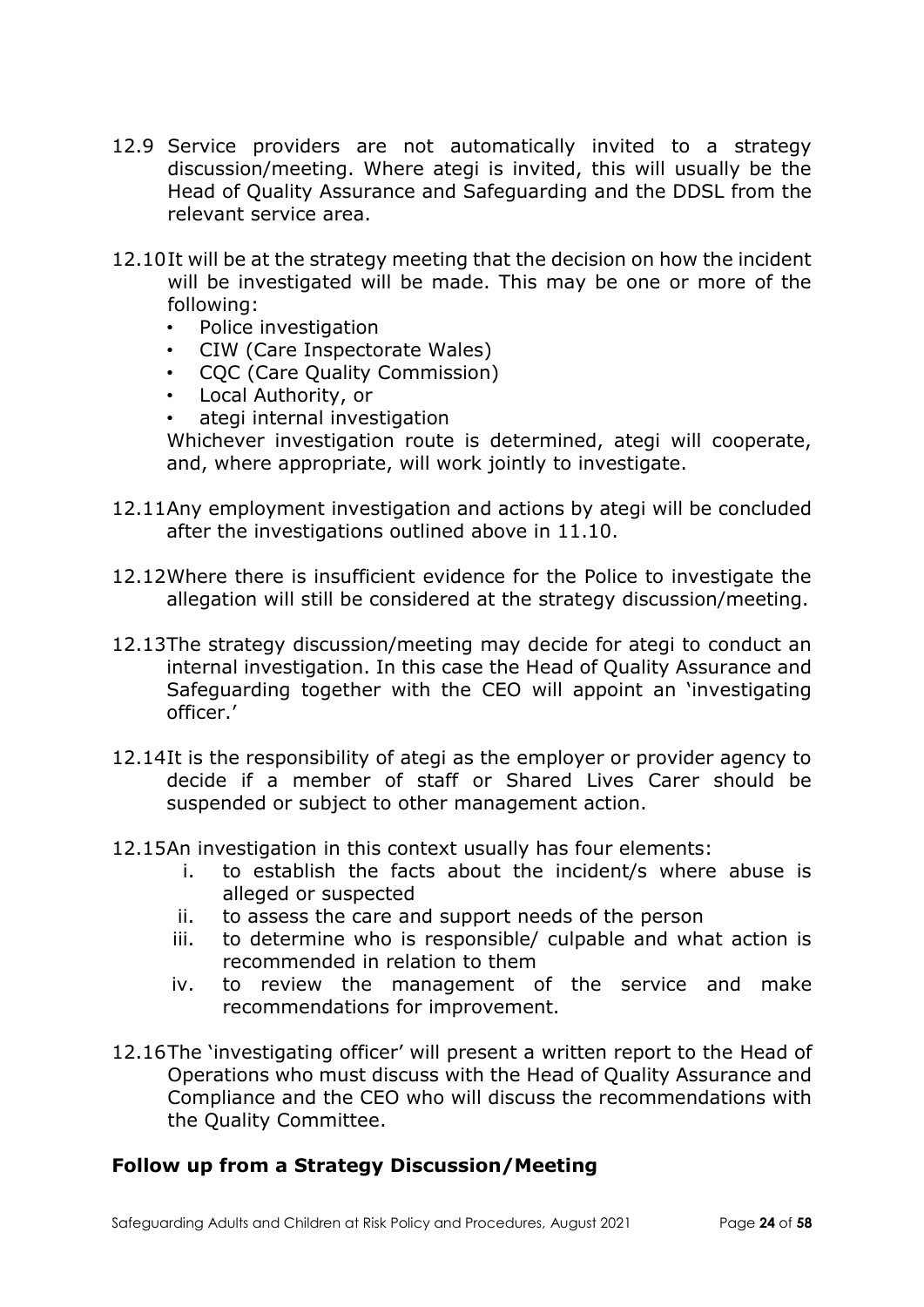- 12.9 Service providers are not automatically invited to a strategy discussion/meeting. Where ategi is invited, this will usually be the Head of Quality Assurance and Safeguarding and the DDSL from the relevant service area.
- 12.10It will be at the strategy meeting that the decision on how the incident will be investigated will be made. This may be one or more of the following:
	- Police investigation
	- CIW (Care Inspectorate Wales)
	- CQC (Care Quality Commission)
	- Local Authority, or
	- ategi internal investigation

Whichever investigation route is determined, ategi will cooperate, and, where appropriate, will work jointly to investigate.

- 12.11Any employment investigation and actions by ategi will be concluded after the investigations outlined above in 11.10.
- 12.12Where there is insufficient evidence for the Police to investigate the allegation will still be considered at the strategy discussion/meeting.
- 12.13The strategy discussion/meeting may decide for ategi to conduct an internal investigation. In this case the Head of Quality Assurance and Safeguarding together with the CEO will appoint an 'investigating officer.'
- 12.14It is the responsibility of ategi as the employer or provider agency to decide if a member of staff or Shared Lives Carer should be suspended or subject to other management action.
- 12.15An investigation in this context usually has four elements:
	- i. to establish the facts about the incident/s where abuse is alleged or suspected
	- ii. to assess the care and support needs of the person
	- iii. to determine who is responsible/ culpable and what action is recommended in relation to them
	- iv. to review the management of the service and make recommendations for improvement.
- 12.16The 'investigating officer' will present a written report to the Head of Operations who must discuss with the Head of Quality Assurance and Compliance and the CEO who will discuss the recommendations with the Quality Committee.

## **Follow up from a Strategy Discussion/Meeting**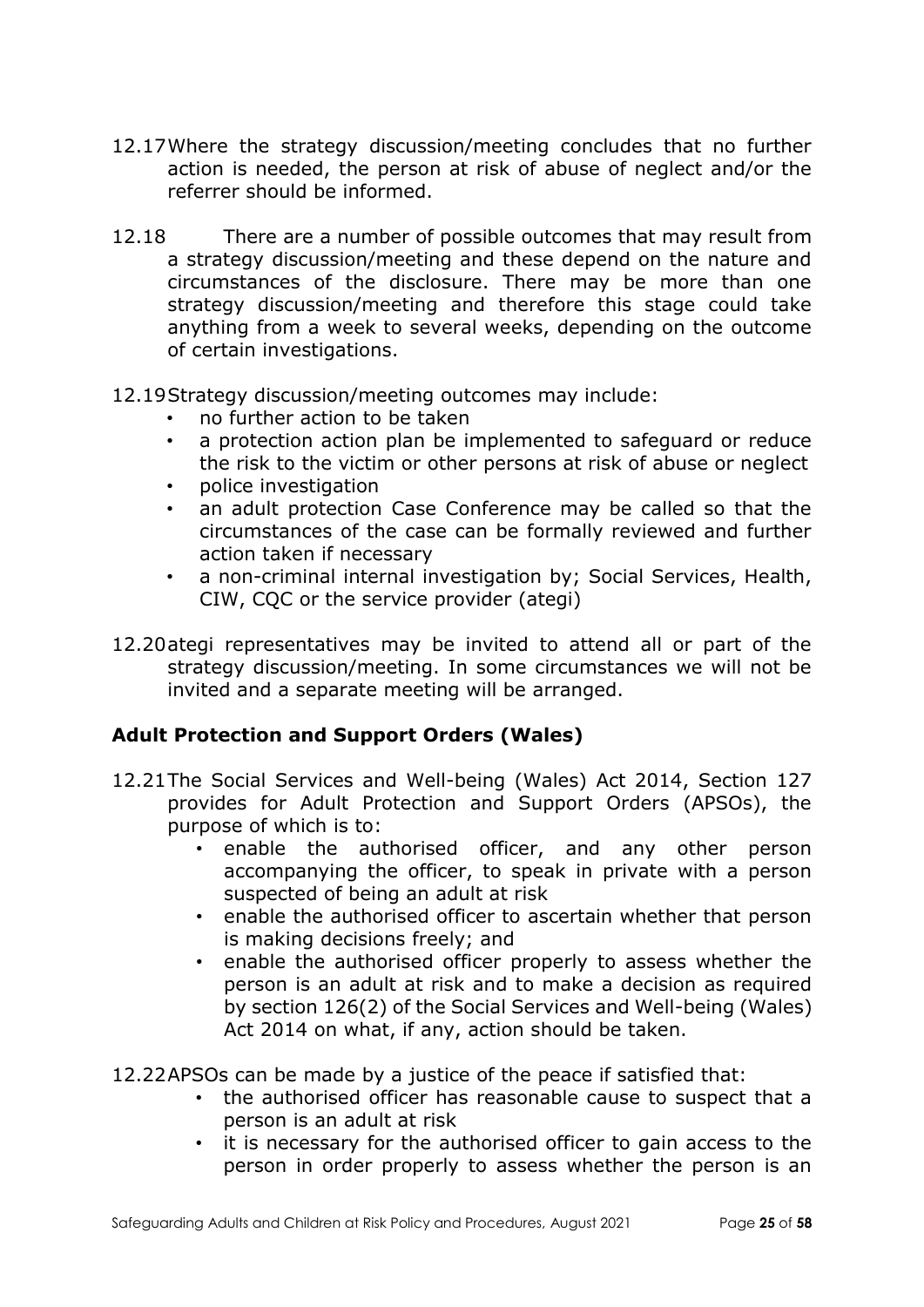- 12.17Where the strategy discussion/meeting concludes that no further action is needed, the person at risk of abuse of neglect and/or the referrer should be informed.
- 12.18 There are a number of possible outcomes that may result from a strategy discussion/meeting and these depend on the nature and circumstances of the disclosure. There may be more than one strategy discussion/meeting and therefore this stage could take anything from a week to several weeks, depending on the outcome of certain investigations.
- 12.19Strategy discussion/meeting outcomes may include:
	- no further action to be taken
	- a protection action plan be implemented to safeguard or reduce the risk to the victim or other persons at risk of abuse or neglect
	- police investigation
	- an adult protection Case Conference may be called so that the circumstances of the case can be formally reviewed and further action taken if necessary
	- a non-criminal internal investigation by; Social Services, Health, CIW, CQC or the service provider (ategi)
- 12.20ategi representatives may be invited to attend all or part of the strategy discussion/meeting. In some circumstances we will not be invited and a separate meeting will be arranged.

## **Adult Protection and Support Orders (Wales)**

- 12.21The Social Services and Well-being (Wales) Act 2014, Section 127 provides for Adult Protection and Support Orders (APSOs), the purpose of which is to:
	- enable the authorised officer, and any other person accompanying the officer, to speak in private with a person suspected of being an adult at risk
	- enable the authorised officer to ascertain whether that person is making decisions freely; and
	- enable the authorised officer properly to assess whether the person is an adult at risk and to make a decision as required by section 126(2) of the Social Services and Well-being (Wales) Act 2014 on what, if any, action should be taken.

12.22APSOs can be made by a justice of the peace if satisfied that:

- the authorised officer has reasonable cause to suspect that a person is an adult at risk
- it is necessary for the authorised officer to gain access to the person in order properly to assess whether the person is an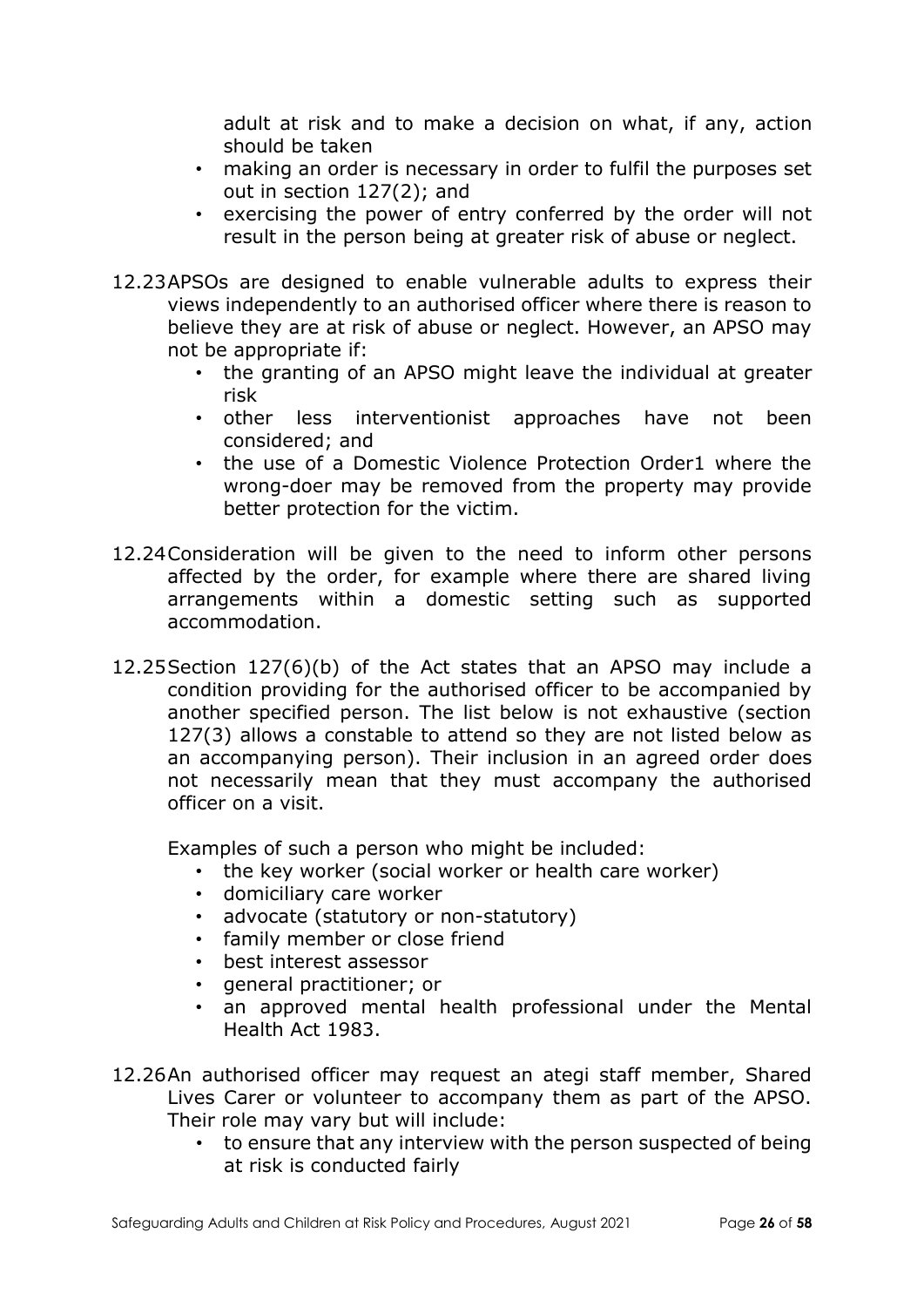adult at risk and to make a decision on what, if any, action should be taken

- making an order is necessary in order to fulfil the purposes set out in section 127(2); and
- exercising the power of entry conferred by the order will not result in the person being at greater risk of abuse or neglect.
- 12.23APSOs are designed to enable vulnerable adults to express their views independently to an authorised officer where there is reason to believe they are at risk of abuse or neglect. However, an APSO may not be appropriate if:
	- the granting of an APSO might leave the individual at greater risk
	- other less interventionist approaches have not been considered; and
	- the use of a Domestic Violence Protection Order1 where the wrong-doer may be removed from the property may provide better protection for the victim.
- 12.24Consideration will be given to the need to inform other persons affected by the order, for example where there are shared living arrangements within a domestic setting such as supported accommodation.
- 12.25Section 127(6)(b) of the Act states that an APSO may include a condition providing for the authorised officer to be accompanied by another specified person. The list below is not exhaustive (section 127(3) allows a constable to attend so they are not listed below as an accompanying person). Their inclusion in an agreed order does not necessarily mean that they must accompany the authorised officer on a visit.

Examples of such a person who might be included:

- the key worker (social worker or health care worker)
- domiciliary care worker
- advocate (statutory or non-statutory)
- family member or close friend
- best interest assessor
- general practitioner; or
- an approved mental health professional under the Mental Health Act 1983.
- 12.26An authorised officer may request an ategi staff member, Shared Lives Carer or volunteer to accompany them as part of the APSO. Their role may vary but will include:
	- to ensure that any interview with the person suspected of being at risk is conducted fairly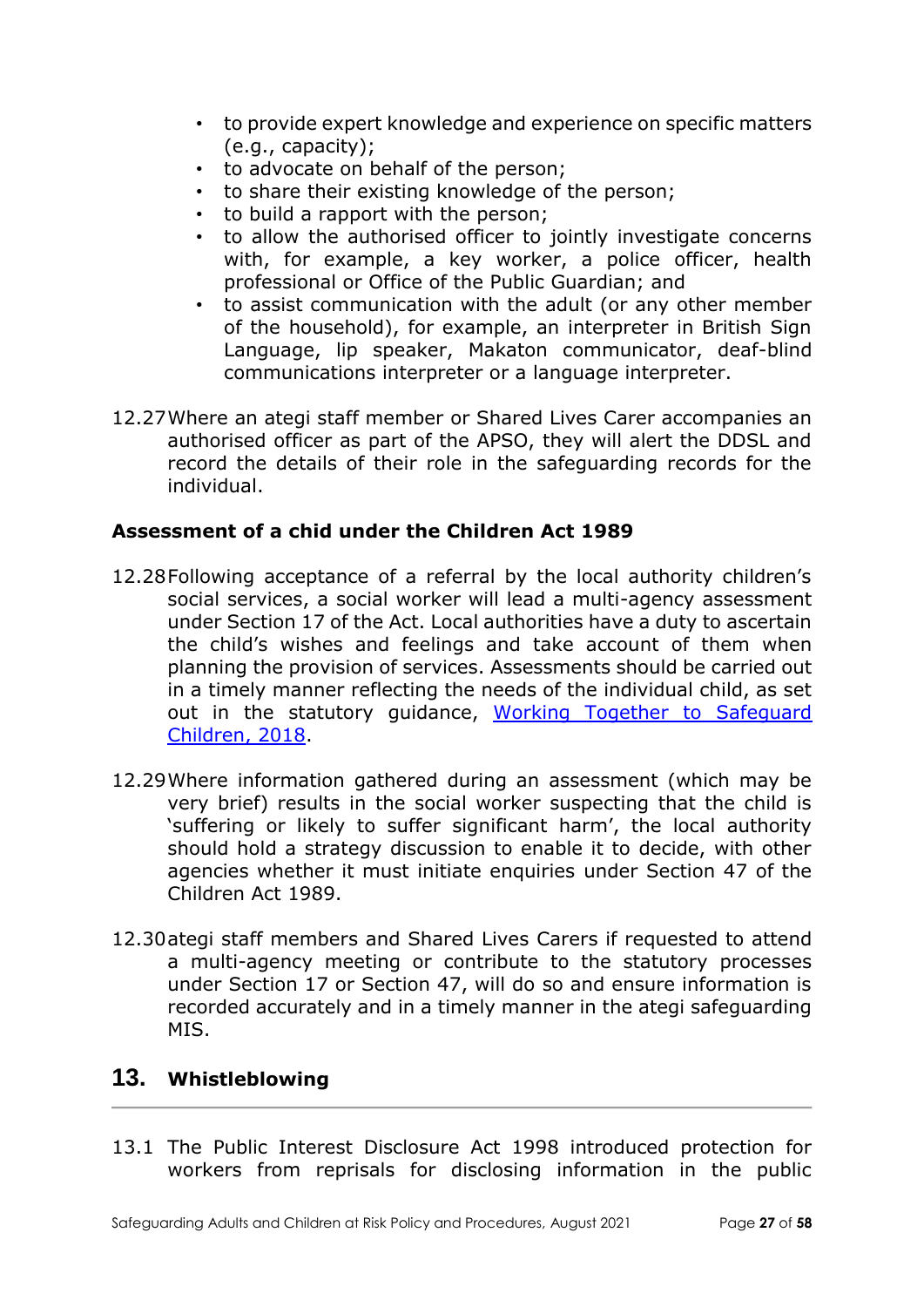- to provide expert knowledge and experience on specific matters (e.g., capacity);
- to advocate on behalf of the person;
- to share their existing knowledge of the person;
- to build a rapport with the person;
- to allow the authorised officer to jointly investigate concerns with, for example, a key worker, a police officer, health professional or Office of the Public Guardian; and
- to assist communication with the adult (or any other member of the household), for example, an interpreter in British Sign Language, lip speaker, Makaton communicator, deaf-blind communications interpreter or a language interpreter.
- 12.27Where an ategi staff member or Shared Lives Carer accompanies an authorised officer as part of the APSO, they will alert the DDSL and record the details of their role in the safeguarding records for the individual.

### **Assessment of a chid under the Children Act 1989**

- 12.28Following acceptance of a referral by the local authority children's social services, a social worker will lead a multi-agency assessment under Section 17 of the Act. Local authorities have a duty to ascertain the child's wishes and feelings and take account of them when planning the provision of services. Assessments should be carried out in a timely manner reflecting the needs of the individual child, as set out in the statutory guidance, Working Together to Safequard [Children, 2018.](https://www.gov.uk/government/publications/working-together-to-safeguard-children--2)
- 12.29Where information gathered during an assessment (which may be very brief) results in the social worker suspecting that the child is 'suffering or likely to suffer significant harm', the local authority should hold a strategy discussion to enable it to decide, with other agencies whether it must initiate enquiries under Section 47 of the Children Act 1989.
- 12.30ategi staff members and Shared Lives Carers if requested to attend a multi-agency meeting or contribute to the statutory processes under Section 17 or Section 47, will do so and ensure information is recorded accurately and in a timely manner in the ategi safeguarding MIS.

## **13. Whistleblowing**

13.1 The Public Interest Disclosure Act 1998 introduced protection for workers from reprisals for disclosing information in the public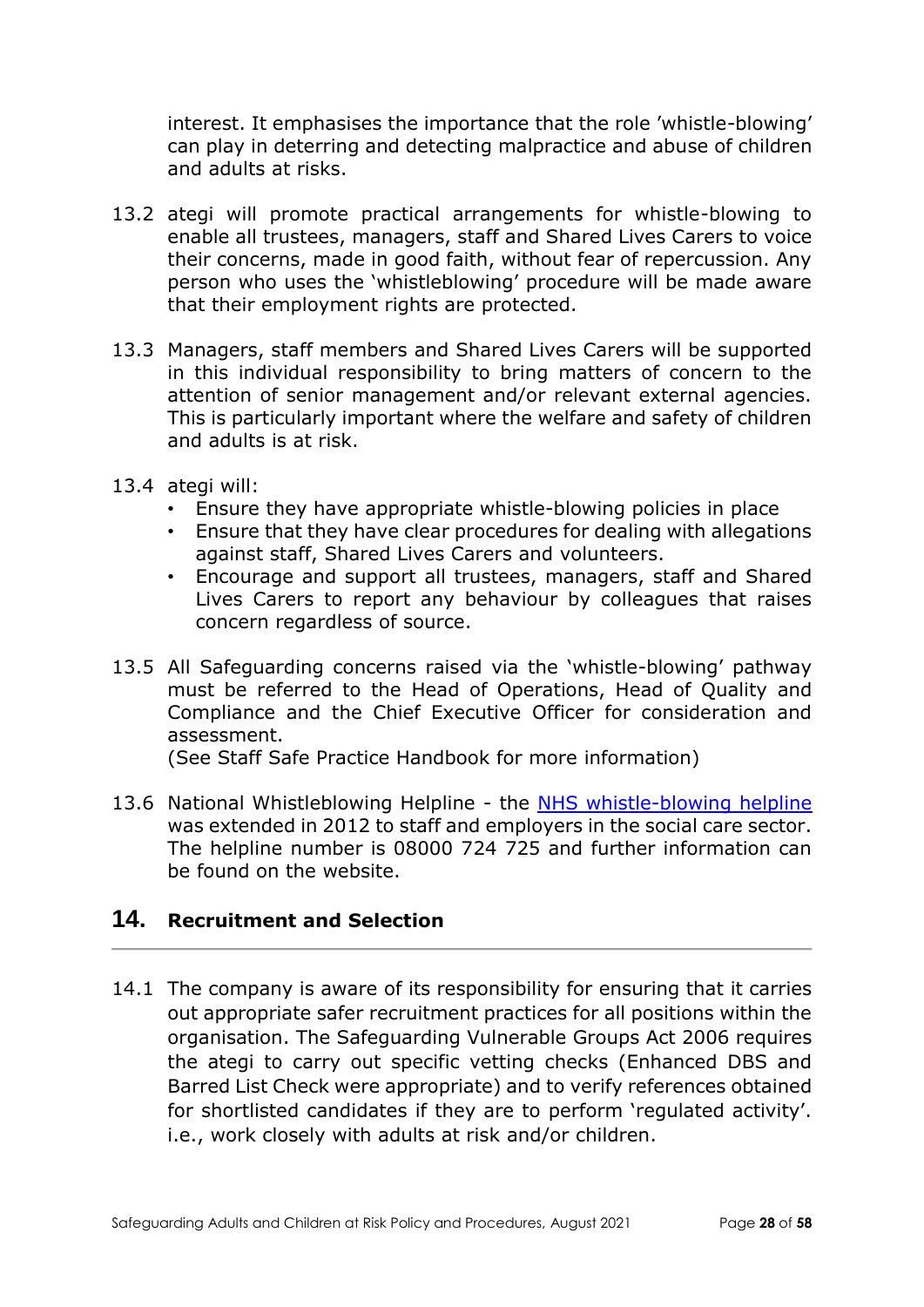interest. It emphasises the importance that the role 'whistle-blowing' can play in deterring and detecting malpractice and abuse of children and adults at risks.

- 13.2 ategi will promote practical arrangements for whistle-blowing to enable all trustees, managers, staff and Shared Lives Carers to voice their concerns, made in good faith, without fear of repercussion. Any person who uses the 'whistleblowing' procedure will be made aware that their employment rights are protected.
- 13.3 Managers, staff members and Shared Lives Carers will be supported in this individual responsibility to bring matters of concern to the attention of senior management and/or relevant external agencies. This is particularly important where the welfare and safety of children and adults is at risk.
- 13.4 ategi will:
	- Ensure they have appropriate whistle-blowing policies in place
	- Ensure that they have clear procedures for dealing with allegations against staff, Shared Lives Carers and volunteers.
	- Encourage and support all trustees, managers, staff and Shared Lives Carers to report any behaviour by colleagues that raises concern regardless of source.
- 13.5 All Safeguarding concerns raised via the 'whistle-blowing' pathway must be referred to the Head of Operations, Head of Quality and Compliance and the Chief Executive Officer for consideration and assessment.

(See Staff Safe Practice Handbook for more information)

13.6 National Whistleblowing Helpline - the [NHS whistle-blowing helpline](https://www.england.nhs.uk/ourwork/whistleblowing/) was extended in 2012 to staff and employers in the social care sector. The helpline number is 08000 724 725 and further information can be found on the website.

## **14. Recruitment and Selection**

14.1 The company is aware of its responsibility for ensuring that it carries out appropriate safer recruitment practices for all positions within the organisation. The Safeguarding Vulnerable Groups Act 2006 requires the ategi to carry out specific vetting checks (Enhanced DBS and Barred List Check were appropriate) and to verify references obtained for shortlisted candidates if they are to perform 'regulated activity'. i.e., work closely with adults at risk and/or children.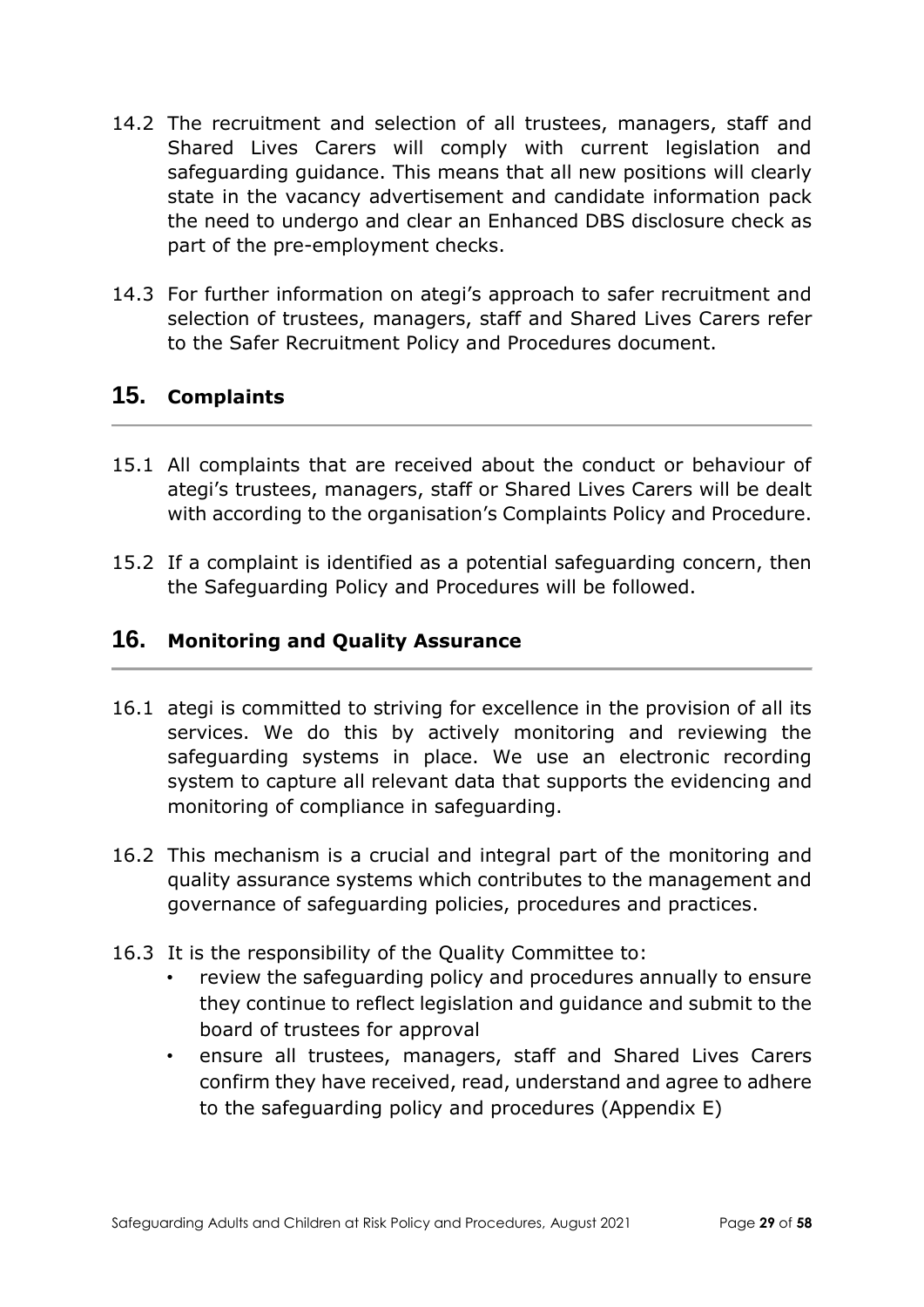- 14.2 The recruitment and selection of all trustees, managers, staff and Shared Lives Carers will comply with current legislation and safeguarding guidance. This means that all new positions will clearly state in the vacancy advertisement and candidate information pack the need to undergo and clear an Enhanced DBS disclosure check as part of the pre-employment checks.
- 14.3 For further information on ategi's approach to safer recruitment and selection of trustees, managers, staff and Shared Lives Carers refer to the Safer Recruitment Policy and Procedures document.

# **15. Complaints**

- 15.1 All complaints that are received about the conduct or behaviour of ategi's trustees, managers, staff or Shared Lives Carers will be dealt with according to the organisation's Complaints Policy and Procedure.
- 15.2 If a complaint is identified as a potential safeguarding concern, then the Safeguarding Policy and Procedures will be followed.

## **16. Monitoring and Quality Assurance**

- 16.1 ategi is committed to striving for excellence in the provision of all its services. We do this by actively monitoring and reviewing the safeguarding systems in place. We use an electronic recording system to capture all relevant data that supports the evidencing and monitoring of compliance in safeguarding.
- 16.2 This mechanism is a crucial and integral part of the monitoring and quality assurance systems which contributes to the management and governance of safeguarding policies, procedures and practices.
- 16.3 It is the responsibility of the Quality Committee to:
	- review the safeguarding policy and procedures annually to ensure they continue to reflect legislation and guidance and submit to the board of trustees for approval
	- ensure all trustees, managers, staff and Shared Lives Carers confirm they have received, read, understand and agree to adhere to the safeguarding policy and procedures (Appendix E)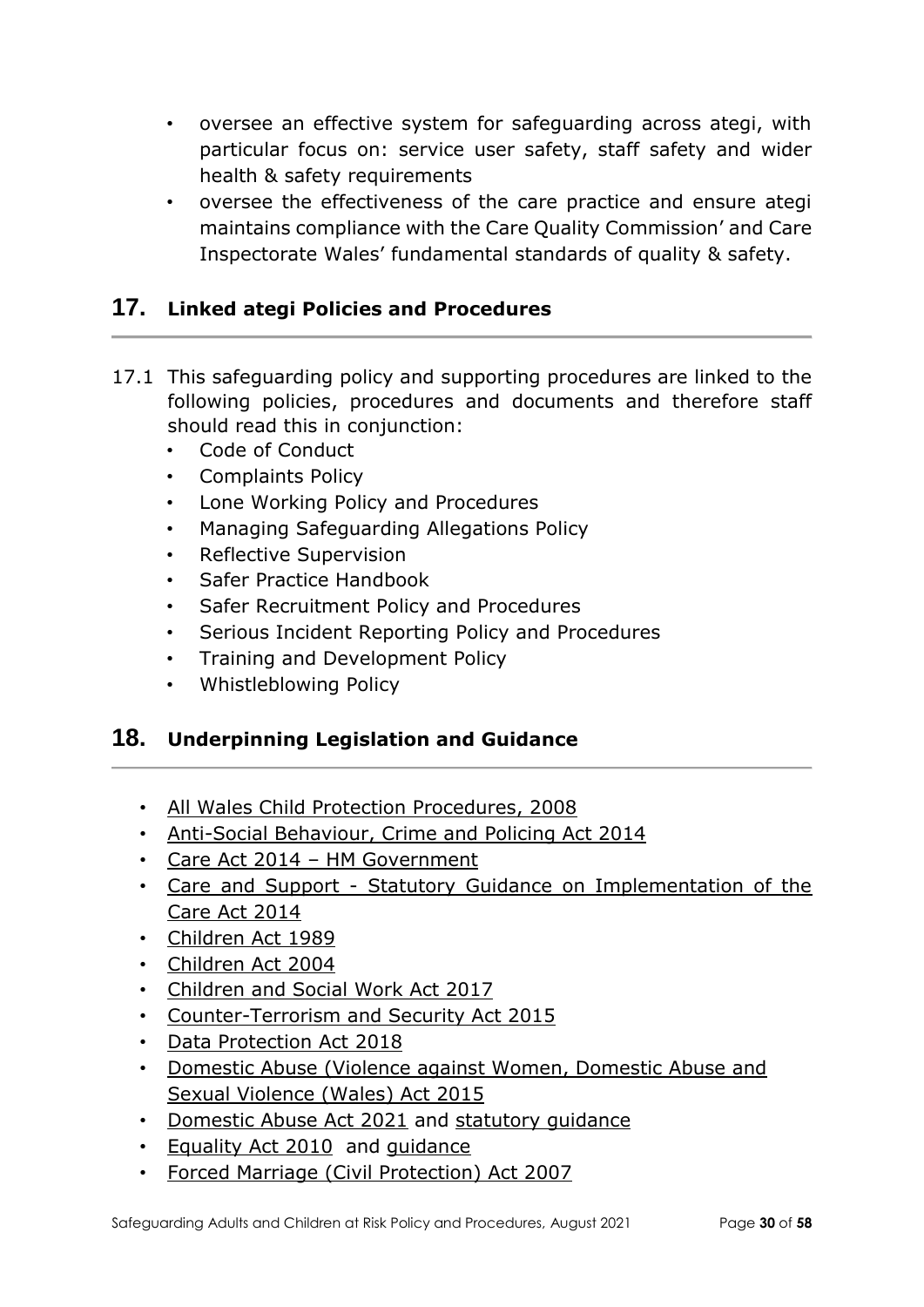- oversee an effective system for safeguarding across ategi, with particular focus on: service user safety, staff safety and wider health & safety requirements
- oversee the effectiveness of the care practice and ensure ategi maintains compliance with the Care Quality Commission' and Care Inspectorate Wales' fundamental standards of quality & safety.

# **17. Linked ategi Policies and Procedures**

- 17.1 This safeguarding policy and supporting procedures are linked to the following policies, procedures and documents and therefore staff should read this in conjunction:
	- Code of Conduct
	- Complaints Policy
	- Lone Working Policy and Procedures
	- Managing Safeguarding Allegations Policy
	- Reflective Supervision
	- Safer Practice Handbook
	- Safer Recruitment Policy and Procedures
	- Serious Incident Reporting Policy and Procedures
	- Training and Development Policy
	- Whistleblowing Policy

## **18. Underpinning Legislation and Guidance**

- [All Wales Child Protection Procedures, 2008](https://www.basw.co.uk/resources/all-wales-child-protection-procedures)
- [Anti-Social Behaviour, Crime and Policing Act 2014](https://www.legislation.gov.uk/ukpga/2014/12/contents/enacted)
- Care Act 2014 [HM Government](https://www.legislation.gov.uk/ukpga/2014/23/contents)
- Care and Support [Statutory Guidance on Implementation of the](https://www.gov.uk/government/publications/care-act-statutory-guidance/care-and-support-statutory-guidance)  [Care Act 2014](https://www.gov.uk/government/publications/care-act-statutory-guidance/care-and-support-statutory-guidance)
- [Children Act 1989](https://www.legislation.gov.uk/ukpga/1989/41/contents)
- [Children Act 2004](https://www.legislation.gov.uk/ukpga/2004/31/contents)
- [Children and Social Work Act 2017](https://www.legislation.gov.uk/ukpga/2017/16/contents/enacted)
- [Counter-Terrorism and Security Act 2015](https://www.gov.uk/government/collections/counter-terrorism-and-security-bill)
- [Data Protection Act 2018](http://www.legislation.gov.uk/ukpga/2018/12/contents/enacted)
- [Domestic Abuse \(Violence against Women, Domestic Abuse and](https://www.legislation.gov.uk/anaw/2015/3/contents)  [Sexual Violence \(Wales\) Act 2015](https://www.legislation.gov.uk/anaw/2015/3/contents)
- [Domestic Abuse Act 2021](https://www.legislation.gov.uk/ukpga/2021/17/contents/enacted) and statutory quidance
- [Equality Act 2010](http://www.legislation.gov.uk/ukpga/2010/15/contents) and [guidance](https://www.gov.uk/guidance/equality-act-2010-guidance)
- [Forced Marriage \(Civil Protection\) Act 2007](https://www.legislation.gov.uk/ukpga/2007/20/contents)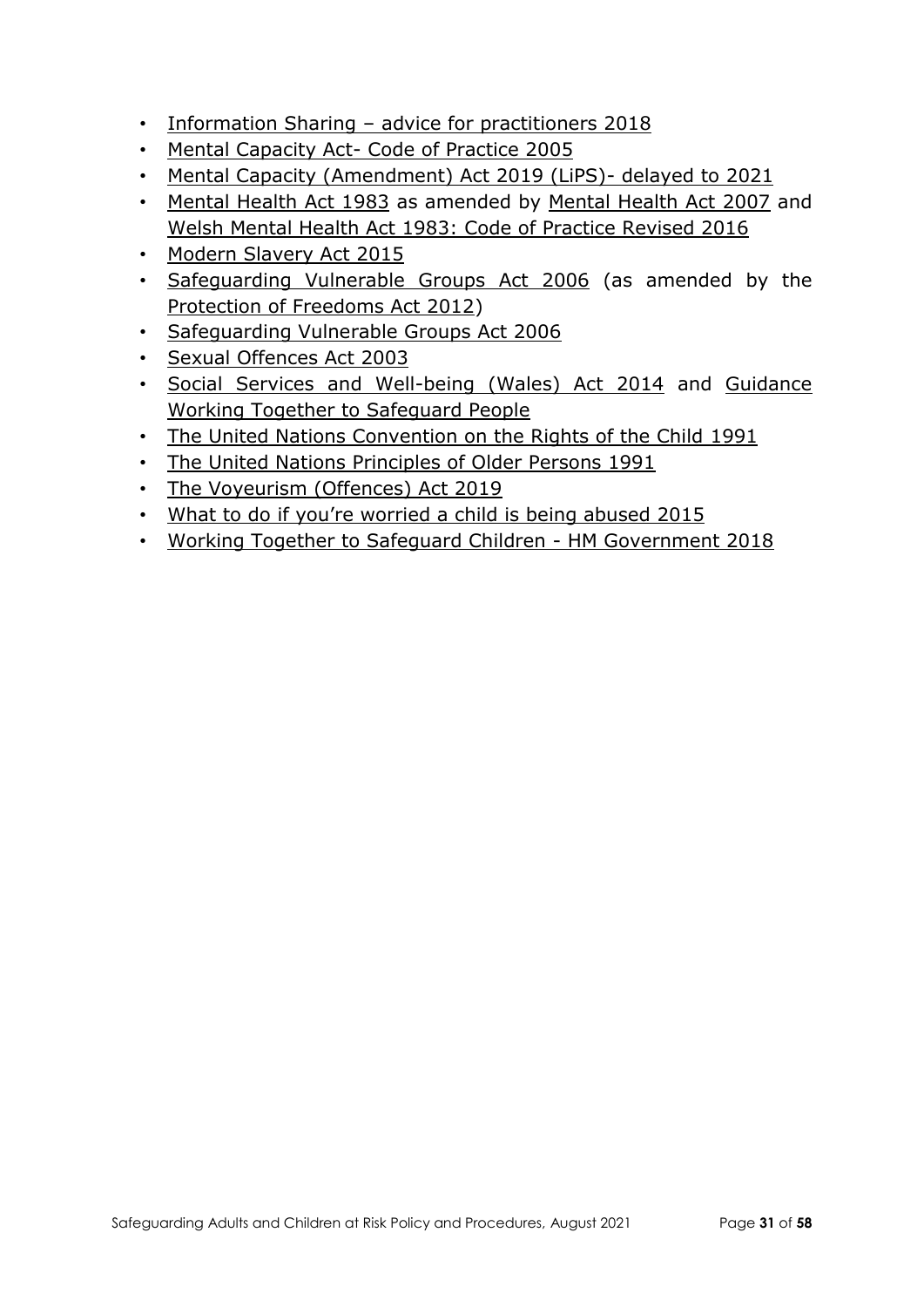- Information Sharing [advice for practitioners](https://www.gov.uk/government/publications/safeguarding-practitioners-information-sharing-advice) 2018
- Mental Capacity Act- [Code of Practice 2005](https://www.gov.uk/government/publications/mental-capacity-act-code-of-practice)
- [Mental Capacity \(Amendment\) Act 2019 \(LiPS\)-](https://www.gov.uk/government/collections/mental-capacity-amendment-act-2019-liberty-protection-safeguards-lps) delayed to 2021
- [Mental Health Act 1983](https://www.legislation.gov.uk/ukpga/1983/20/contents) as amended by [Mental Health Act 2007](https://www.legislation.gov.uk/ukpga/2007/12/contents) and [Welsh Mental Health Act 1983: Code of Practice Revised 2016](https://gov.wales/mental-health-act-1983-code-practice)
- [Modern Slavery Act 2015](https://www.legislation.gov.uk/ukpga/2015/30/contents/enacted)
- [Safeguarding Vulnerable Groups Act 2006](https://www.legislation.gov.uk/ukpga/2006/47/contents) (as amended by the [Protection of Freedoms Act 2012\)](http://www.legislation.gov.uk/ukpga/2012/9/part/5/enacted)
- [Safeguarding Vulnerable Groups Act 2006](https://www.legislation.gov.uk/ukpga/2006/47/contents)
- [Sexual Offences Act 2003](https://www.legislation.gov.uk/ukpga/2003/42/contents)
- [Social Services and Well-being \(Wales\) Act 2014](https://www.legislation.gov.uk/anaw/2014/4/contents) and [Guidance](https://gov.wales/safeguarding-guidance)  [Working Together to Safeguard People](https://gov.wales/safeguarding-guidance)
- [The United Nations Convention on the Rights of the Child](https://www.unicef.org.uk/what-we-do/un-convention-child-rights/) 1991
- [The United Nations Principles of Older Persons 1991](https://www.ohchr.org/EN/ProfessionalInterest/Pages/OlderPersons.aspx)
- [The Voyeurism \(Offences\) Act 2019](https://www.gov.uk/government/publications/implementation-of-the-voyeurism-offences-act-2019)
- [What to do if you're worried a child is being abused 2015](https://www.gov.uk/government/publications/what-to-do-if-youre-worried-a-child-is-being-abused--2)
- [Working Together to Safeguard Children -](https://www.gov.uk/government/publications/working-together-to-safeguard-children--2) HM Government 2018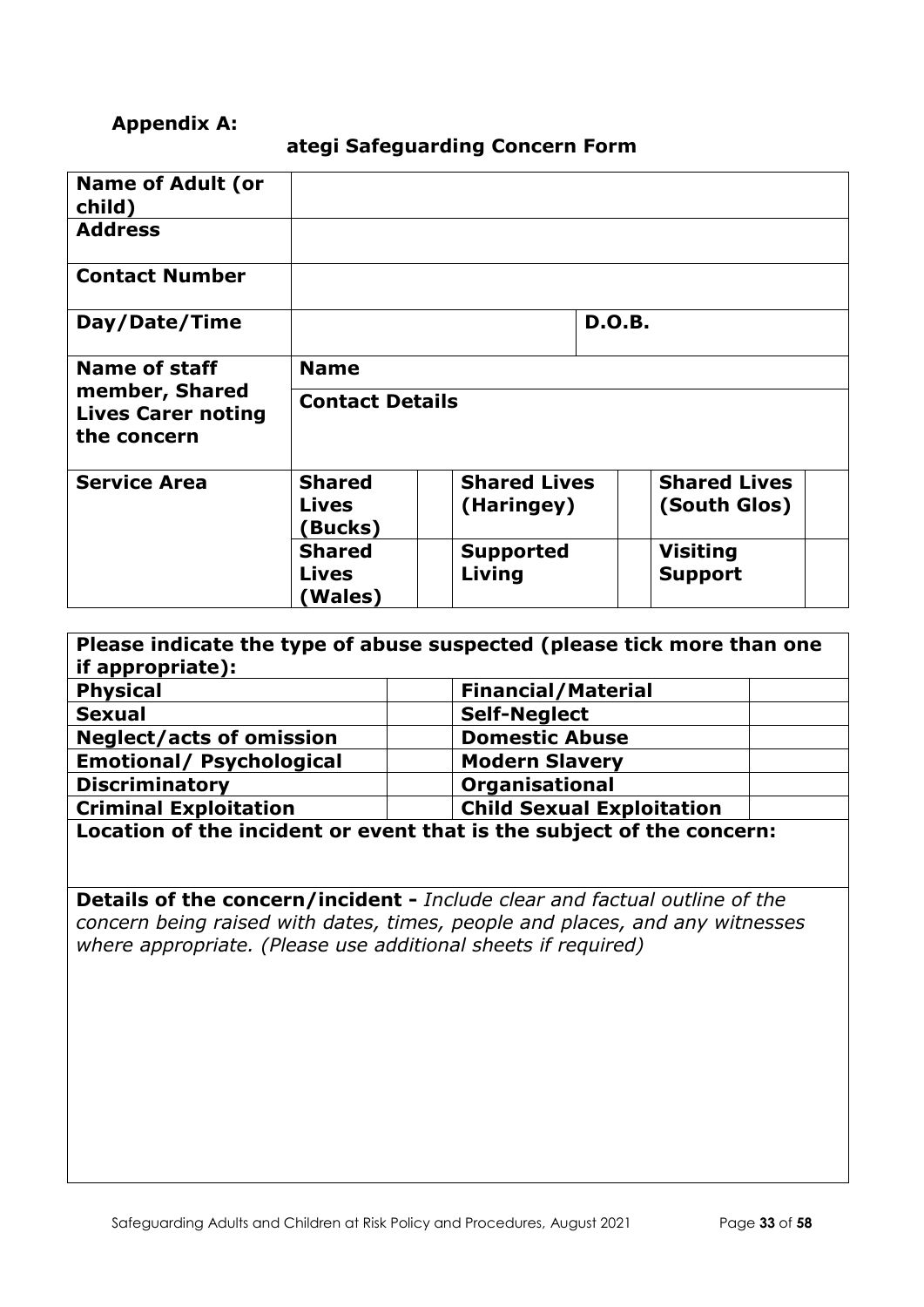### **Appendix A:**

### **ategi Safeguarding Concern Form**

| <b>Name of Adult (or</b><br>child)                         |                                |                     |               |                     |  |
|------------------------------------------------------------|--------------------------------|---------------------|---------------|---------------------|--|
| <b>Address</b>                                             |                                |                     |               |                     |  |
| <b>Contact Number</b>                                      |                                |                     |               |                     |  |
| Day/Date/Time                                              |                                |                     | <b>D.O.B.</b> |                     |  |
| <b>Name of staff</b>                                       | <b>Name</b>                    |                     |               |                     |  |
| member, Shared<br><b>Lives Carer noting</b><br>the concern | <b>Contact Details</b>         |                     |               |                     |  |
| <b>Service Area</b>                                        | <b>Shared</b>                  | <b>Shared Lives</b> |               | <b>Shared Lives</b> |  |
|                                                            | <b>Lives</b><br><b>(Bucks)</b> | (Haringey)          |               | (South Glos)        |  |
|                                                            | <b>Shared</b>                  | <b>Supported</b>    |               | <b>Visiting</b>     |  |
|                                                            | <b>Lives</b><br>(Wales)        | Living              |               | <b>Support</b>      |  |
|                                                            |                                |                     |               |                     |  |

| if appropriate):                                                 | Please indicate the type of abuse suspected (please tick more than one         |  |
|------------------------------------------------------------------|--------------------------------------------------------------------------------|--|
| <b>Physical</b>                                                  | <b>Financial/Material</b>                                                      |  |
| <b>Sexual</b>                                                    | <b>Self-Neglect</b>                                                            |  |
| <b>Neglect/acts of omission</b>                                  | <b>Domestic Abuse</b>                                                          |  |
| <b>Emotional/ Psychological</b>                                  | <b>Modern Slavery</b>                                                          |  |
| <b>Discriminatory</b>                                            | <b>Organisational</b>                                                          |  |
| <b>Child Sexual Exploitation</b><br><b>Criminal Exploitation</b> |                                                                                |  |
|                                                                  | $\Box$ a sation of the insident on organiziest is the subject of the conseque: |  |

**Location of the incident or event that is the subject of the concern:** 

**Details of the concern/incident -** *Include clear and factual outline of the concern being raised with dates, times, people and places, and any witnesses where appropriate. (Please use additional sheets if required)*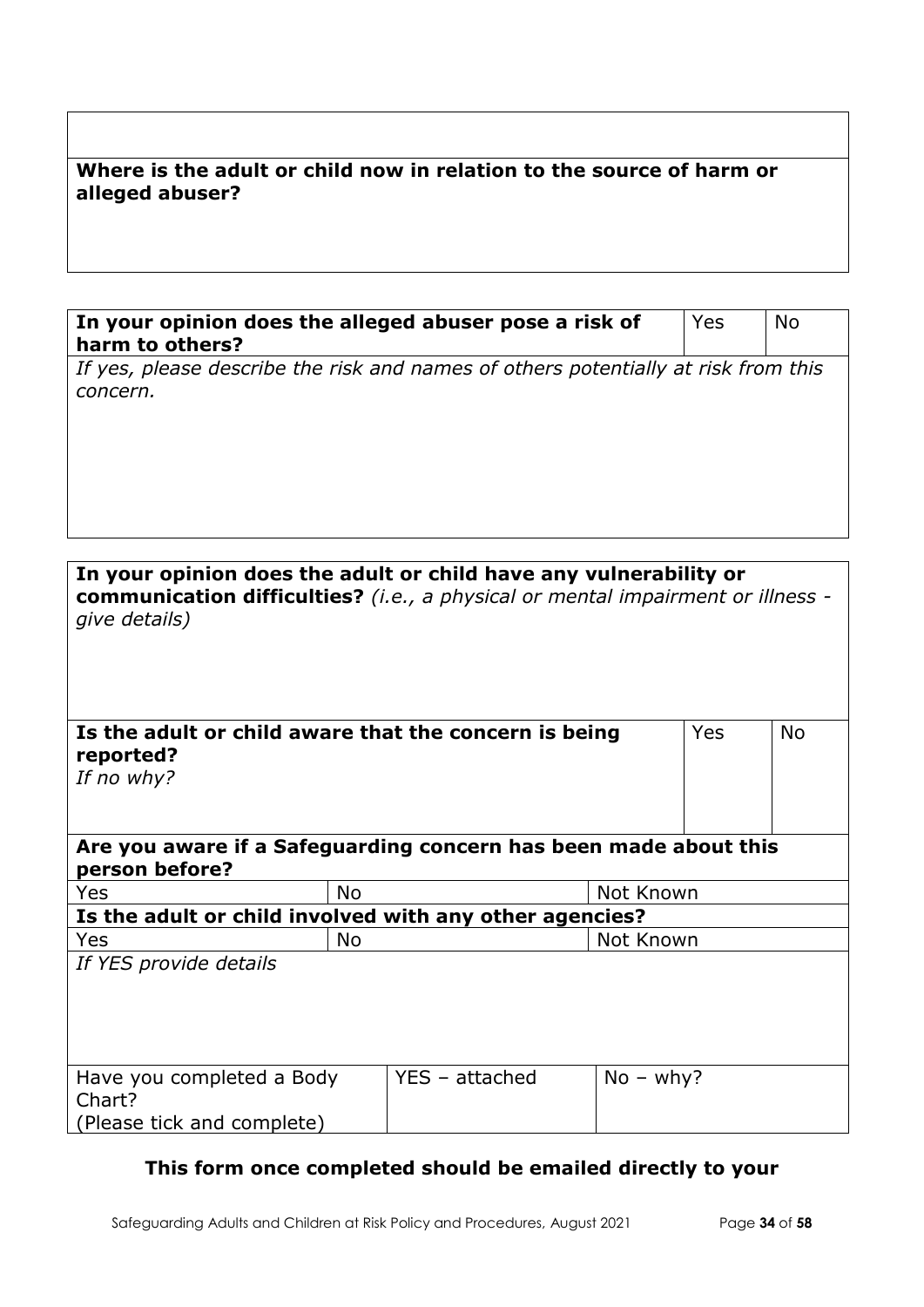## **Where is the adult or child now in relation to the source of harm or alleged abuser?**

| In your opinion does the alleged abuser pose a risk of<br>harm to others?                      | Yes | No. |
|------------------------------------------------------------------------------------------------|-----|-----|
| If yes, please describe the risk and names of others potentially at risk from this<br>concern. |     |     |
|                                                                                                |     |     |

| In your opinion does the adult or child have any vulnerability or<br>communication difficulties? (i.e., a physical or mental impairment or illness -<br>give details) |                |             |            |           |
|-----------------------------------------------------------------------------------------------------------------------------------------------------------------------|----------------|-------------|------------|-----------|
| Is the adult or child aware that the concern is being<br>reported?<br>If no why?                                                                                      |                |             | <b>Yes</b> | <b>No</b> |
| Are you aware if a Safeguarding concern has been made about this<br>person before?                                                                                    |                |             |            |           |
| Yes<br><b>No</b>                                                                                                                                                      |                | Not Known   |            |           |
| Is the adult or child involved with any other agencies?                                                                                                               |                |             |            |           |
| <b>Yes</b><br><b>No</b>                                                                                                                                               |                | Not Known   |            |           |
| If YES provide details                                                                                                                                                |                |             |            |           |
| Have you completed a Body<br>Chart?<br>(Please tick and complete)                                                                                                     | YES - attached | $No - why?$ |            |           |

## **This form once completed should be emailed directly to your**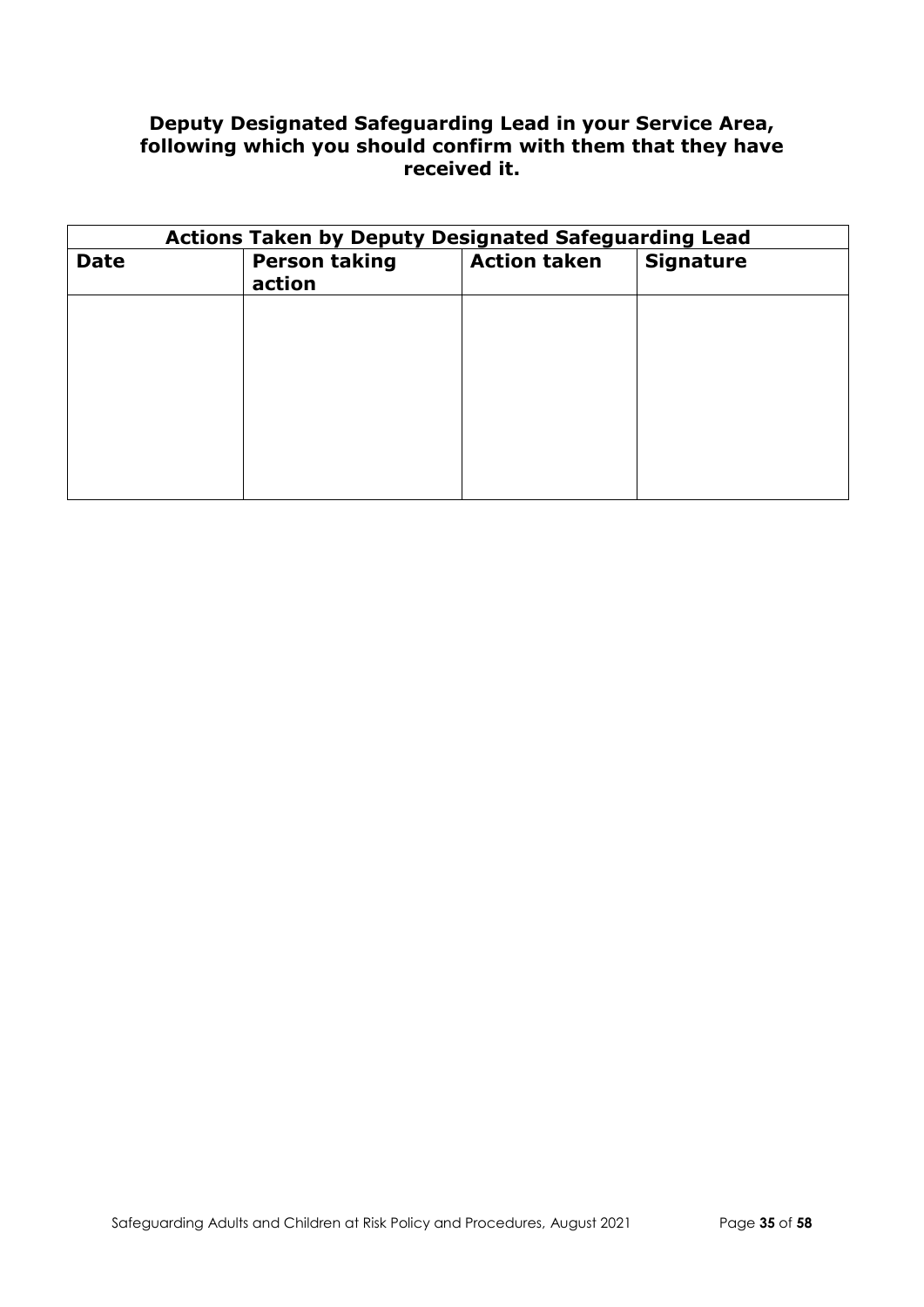### **Deputy Designated Safeguarding Lead in your Service Area, following which you should confirm with them that they have received it.**

| <b>Actions Taken by Deputy Designated Safeguarding Lead</b> |                                |                     |                  |
|-------------------------------------------------------------|--------------------------------|---------------------|------------------|
| <b>Date</b>                                                 | <b>Person taking</b><br>action | <b>Action taken</b> | <b>Signature</b> |
|                                                             |                                |                     |                  |
|                                                             |                                |                     |                  |
|                                                             |                                |                     |                  |
|                                                             |                                |                     |                  |
|                                                             |                                |                     |                  |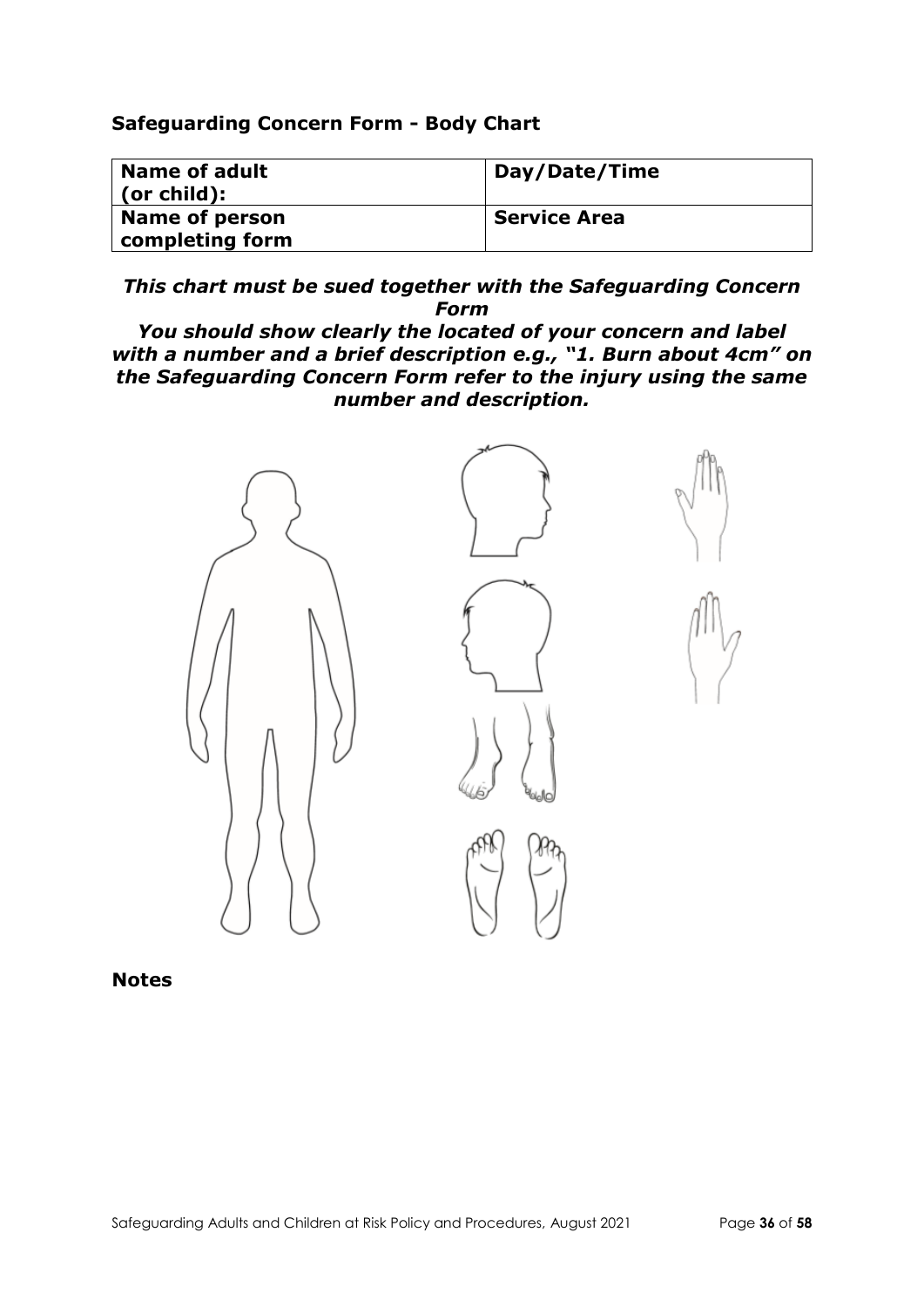### **Safeguarding Concern Form - Body Chart**

| Name of adult<br>  (or child): | Day/Date/Time       |
|--------------------------------|---------------------|
| Name of person                 | <b>Service Area</b> |
| completing form                |                     |

*This chart must be sued together with the Safeguarding Concern Form*

*You should show clearly the located of your concern and label with a number and a brief description e.g., "1. Burn about 4cm" on the Safeguarding Concern Form refer to the injury using the same number and description.*



**Notes**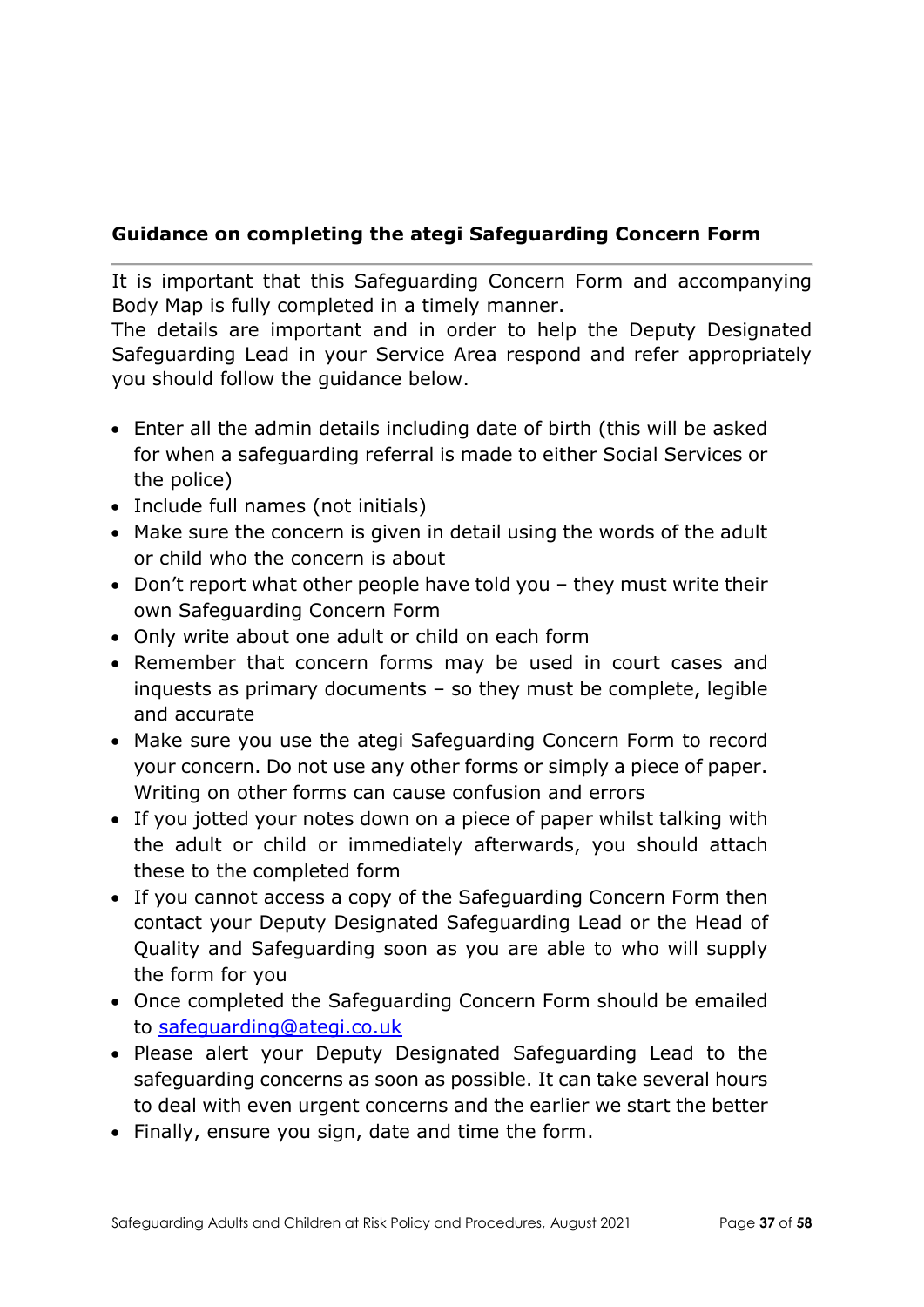## **Guidance on completing the ategi Safeguarding Concern Form**

It is important that this Safeguarding Concern Form and accompanying Body Map is fully completed in a timely manner.

The details are important and in order to help the Deputy Designated Safeguarding Lead in your Service Area respond and refer appropriately you should follow the guidance below.

- Enter all the admin details including date of birth (this will be asked for when a safeguarding referral is made to either Social Services or the police)
- Include full names (not initials)
- Make sure the concern is given in detail using the words of the adult or child who the concern is about
- Don't report what other people have told you they must write their own Safeguarding Concern Form
- Only write about one adult or child on each form
- Remember that concern forms may be used in court cases and inquests as primary documents – so they must be complete, legible and accurate
- Make sure you use the ategi Safeguarding Concern Form to record your concern. Do not use any other forms or simply a piece of paper. Writing on other forms can cause confusion and errors
- If you jotted your notes down on a piece of paper whilst talking with the adult or child or immediately afterwards, you should attach these to the completed form
- If you cannot access a copy of the Safeguarding Concern Form then contact your Deputy Designated Safeguarding Lead or the Head of Quality and Safeguarding soon as you are able to who will supply the form for you
- Once completed the Safeguarding Concern Form should be emailed to [safeguarding@ategi.co.uk](mailto:safeguarding@ategi.co.uk)
- Please alert your Deputy Designated Safeguarding Lead to the safeguarding concerns as soon as possible. It can take several hours to deal with even urgent concerns and the earlier we start the better
- Finally, ensure you sign, date and time the form.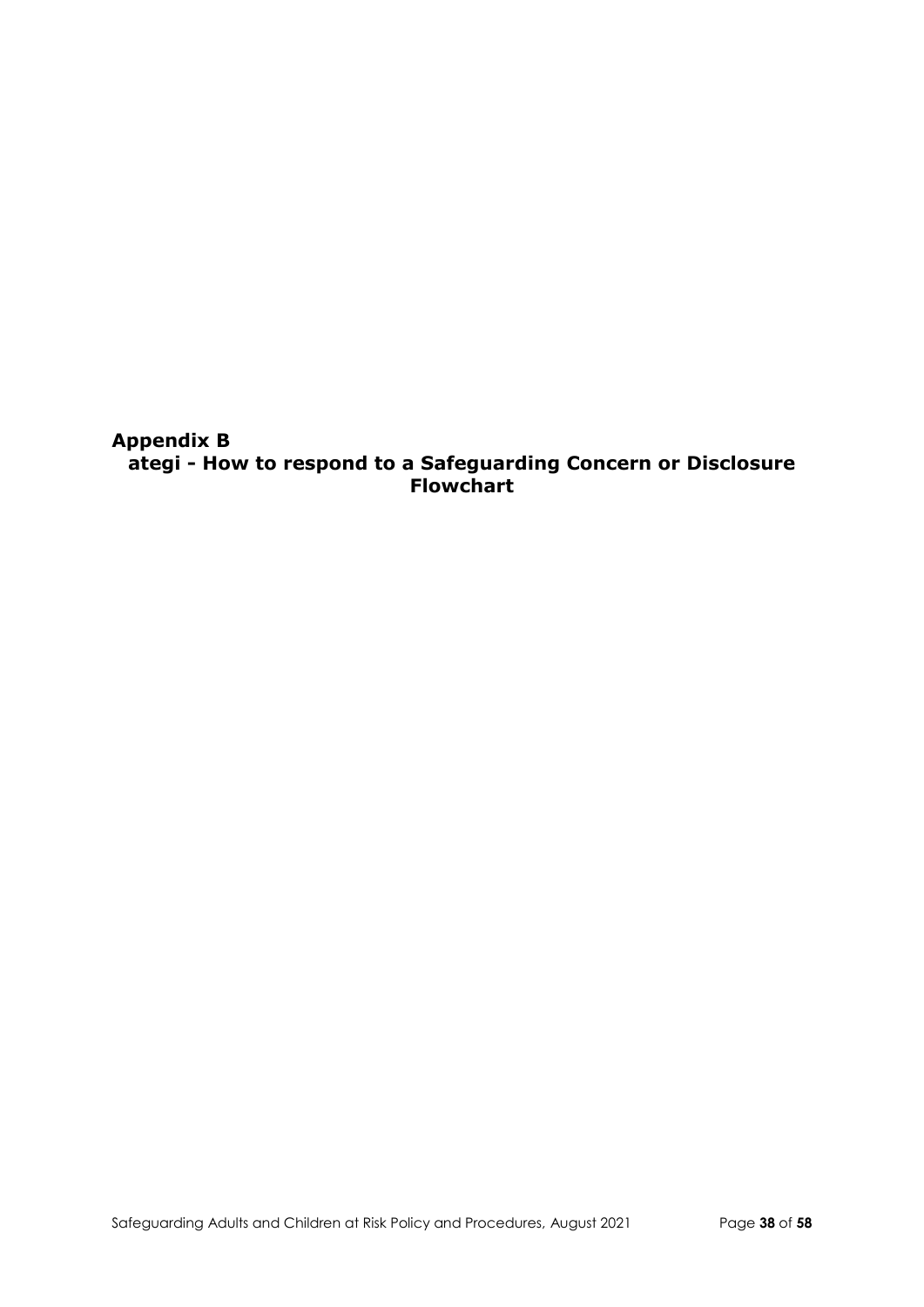**Appendix B ategi - How to respond to a Safeguarding Concern or Disclosure Flowchart**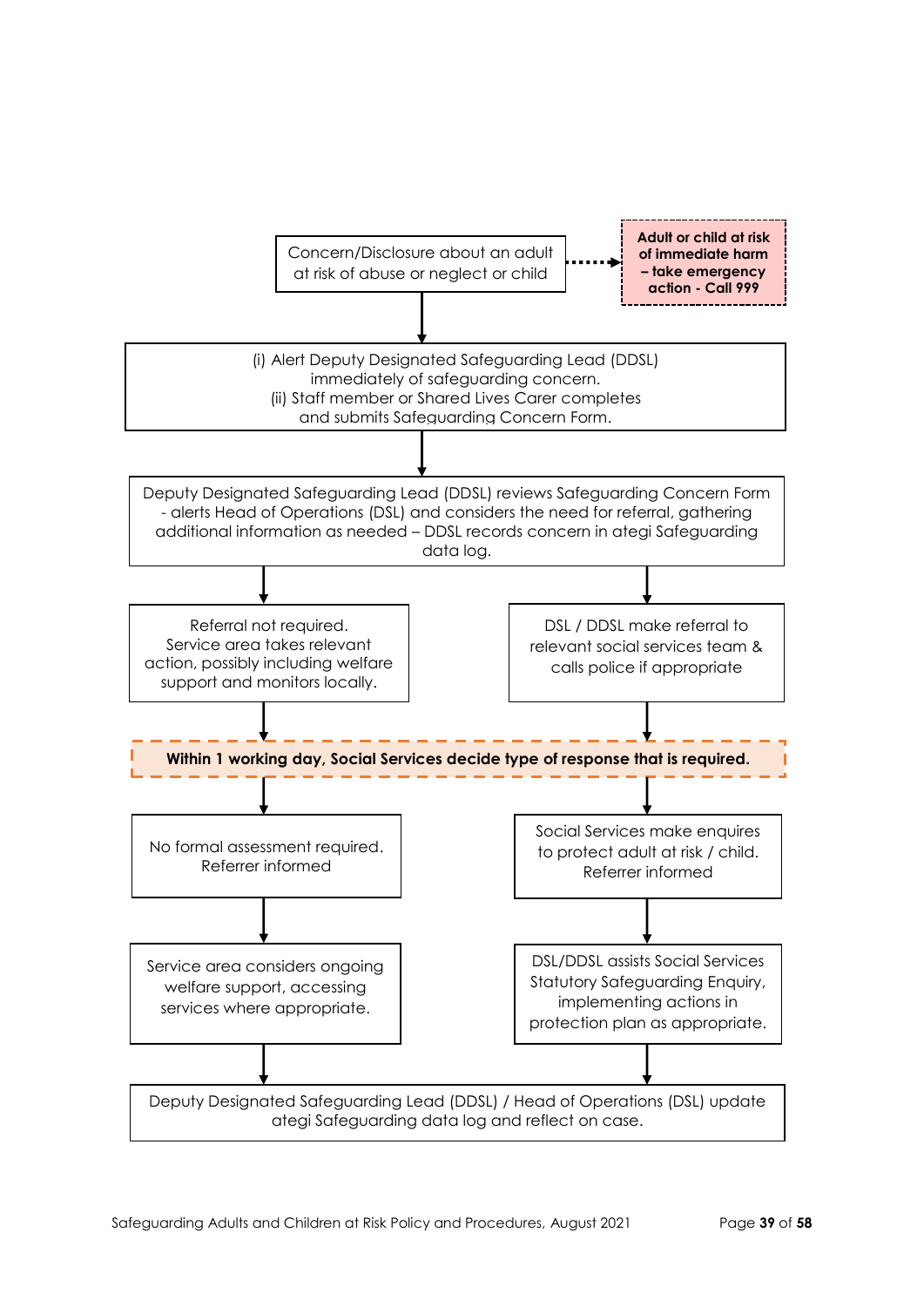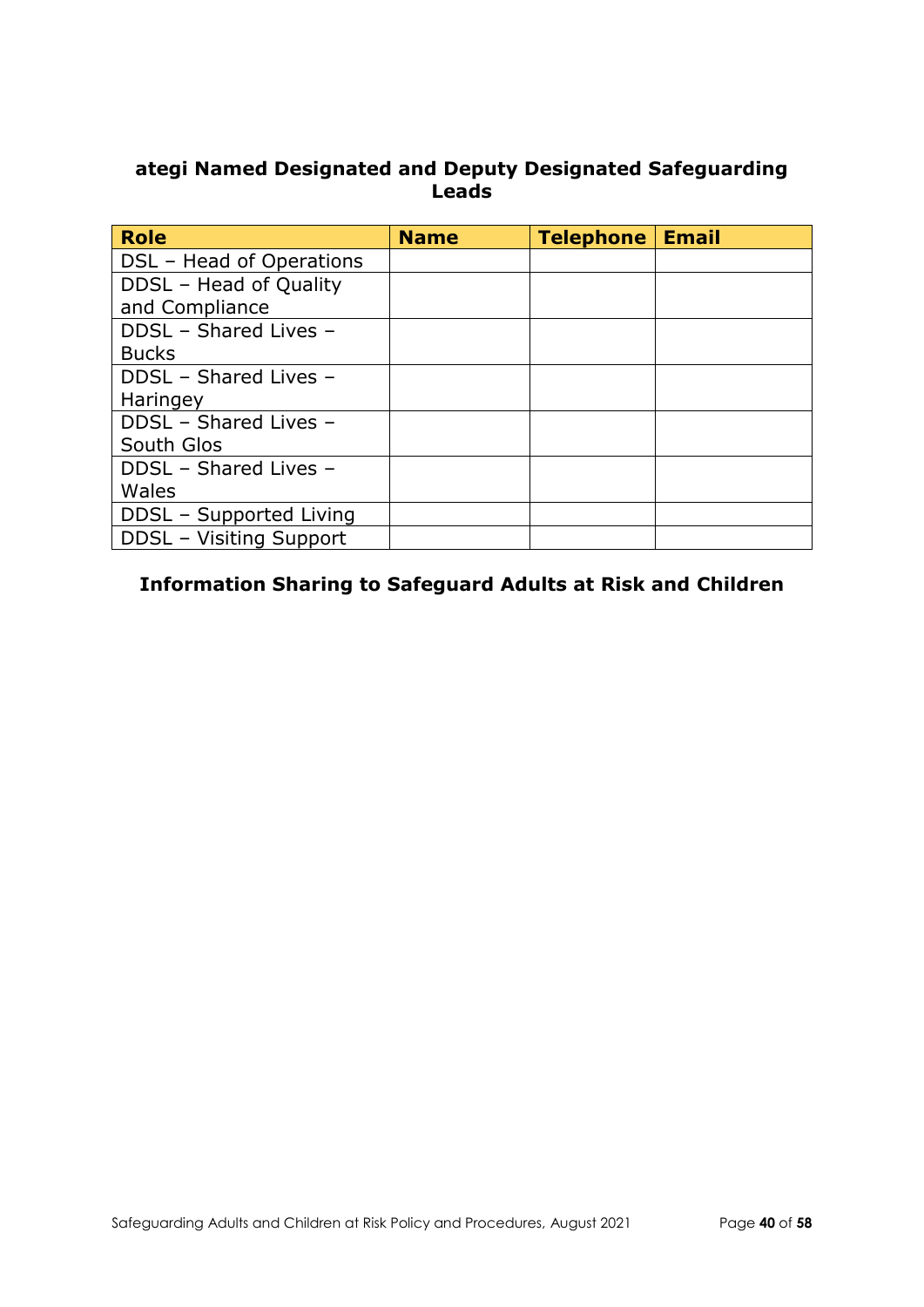### **ategi Named Designated and Deputy Designated Safeguarding Leads**

| <b>Role</b>              | <b>Name</b> | Telephone   Email |  |
|--------------------------|-------------|-------------------|--|
| DSL - Head of Operations |             |                   |  |
| DDSL - Head of Quality   |             |                   |  |
| and Compliance           |             |                   |  |
| DDSL - Shared Lives -    |             |                   |  |
| <b>Bucks</b>             |             |                   |  |
| DDSL - Shared Lives -    |             |                   |  |
| Haringey                 |             |                   |  |
| DDSL - Shared Lives -    |             |                   |  |
| South Glos               |             |                   |  |
| DDSL - Shared Lives -    |             |                   |  |
| Wales                    |             |                   |  |
| DDSL - Supported Living  |             |                   |  |
| DDSL - Visiting Support  |             |                   |  |

## **Information Sharing to Safeguard Adults at Risk and Children**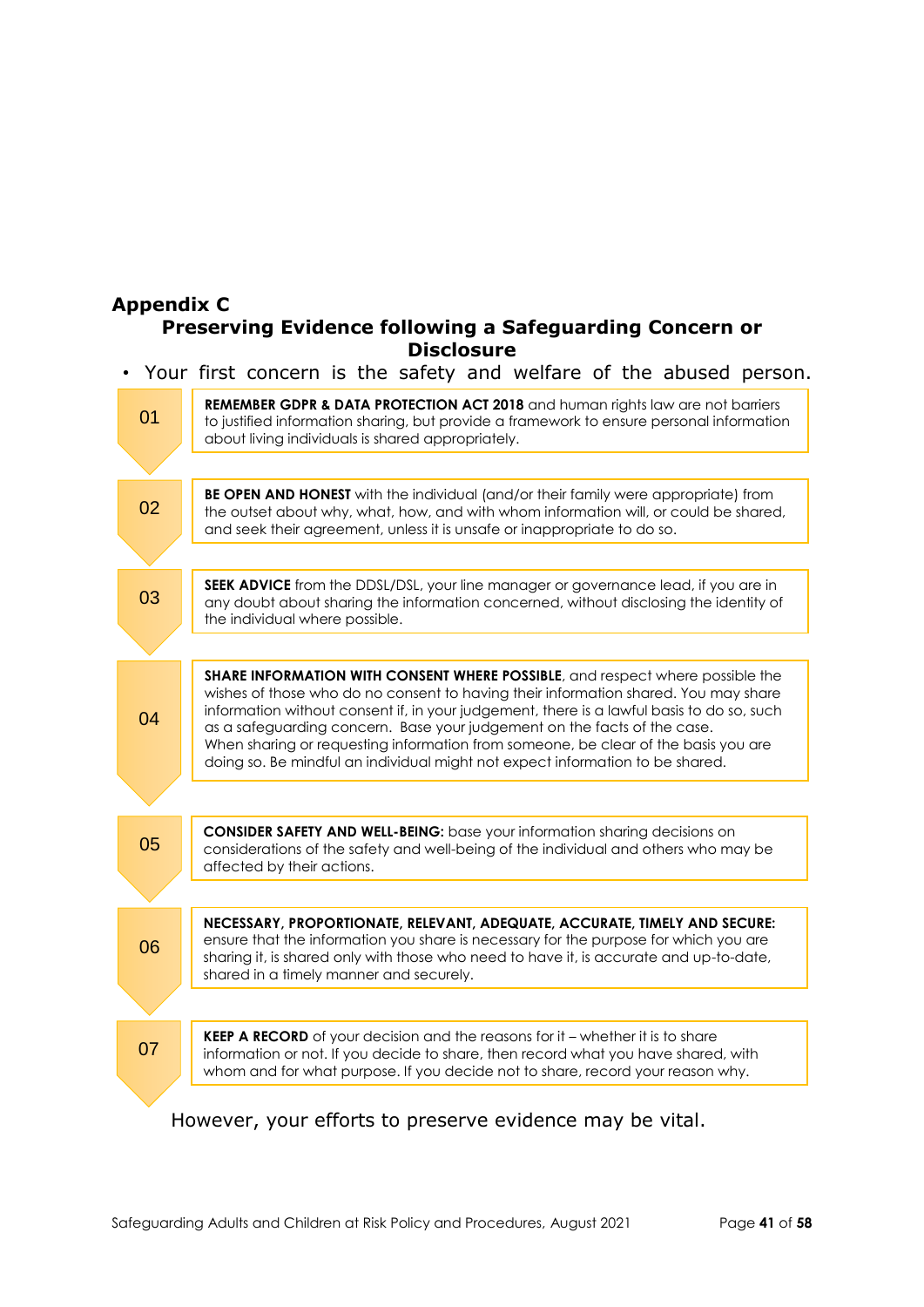#### **Appendix C Preserving Evidence following a Safeguarding Concern or Disclosure**

• Your first concern is the safety and welfare of the abused person.

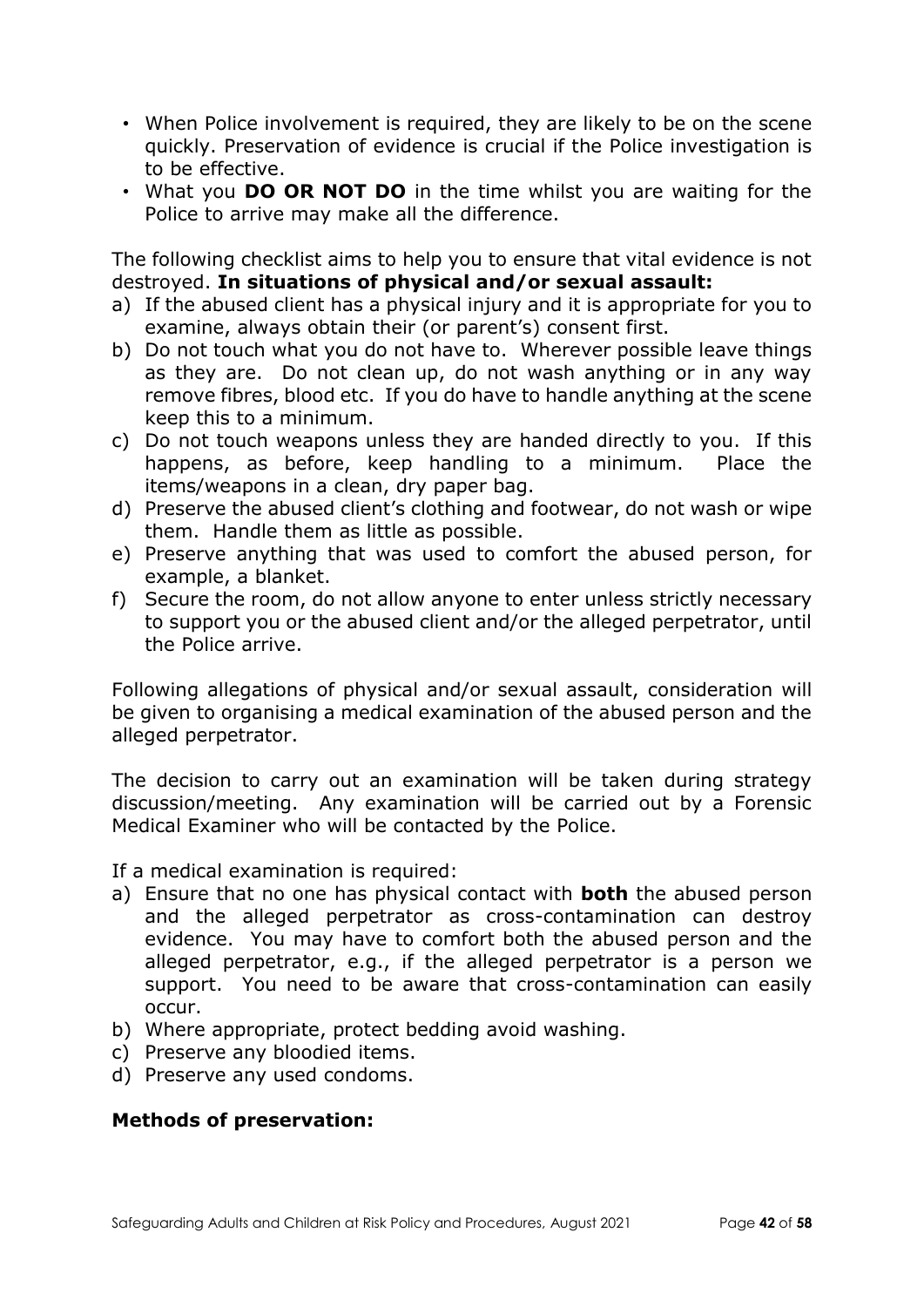- When Police involvement is required, they are likely to be on the scene quickly. Preservation of evidence is crucial if the Police investigation is to be effective.
- What you **DO OR NOT DO** in the time whilst you are waiting for the Police to arrive may make all the difference.

The following checklist aims to help you to ensure that vital evidence is not destroyed. **In situations of physical and/or sexual assault:**

- a) If the abused client has a physical injury and it is appropriate for you to examine, always obtain their (or parent's) consent first.
- b) Do not touch what you do not have to. Wherever possible leave things as they are. Do not clean up, do not wash anything or in any way remove fibres, blood etc. If you do have to handle anything at the scene keep this to a minimum.
- c) Do not touch weapons unless they are handed directly to you. If this happens, as before, keep handling to a minimum. Place the items/weapons in a clean, dry paper bag.
- d) Preserve the abused client's clothing and footwear, do not wash or wipe them. Handle them as little as possible.
- e) Preserve anything that was used to comfort the abused person, for example, a blanket.
- f) Secure the room, do not allow anyone to enter unless strictly necessary to support you or the abused client and/or the alleged perpetrator, until the Police arrive.

Following allegations of physical and/or sexual assault, consideration will be given to organising a medical examination of the abused person and the alleged perpetrator.

The decision to carry out an examination will be taken during strategy discussion/meeting. Any examination will be carried out by a Forensic Medical Examiner who will be contacted by the Police.

If a medical examination is required:

- a) Ensure that no one has physical contact with **both** the abused person and the alleged perpetrator as cross-contamination can destroy evidence. You may have to comfort both the abused person and the alleged perpetrator, e.g., if the alleged perpetrator is a person we support. You need to be aware that cross-contamination can easily occur.
- b) Where appropriate, protect bedding avoid washing.
- c) Preserve any bloodied items.
- d) Preserve any used condoms.

### **Methods of preservation:**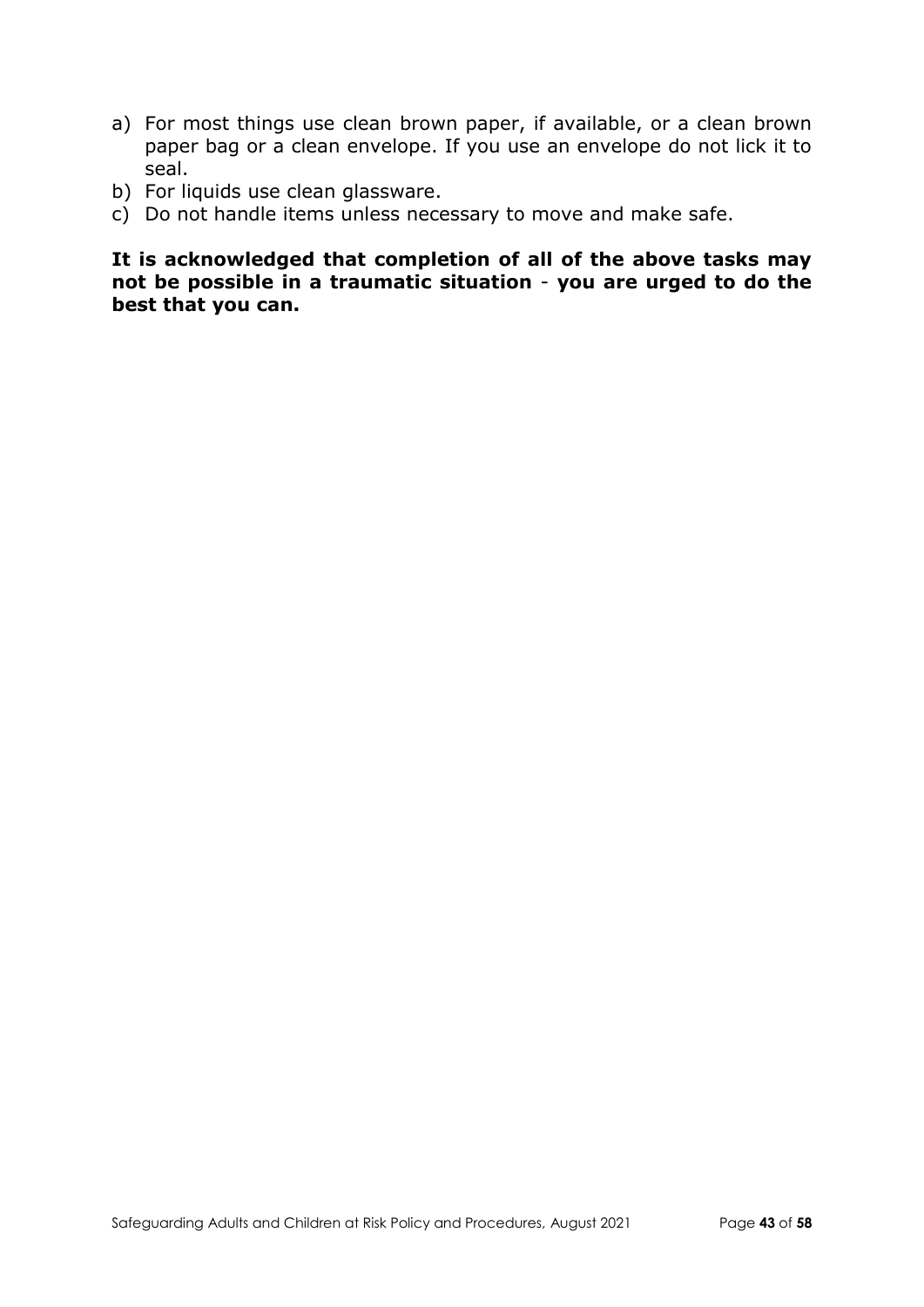- a) For most things use clean brown paper, if available, or a clean brown paper bag or a clean envelope. If you use an envelope do not lick it to seal.
- b) For liquids use clean glassware.
- c) Do not handle items unless necessary to move and make safe.

**It is acknowledged that completion of all of the above tasks may not be possible in a traumatic situation** - **you are urged to do the best that you can.**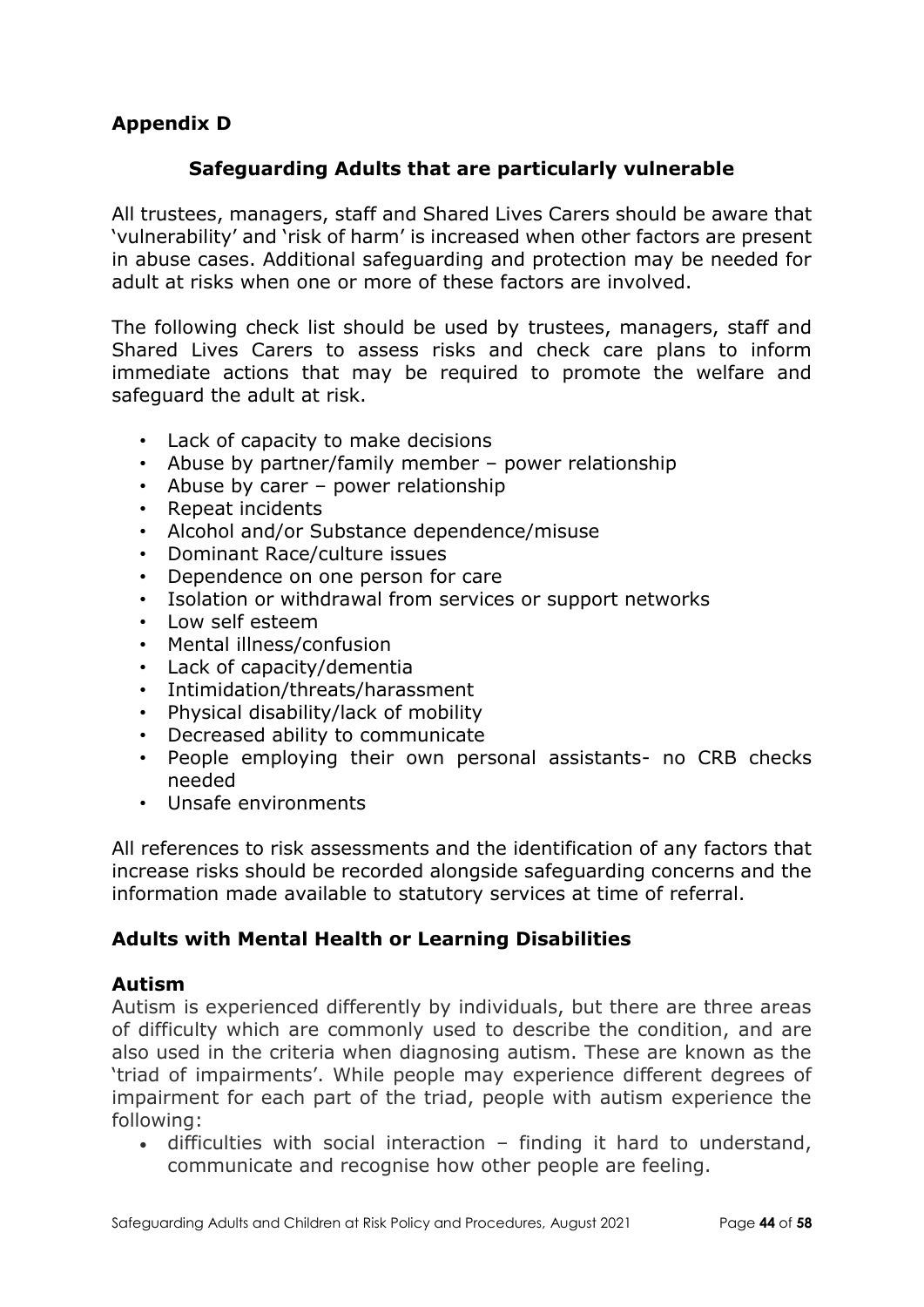## **Appendix D**

### **Safeguarding Adults that are particularly vulnerable**

All trustees, managers, staff and Shared Lives Carers should be aware that 'vulnerability' and 'risk of harm' is increased when other factors are present in abuse cases. Additional safeguarding and protection may be needed for adult at risks when one or more of these factors are involved.

The following check list should be used by trustees, managers, staff and Shared Lives Carers to assess risks and check care plans to inform immediate actions that may be required to promote the welfare and safeguard the adult at risk.

- Lack of capacity to make decisions
- Abuse by partner/family member power relationship
- Abuse by carer power relationship
- Repeat incidents
- Alcohol and/or Substance dependence/misuse
- Dominant Race/culture issues
- Dependence on one person for care
- Isolation or withdrawal from services or support networks
- Low self esteem
- Mental illness/confusion
- Lack of capacity/dementia
- Intimidation/threats/harassment
- Physical disability/lack of mobility
- Decreased ability to communicate
- People employing their own personal assistants- no CRB checks needed
- Unsafe environments

All references to risk assessments and the identification of any factors that increase risks should be recorded alongside safeguarding concerns and the information made available to statutory services at time of referral.

### **Adults with Mental Health or Learning Disabilities**

#### **Autism**

Autism is experienced differently by individuals, but there are three areas of difficulty which are commonly used to describe the condition, and are also used in the criteria when diagnosing autism. These are known as the 'triad of impairments'. While people may experience different degrees of impairment for each part of the triad, people with autism experience the following:

 difficulties with social interaction – finding it hard to understand, communicate and recognise how other people are feeling.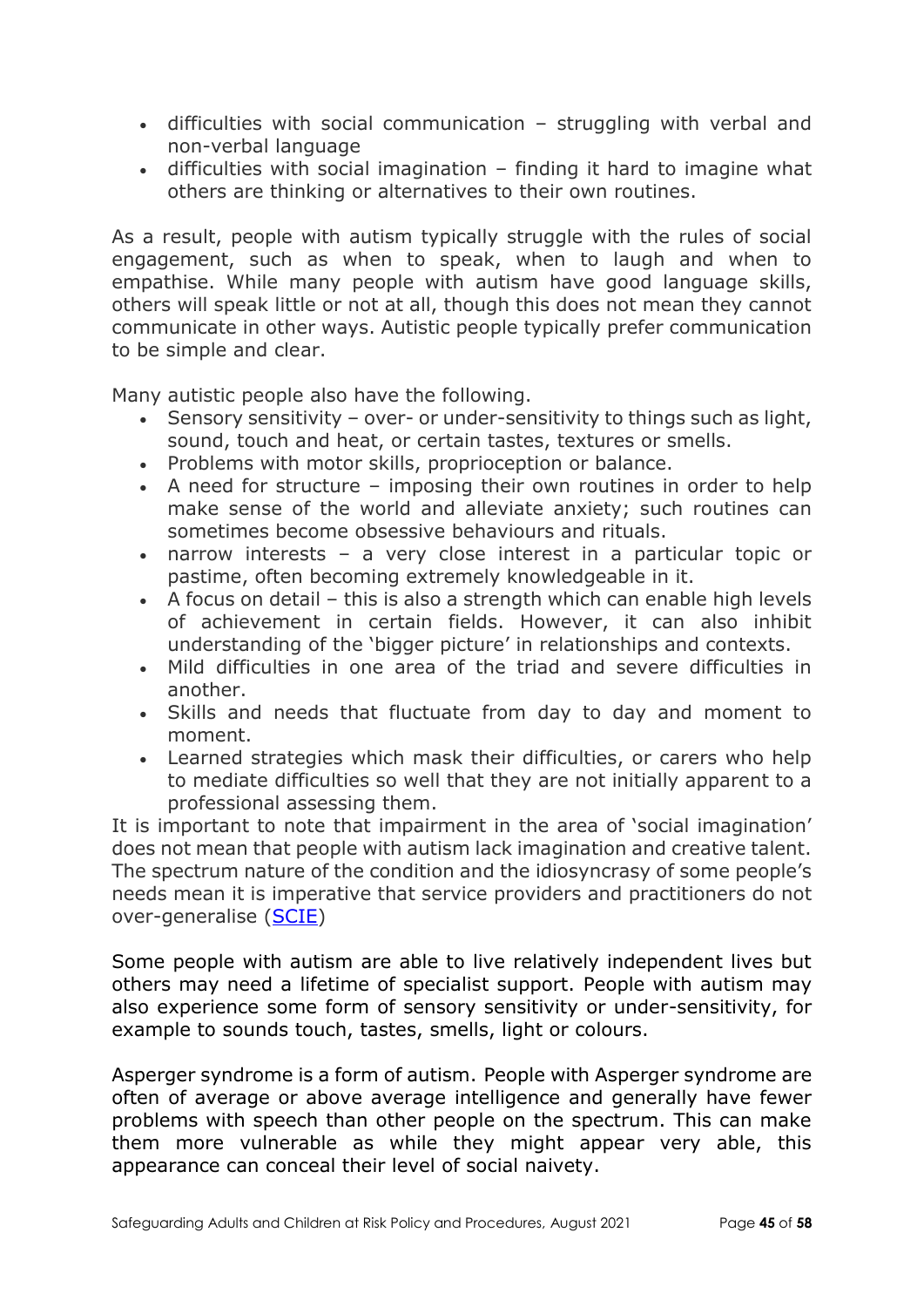- difficulties with social communication struggling with verbal and non-verbal language
- difficulties with social imagination finding it hard to imagine what others are thinking or alternatives to their own routines.

As a result, people with autism typically struggle with the rules of social engagement, such as when to speak, when to laugh and when to empathise. While many people with autism have good language skills, others will speak little or not at all, though this does not mean they cannot communicate in other ways. Autistic people typically prefer communication to be simple and clear.

Many autistic people also have the following.

- Sensory sensitivity over- or under-sensitivity to things such as light, sound, touch and heat, or certain tastes, textures or smells.
- Problems with motor skills, proprioception or balance.
- A need for structure imposing their own routines in order to help make sense of the world and alleviate anxiety; such routines can sometimes become obsessive behaviours and rituals.
- narrow interests a very close interest in a particular topic or pastime, often becoming extremely knowledgeable in it.
- A focus on detail this is also a strength which can enable high levels of achievement in certain fields. However, it can also inhibit understanding of the 'bigger picture' in relationships and contexts.
- Mild difficulties in one area of the triad and severe difficulties in another.
- Skills and needs that fluctuate from day to day and moment to moment.
- Learned strategies which mask their difficulties, or carers who help to mediate difficulties so well that they are not initially apparent to a professional assessing them.

It is important to note that impairment in the area of 'social imagination' does not mean that people with autism lack imagination and creative talent. The spectrum nature of the condition and the idiosyncrasy of some people's needs mean it is imperative that service providers and practitioners do not over-generalise [\(SCIE\)](https://www.scie.org.uk/autism/adults/main-issues/described)

Some people with autism are able to live relatively independent lives but others may need a lifetime of specialist support. People with autism may also experience some form of sensory sensitivity or under-sensitivity, for example to sounds touch, tastes, smells, light or colours.

Asperger syndrome is a form of autism. People with Asperger syndrome are often of average or above average intelligence and generally have fewer problems with speech than other people on the spectrum. This can make them more vulnerable as while they might appear very able, this appearance can conceal their level of social naivety.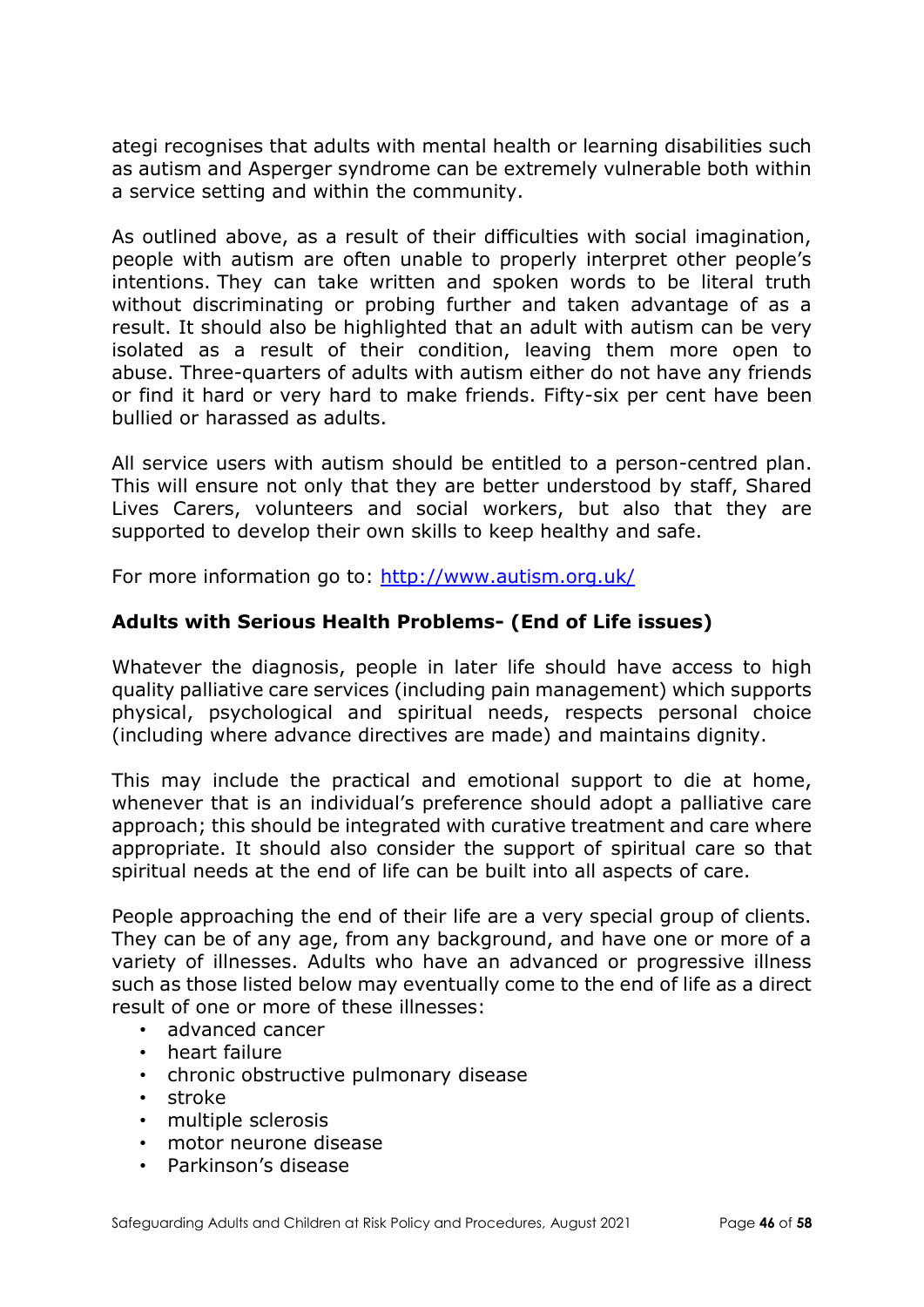ategi recognises that adults with mental health or learning disabilities such as autism and Asperger syndrome can be extremely vulnerable both within a service setting and within the community.

As outlined above, as a result of their difficulties with social imagination, people with autism are often unable to properly interpret other people's intentions. They can take written and spoken words to be literal truth without discriminating or probing further and taken advantage of as a result. It should also be highlighted that an adult with autism can be very isolated as a result of their condition, leaving them more open to abuse. Three-quarters of adults with autism either do not have any friends or find it hard or very hard to make friends. Fifty-six per cent have been bullied or harassed as adults.

All service users with autism should be entitled to a person-centred plan. This will ensure not only that they are better understood by staff, Shared Lives Carers, volunteers and social workers, but also that they are supported to develop their own skills to keep healthy and safe.

For more information go to: <http://www.autism.org.uk/>

### **Adults with Serious Health Problems- (End of Life issues)**

Whatever the diagnosis, people in later life should have access to high quality palliative care services (including pain management) which supports physical, psychological and spiritual needs, respects personal choice (including where advance directives are made) and maintains dignity.

This may include the practical and emotional support to die at home, whenever that is an individual's preference should adopt a palliative care approach; this should be integrated with curative treatment and care where appropriate. It should also consider the support of spiritual care so that spiritual needs at the end of life can be built into all aspects of care.

People approaching the end of their life are a very special group of clients. They can be of any age, from any background, and have one or more of a variety of illnesses. Adults who have an advanced or progressive illness such as those listed below may eventually come to the end of life as a direct result of one or more of these illnesses:

- advanced cancer
- heart failure
- chronic obstructive pulmonary disease
- stroke
- multiple sclerosis
- motor neurone disease
- Parkinson's disease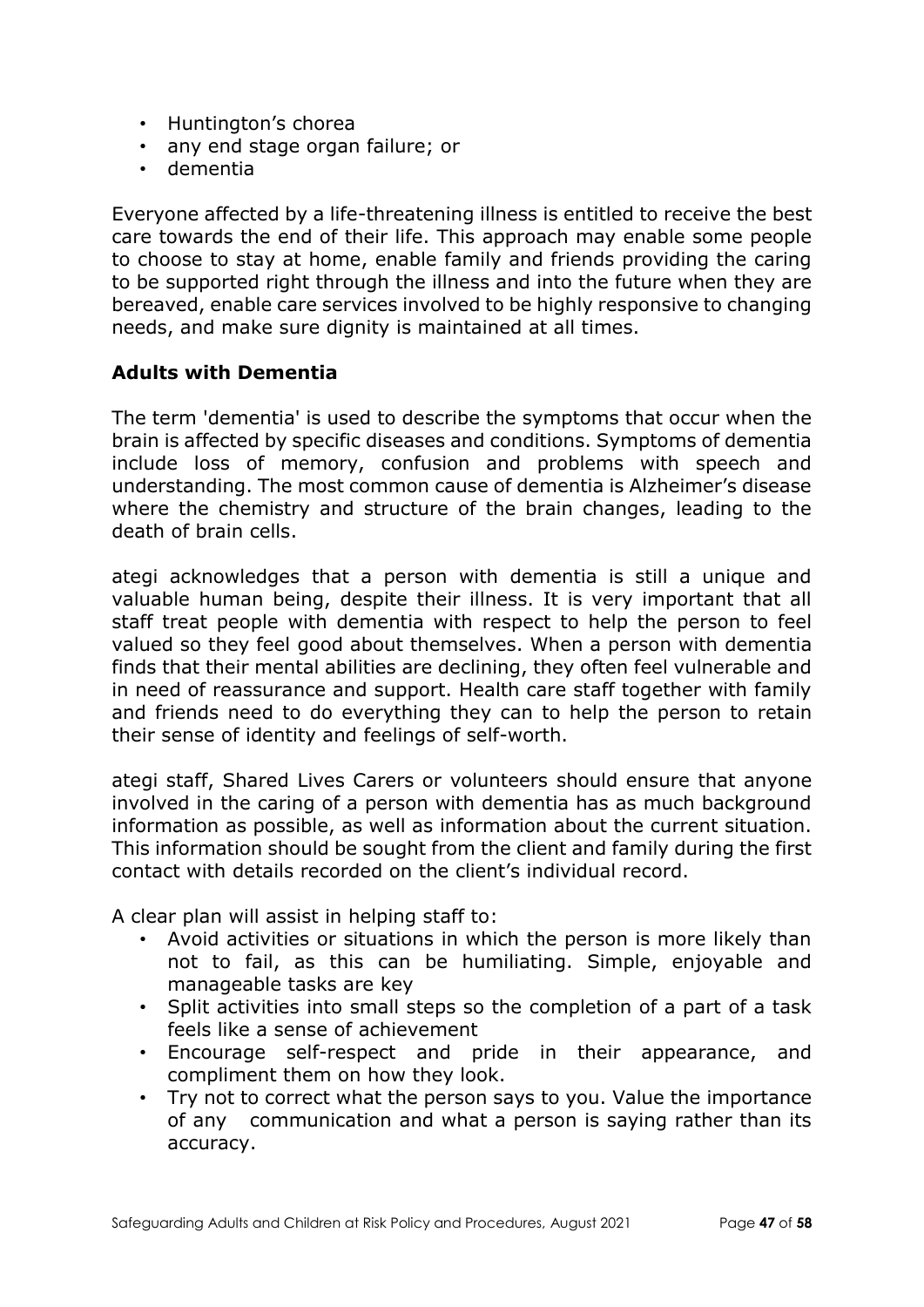- Huntington's chorea
- any end stage organ failure; or
- dementia

Everyone affected by a life-threatening illness is entitled to receive the best care towards the end of their life. This approach may enable some people to choose to stay at home, enable family and friends providing the caring to be supported right through the illness and into the future when they are bereaved, enable care services involved to be highly responsive to changing needs, and make sure dignity is maintained at all times.

### **Adults with Dementia**

The term 'dementia' is used to describe the symptoms that occur when the brain is affected by specific diseases and conditions. Symptoms of dementia include loss of memory, confusion and problems with speech and understanding. The most common cause of dementia is Alzheimer's disease where the chemistry and structure of the brain changes, leading to the death of brain cells.

ategi acknowledges that a person with dementia is still a unique and valuable human being, despite their illness. It is very important that all staff treat people with dementia with respect to help the person to feel valued so they feel good about themselves. When a person with dementia finds that their mental abilities are declining, they often feel vulnerable and in need of reassurance and support. Health care staff together with family and friends need to do everything they can to help the person to retain their sense of identity and feelings of self-worth.

ategi staff, Shared Lives Carers or volunteers should ensure that anyone involved in the caring of a person with dementia has as much background information as possible, as well as information about the current situation. This information should be sought from the client and family during the first contact with details recorded on the client's individual record.

A clear plan will assist in helping staff to:

- Avoid activities or situations in which the person is more likely than not to fail, as this can be humiliating. Simple, enjoyable and manageable tasks are key
- Split activities into small steps so the completion of a part of a task feels like a sense of achievement
- Encourage self-respect and pride in their appearance, and compliment them on how they look.
- Try not to correct what the person says to you. Value the importance of any communication and what a person is saying rather than its accuracy.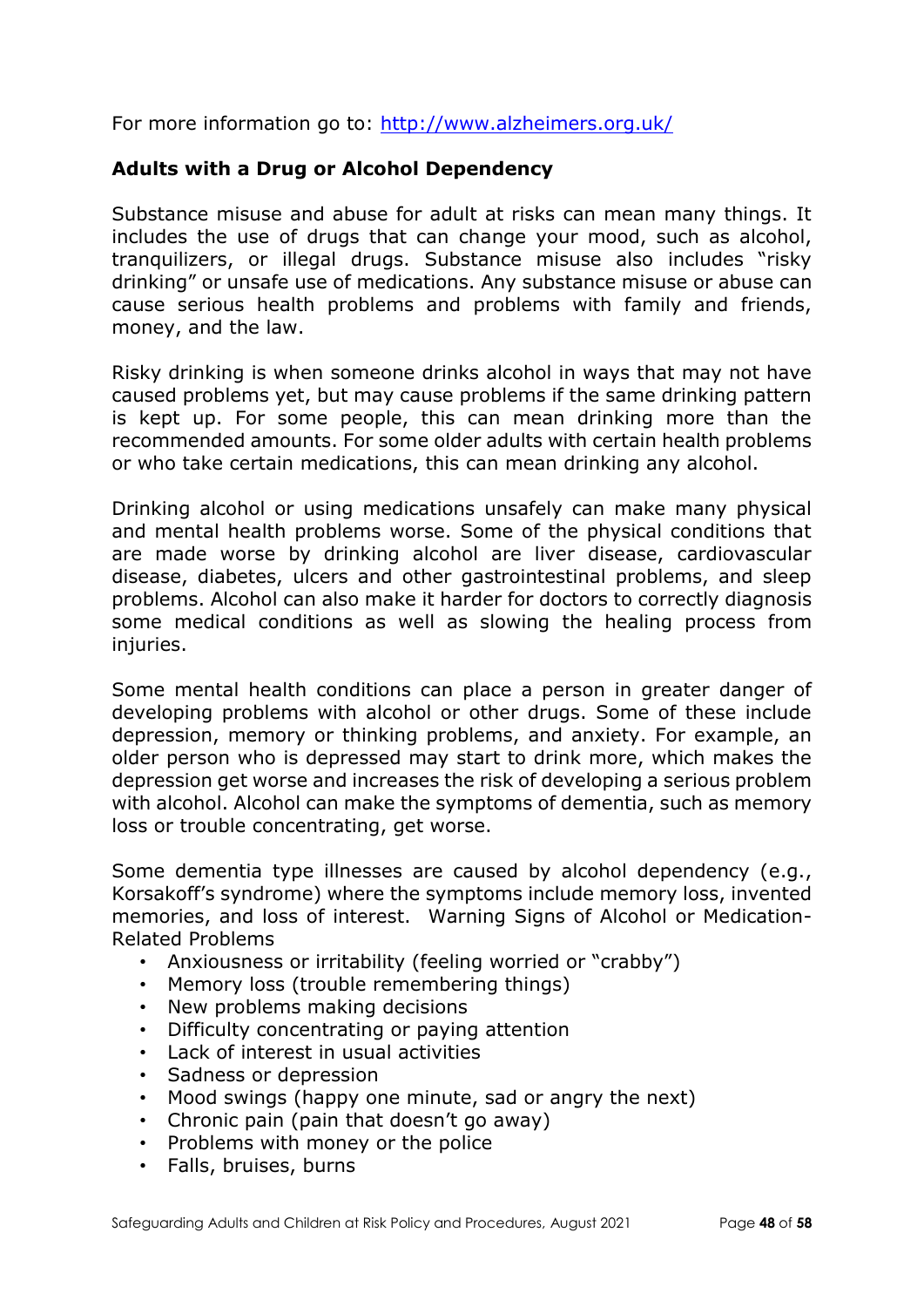For more information go to:<http://www.alzheimers.org.uk/>

### **Adults with a Drug or Alcohol Dependency**

Substance misuse and abuse for adult at risks can mean many things. It includes the use of drugs that can change your mood, such as alcohol, tranquilizers, or illegal drugs. Substance misuse also includes "risky drinking" or unsafe use of medications. Any substance misuse or abuse can cause serious health problems and problems with family and friends, money, and the law.

Risky drinking is when someone drinks alcohol in ways that may not have caused problems yet, but may cause problems if the same drinking pattern is kept up. For some people, this can mean drinking more than the recommended amounts. For some older adults with certain health problems or who take certain medications, this can mean drinking any alcohol.

Drinking alcohol or using medications unsafely can make many physical and mental health problems worse. Some of the physical conditions that are made worse by drinking alcohol are liver disease, cardiovascular disease, diabetes, ulcers and other gastrointestinal problems, and sleep problems. Alcohol can also make it harder for doctors to correctly diagnosis some medical conditions as well as slowing the healing process from injuries.

Some mental health conditions can place a person in greater danger of developing problems with alcohol or other drugs. Some of these include depression, memory or thinking problems, and anxiety. For example, an older person who is depressed may start to drink more, which makes the depression get worse and increases the risk of developing a serious problem with alcohol. Alcohol can make the symptoms of dementia, such as memory loss or trouble concentrating, get worse.

Some dementia type illnesses are caused by alcohol dependency (e.g., Korsakoff's syndrome) where the symptoms include memory loss, invented memories, and loss of interest. Warning Signs of Alcohol or Medication-Related Problems

- Anxiousness or irritability (feeling worried or "crabby")
- Memory loss (trouble remembering things)
- New problems making decisions
- Difficulty concentrating or paying attention
- Lack of interest in usual activities
- Sadness or depression
- Mood swings (happy one minute, sad or angry the next)
- Chronic pain (pain that doesn't go away)
- Problems with money or the police
- Falls, bruises, burns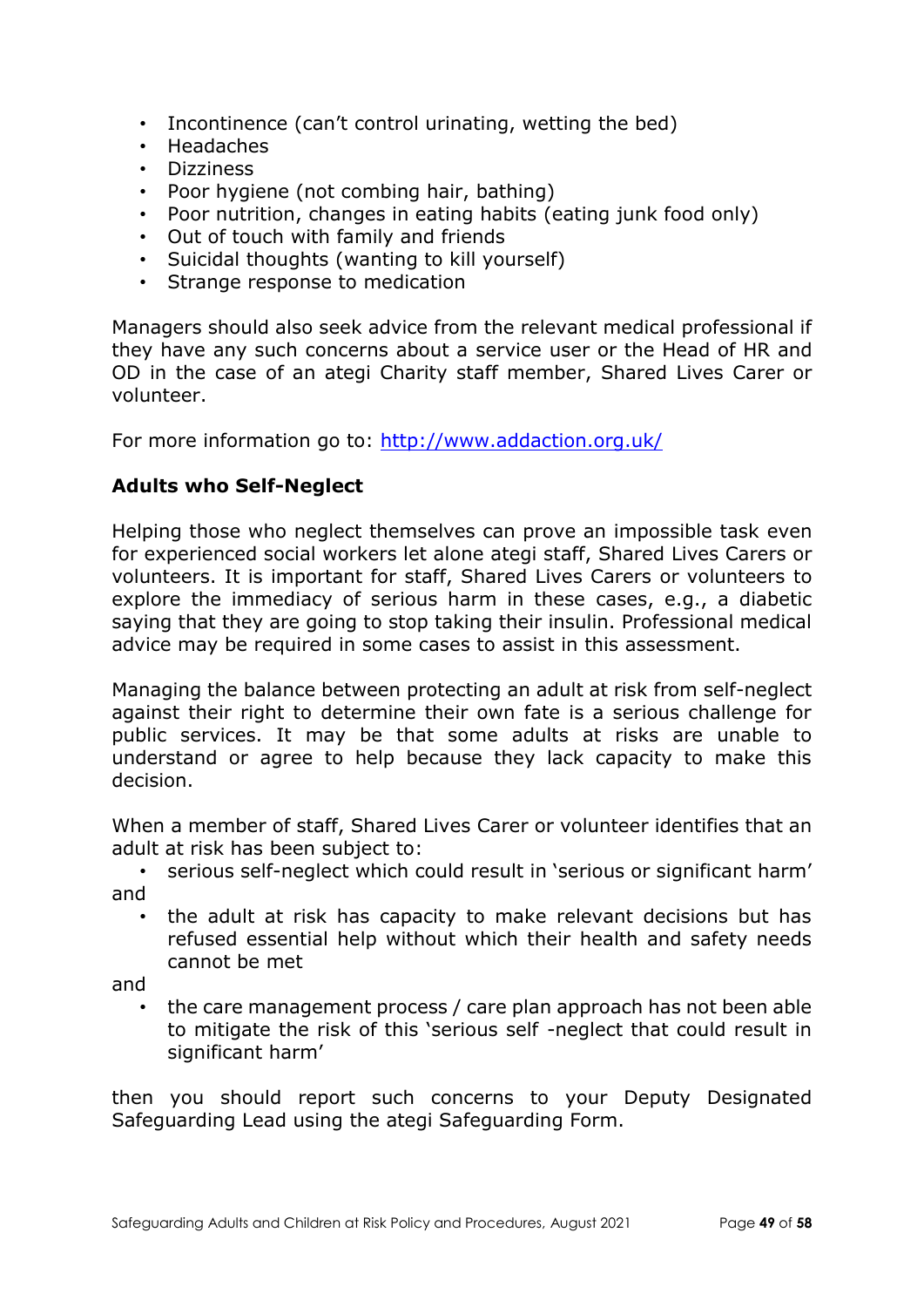- Incontinence (can't control urinating, wetting the bed)
- Headaches
- Dizziness
- Poor hygiene (not combing hair, bathing)
- Poor nutrition, changes in eating habits (eating junk food only)
- Out of touch with family and friends
- Suicidal thoughts (wanting to kill yourself)
- Strange response to medication

Managers should also seek advice from the relevant medical professional if they have any such concerns about a service user or the Head of HR and OD in the case of an ategi Charity staff member, Shared Lives Carer or volunteer.

For more information go to:<http://www.addaction.org.uk/>

## **Adults who Self-Neglect**

Helping those who neglect themselves can prove an impossible task even for experienced social workers let alone ategi staff, Shared Lives Carers or volunteers. It is important for staff, Shared Lives Carers or volunteers to explore the immediacy of serious harm in these cases, e.g., a diabetic saying that they are going to stop taking their insulin. Professional medical advice may be required in some cases to assist in this assessment.

Managing the balance between protecting an adult at risk from self-neglect against their right to determine their own fate is a serious challenge for public services. It may be that some adults at risks are unable to understand or agree to help because they lack capacity to make this decision.

When a member of staff, Shared Lives Carer or volunteer identifies that an adult at risk has been subject to:

• serious self-neglect which could result in 'serious or significant harm' and

the adult at risk has capacity to make relevant decisions but has refused essential help without which their health and safety needs cannot be met

and

• the care management process / care plan approach has not been able to mitigate the risk of this 'serious self -neglect that could result in significant harm'

then you should report such concerns to your Deputy Designated Safeguarding Lead using the ategi Safeguarding Form.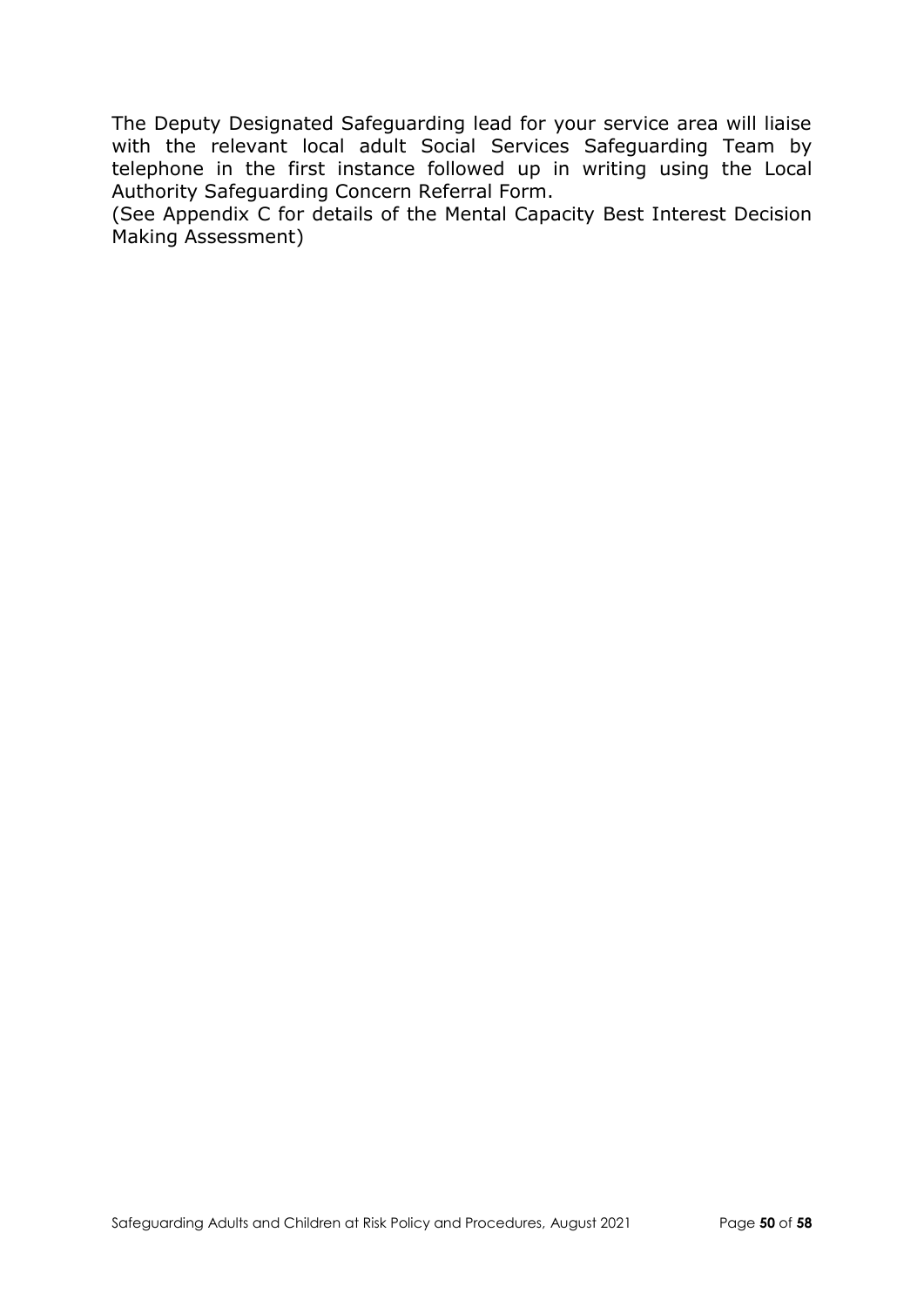The Deputy Designated Safeguarding lead for your service area will liaise with the relevant local adult Social Services Safeguarding Team by telephone in the first instance followed up in writing using the Local Authority Safeguarding Concern Referral Form.

(See Appendix C for details of the Mental Capacity Best Interest Decision Making Assessment)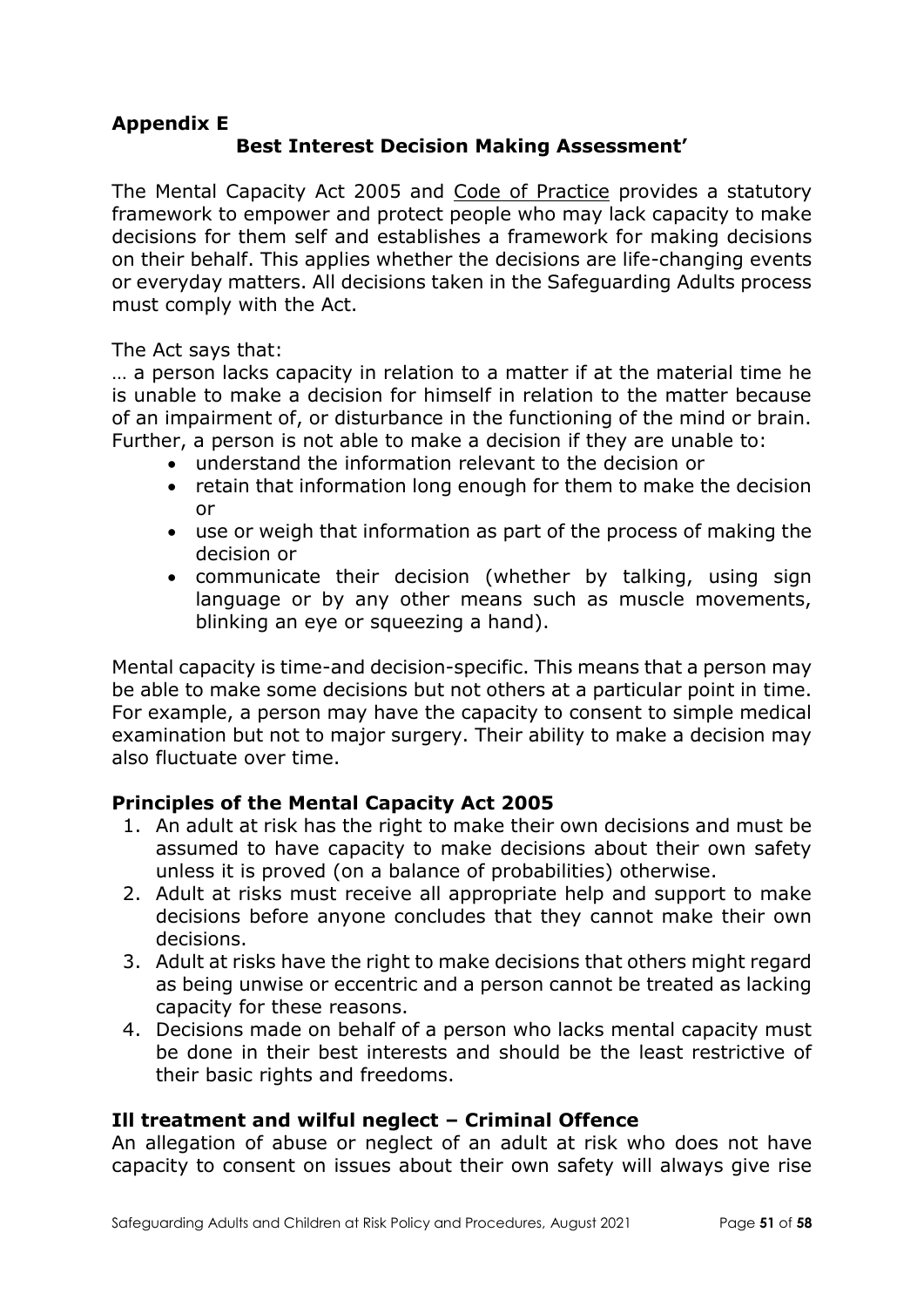### **Appendix E Best Interest Decision Making Assessment'**

The Mental Capacity Act 2005 and [Code of Practice](https://www.gov.uk/government/publications/mental-capacity-act-code-of-practice) provides a statutory framework to empower and protect people who may lack capacity to make decisions for them self and establishes a framework for making decisions on their behalf. This applies whether the decisions are life-changing events or everyday matters. All decisions taken in the Safeguarding Adults process must comply with the Act.

The Act says that:

… a person lacks capacity in relation to a matter if at the material time he is unable to make a decision for himself in relation to the matter because of an impairment of, or disturbance in the functioning of the mind or brain. Further, a person is not able to make a decision if they are unable to:

- understand the information relevant to the decision or
- retain that information long enough for them to make the decision or
- use or weigh that information as part of the process of making the decision or
- communicate their decision (whether by talking, using sign language or by any other means such as muscle movements, blinking an eye or squeezing a hand).

Mental capacity is time-and decision-specific. This means that a person may be able to make some decisions but not others at a particular point in time. For example, a person may have the capacity to consent to simple medical examination but not to major surgery. Their ability to make a decision may also fluctuate over time.

## **Principles of the Mental Capacity Act 2005**

- 1. An adult at risk has the right to make their own decisions and must be assumed to have capacity to make decisions about their own safety unless it is proved (on a balance of probabilities) otherwise.
- 2. Adult at risks must receive all appropriate help and support to make decisions before anyone concludes that they cannot make their own decisions.
- 3. Adult at risks have the right to make decisions that others might regard as being unwise or eccentric and a person cannot be treated as lacking capacity for these reasons.
- 4. Decisions made on behalf of a person who lacks mental capacity must be done in their best interests and should be the least restrictive of their basic rights and freedoms.

## **Ill treatment and wilful neglect – Criminal Offence**

An allegation of abuse or neglect of an adult at risk who does not have capacity to consent on issues about their own safety will always give rise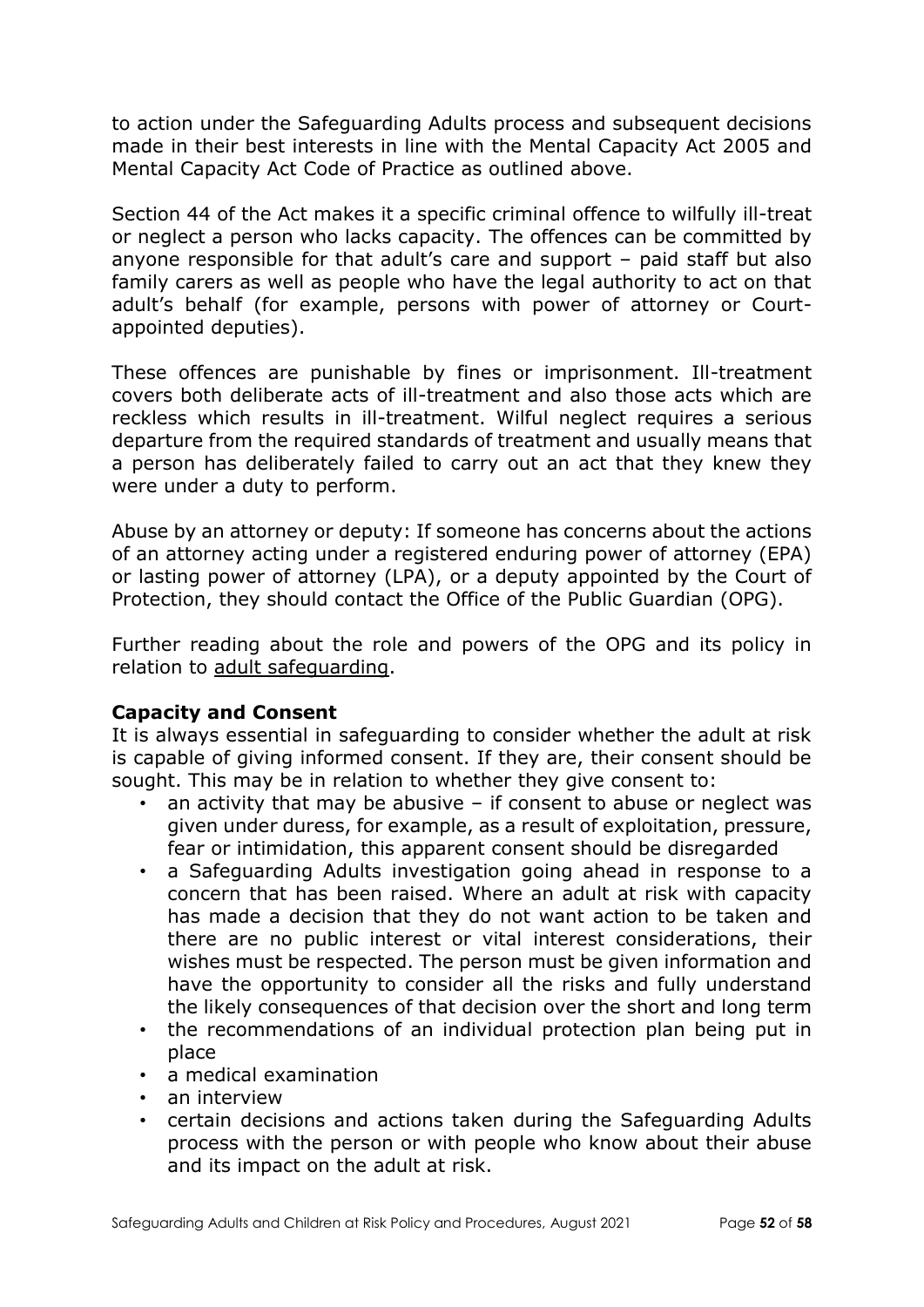to action under the Safeguarding Adults process and subsequent decisions made in their best interests in line with the Mental Capacity Act 2005 and Mental Capacity Act Code of Practice as outlined above.

Section 44 of the Act makes it a specific criminal offence to wilfully ill-treat or neglect a person who lacks capacity. The offences can be committed by anyone responsible for that adult's care and support – paid staff but also family carers as well as people who have the legal authority to act on that adult's behalf (for example, persons with power of attorney or Courtappointed deputies).

These offences are punishable by fines or imprisonment. Ill-treatment covers both deliberate acts of ill-treatment and also those acts which are reckless which results in ill-treatment. Wilful neglect requires a serious departure from the required standards of treatment and usually means that a person has deliberately failed to carry out an act that they knew they were under a duty to perform.

Abuse by an attorney or deputy: If someone has concerns about the actions of an attorney acting under a registered enduring power of attorney (EPA) or lasting power of attorney (LPA), or a deputy appointed by the Court of Protection, they should contact the Office of the Public Guardian (OPG).

Further reading about the role and powers of the OPG and its policy in relation to [adult safeguarding.](https://www.gov.uk/government/publications/safeguarding-policy-protecting-vulnerable-adults)

### **Capacity and Consent**

It is always essential in safeguarding to consider whether the adult at risk is capable of giving informed consent. If they are, their consent should be sought. This may be in relation to whether they give consent to:

- an activity that may be abusive  $-$  if consent to abuse or neglect was given under duress, for example, as a result of exploitation, pressure, fear or intimidation, this apparent consent should be disregarded
- a Safeguarding Adults investigation going ahead in response to a concern that has been raised. Where an adult at risk with capacity has made a decision that they do not want action to be taken and there are no public interest or vital interest considerations, their wishes must be respected. The person must be given information and have the opportunity to consider all the risks and fully understand the likely consequences of that decision over the short and long term
- the recommendations of an individual protection plan being put in place
- a medical examination
- an interview
- certain decisions and actions taken during the Safeguarding Adults process with the person or with people who know about their abuse and its impact on the adult at risk.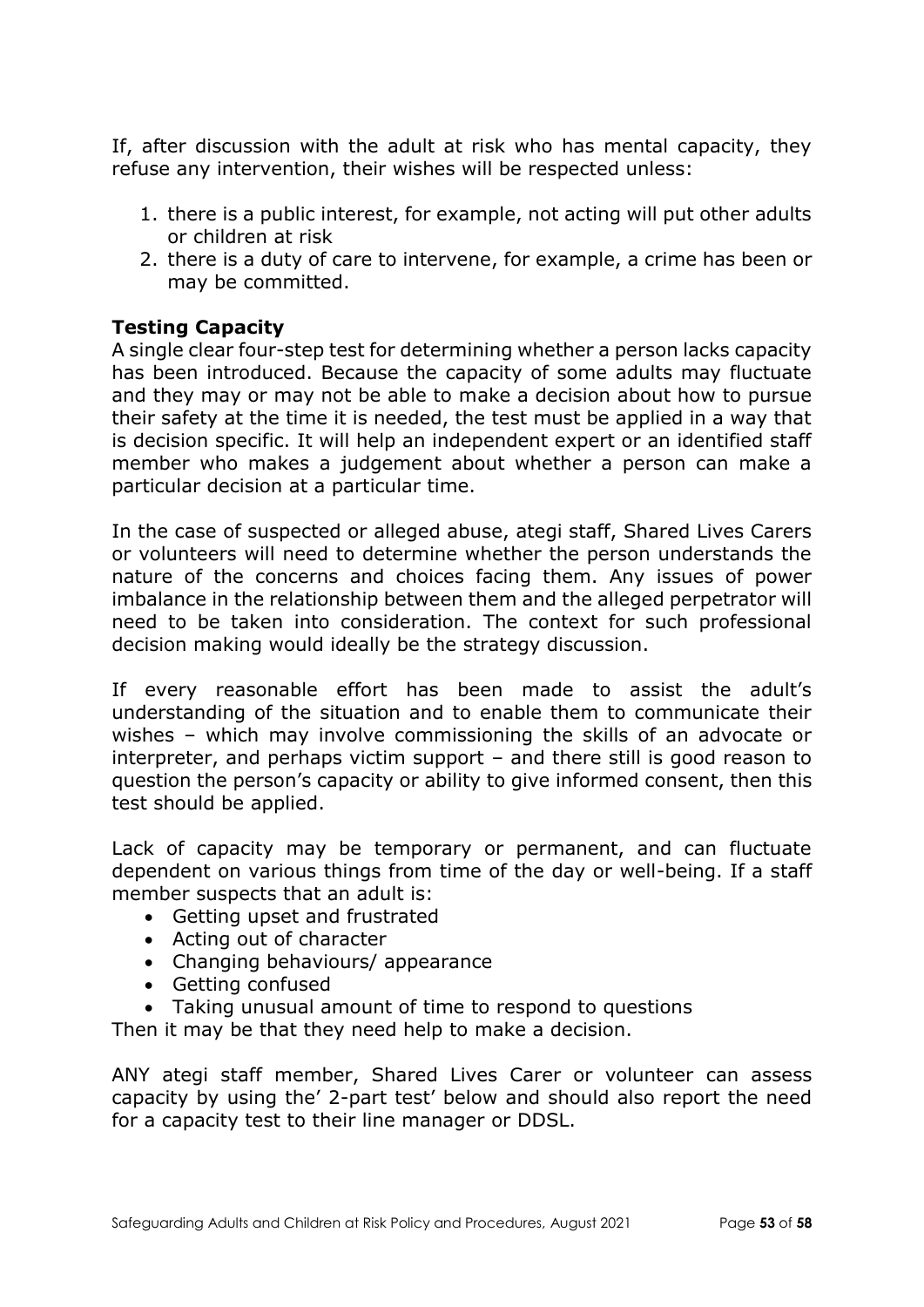If, after discussion with the adult at risk who has mental capacity, they refuse any intervention, their wishes will be respected unless:

- 1. there is a public interest, for example, not acting will put other adults or children at risk
- 2. there is a duty of care to intervene, for example, a crime has been or may be committed.

### **Testing Capacity**

A single clear four-step test for determining whether a person lacks capacity has been introduced. Because the capacity of some adults may fluctuate and they may or may not be able to make a decision about how to pursue their safety at the time it is needed, the test must be applied in a way that is decision specific. It will help an independent expert or an identified staff member who makes a judgement about whether a person can make a particular decision at a particular time.

In the case of suspected or alleged abuse, ategi staff, Shared Lives Carers or volunteers will need to determine whether the person understands the nature of the concerns and choices facing them. Any issues of power imbalance in the relationship between them and the alleged perpetrator will need to be taken into consideration. The context for such professional decision making would ideally be the strategy discussion.

If every reasonable effort has been made to assist the adult's understanding of the situation and to enable them to communicate their wishes – which may involve commissioning the skills of an advocate or interpreter, and perhaps victim support – and there still is good reason to question the person's capacity or ability to give informed consent, then this test should be applied.

Lack of capacity may be temporary or permanent, and can fluctuate dependent on various things from time of the day or well-being. If a staff member suspects that an adult is:

- Getting upset and frustrated
- Acting out of character
- Changing behaviours/ appearance
- Getting confused
- Taking unusual amount of time to respond to questions

Then it may be that they need help to make a decision.

ANY ategi staff member, Shared Lives Carer or volunteer can assess capacity by using the' 2-part test' below and should also report the need for a capacity test to their line manager or DDSL.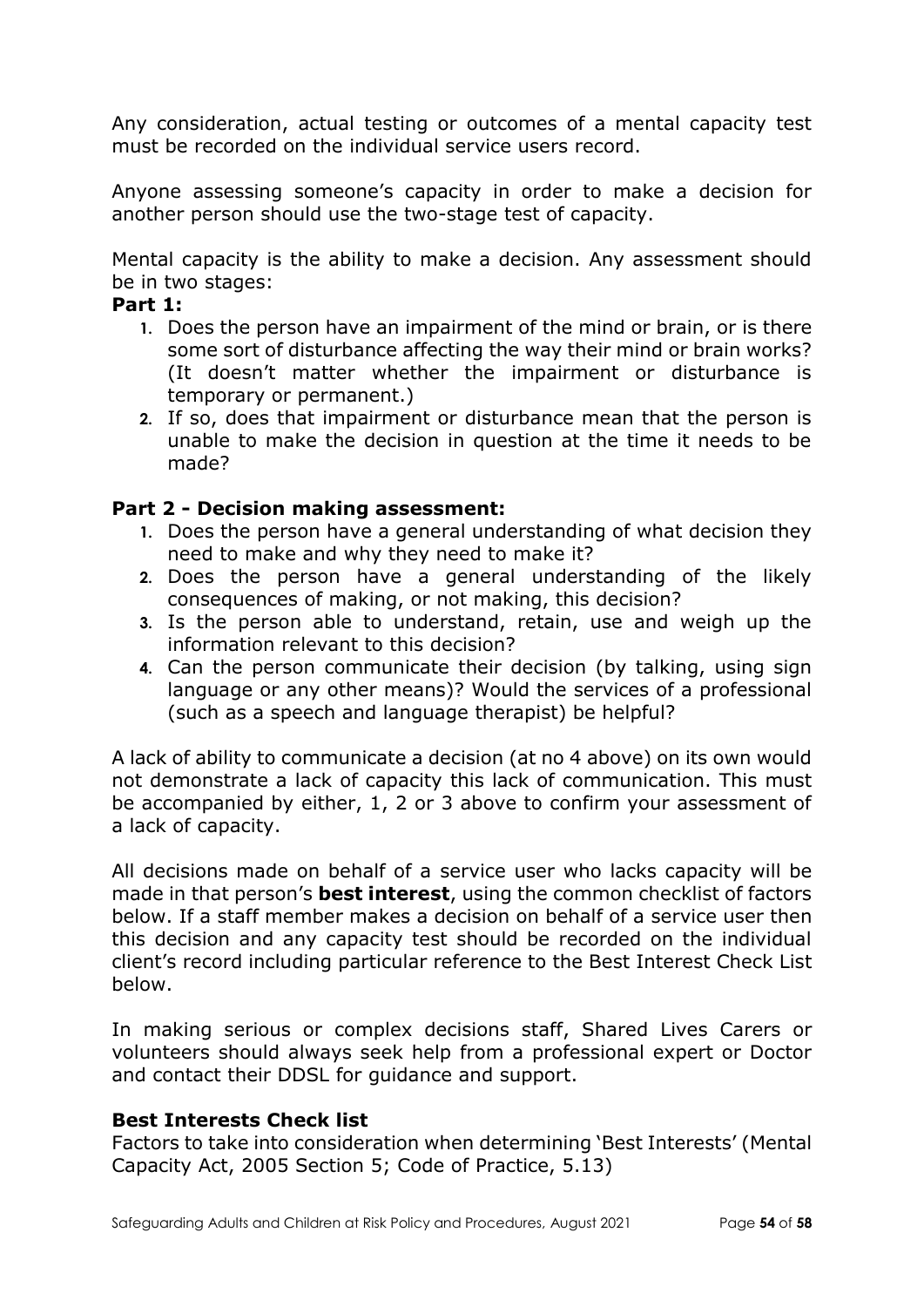Any consideration, actual testing or outcomes of a mental capacity test must be recorded on the individual service users record.

Anyone assessing someone's capacity in order to make a decision for another person should use the two-stage test of capacity.

Mental capacity is the ability to make a decision. Any assessment should be in two stages:

#### **Part 1:**

- **1.** Does the person have an impairment of the mind or brain, or is there some sort of disturbance affecting the way their mind or brain works? (It doesn't matter whether the impairment or disturbance is temporary or permanent.)
- **2.** If so, does that impairment or disturbance mean that the person is unable to make the decision in question at the time it needs to be made?

### **Part 2 - Decision making assessment:**

- **1.** Does the person have a general understanding of what decision they need to make and why they need to make it?
- **2.** Does the person have a general understanding of the likely consequences of making, or not making, this decision?
- **3.** Is the person able to understand, retain, use and weigh up the information relevant to this decision?
- **4.** Can the person communicate their decision (by talking, using sign language or any other means)? Would the services of a professional (such as a speech and language therapist) be helpful?

A lack of ability to communicate a decision (at no 4 above) on its own would not demonstrate a lack of capacity this lack of communication. This must be accompanied by either, 1, 2 or 3 above to confirm your assessment of a lack of capacity.

All decisions made on behalf of a service user who lacks capacity will be made in that person's **best interest**, using the common checklist of factors below. If a staff member makes a decision on behalf of a service user then this decision and any capacity test should be recorded on the individual client's record including particular reference to the Best Interest Check List below.

In making serious or complex decisions staff, Shared Lives Carers or volunteers should always seek help from a professional expert or Doctor and contact their DDSL for guidance and support.

#### **Best Interests Check list**

Factors to take into consideration when determining 'Best Interests' (Mental Capacity Act, 2005 Section 5; Code of Practice, 5.13)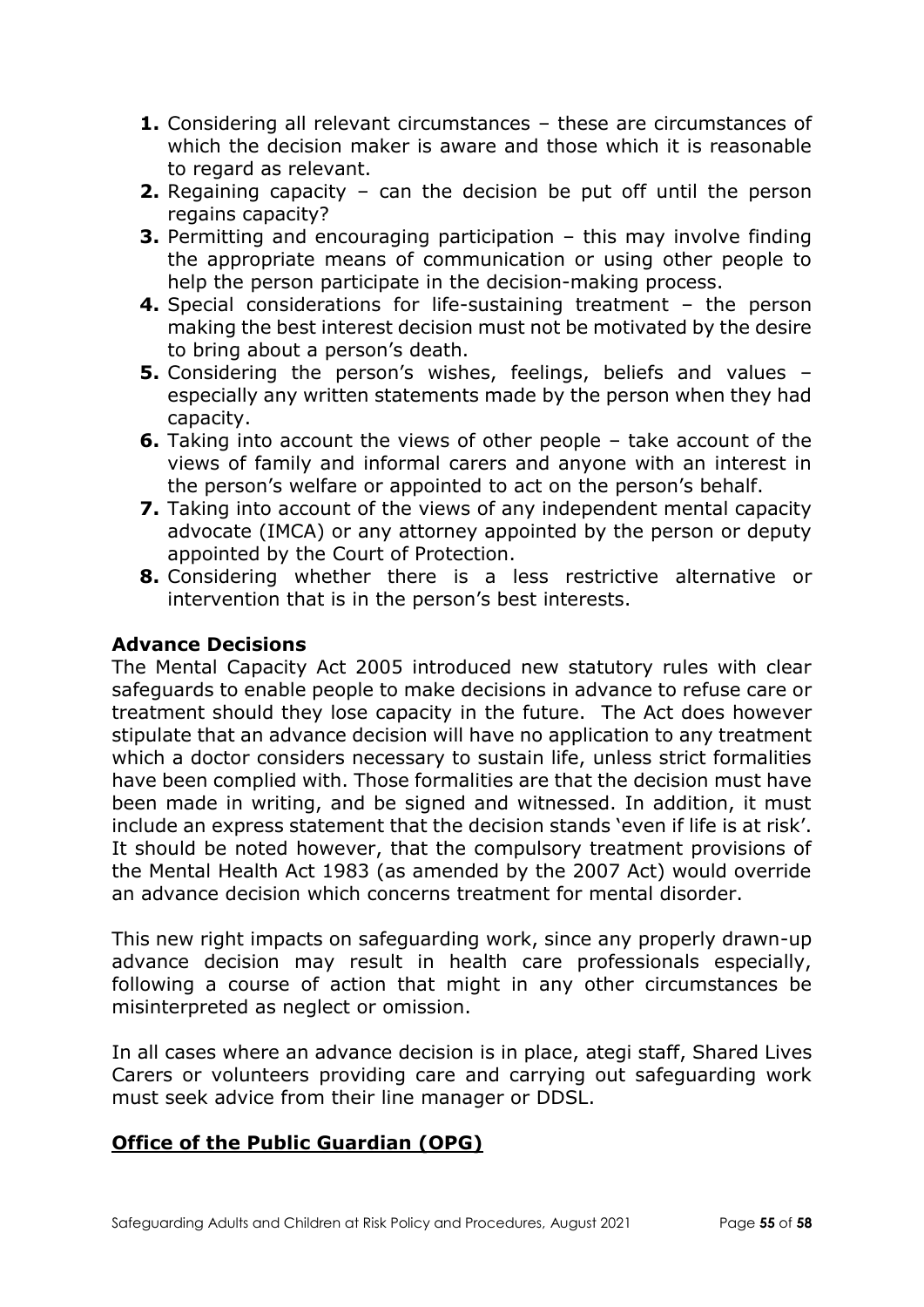- **1.** Considering all relevant circumstances these are circumstances of which the decision maker is aware and those which it is reasonable to regard as relevant.
- **2.** Regaining capacity can the decision be put off until the person regains capacity?
- **3.** Permitting and encouraging participation this may involve finding the appropriate means of communication or using other people to help the person participate in the decision-making process.
- **4.** Special considerations for life-sustaining treatment the person making the best interest decision must not be motivated by the desire to bring about a person's death.
- **5.** Considering the person's wishes, feelings, beliefs and values especially any written statements made by the person when they had capacity.
- **6.** Taking into account the views of other people take account of the views of family and informal carers and anyone with an interest in the person's welfare or appointed to act on the person's behalf.
- **7.** Taking into account of the views of any independent mental capacity advocate (IMCA) or any attorney appointed by the person or deputy appointed by the Court of Protection.
- **8.** Considering whether there is a less restrictive alternative or intervention that is in the person's best interests.

### **Advance Decisions**

The Mental Capacity Act 2005 introduced new statutory rules with clear safeguards to enable people to make decisions in advance to refuse care or treatment should they lose capacity in the future. The Act does however stipulate that an advance decision will have no application to any treatment which a doctor considers necessary to sustain life, unless strict formalities have been complied with. Those formalities are that the decision must have been made in writing, and be signed and witnessed. In addition, it must include an express statement that the decision stands 'even if life is at risk'. It should be noted however, that the compulsory treatment provisions of the Mental Health Act 1983 (as amended by the 2007 Act) would override an advance decision which concerns treatment for mental disorder.

This new right impacts on safeguarding work, since any properly drawn-up advance decision may result in health care professionals especially, following a course of action that might in any other circumstances be misinterpreted as neglect or omission.

In all cases where an advance decision is in place, ategi staff, Shared Lives Carers or volunteers providing care and carrying out safeguarding work must seek advice from their line manager or DDSL.

## **[Office of the Public Guardian \(OPG\)](https://www.gov.uk/government/organisations/office-of-the-public-guardian)**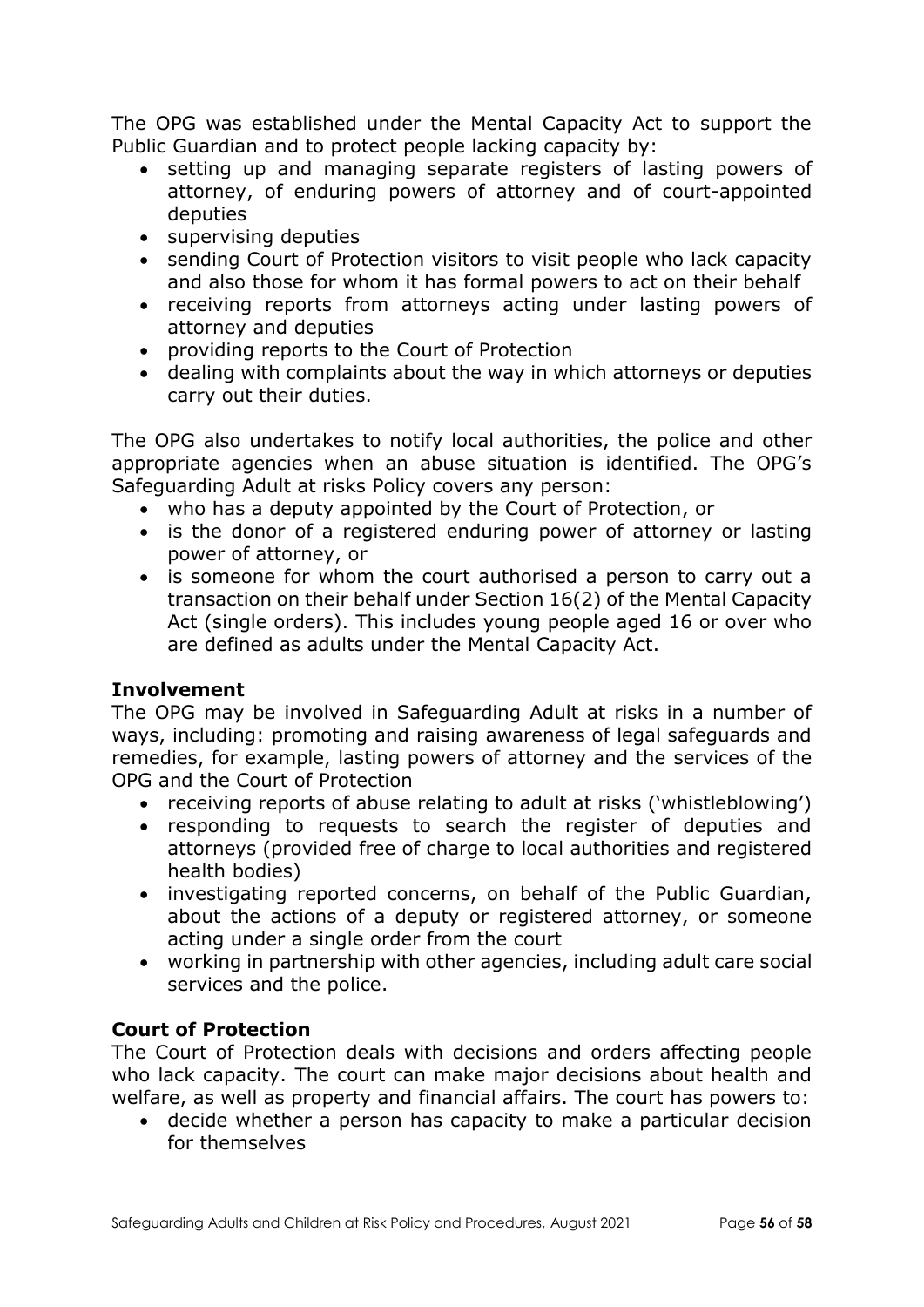The OPG was established under the Mental Capacity Act to support the Public Guardian and to protect people lacking capacity by:

- setting up and managing separate registers of lasting powers of attorney, of enduring powers of attorney and of court-appointed deputies
- supervising deputies
- sending Court of Protection visitors to visit people who lack capacity and also those for whom it has formal powers to act on their behalf
- receiving reports from attorneys acting under lasting powers of attorney and deputies
- providing reports to the Court of Protection
- dealing with complaints about the way in which attorneys or deputies carry out their duties.

The OPG also undertakes to notify local authorities, the police and other appropriate agencies when an abuse situation is identified. The OPG's Safeguarding Adult at risks Policy covers any person:

- who has a deputy appointed by the Court of Protection, or
- is the donor of a registered enduring power of attorney or lasting power of attorney, or
- is someone for whom the court authorised a person to carry out a transaction on their behalf under Section 16(2) of the Mental Capacity Act (single orders). This includes young people aged 16 or over who are defined as adults under the Mental Capacity Act.

### **Involvement**

The OPG may be involved in Safeguarding Adult at risks in a number of ways, including: promoting and raising awareness of legal safeguards and remedies, for example, lasting powers of attorney and the services of the OPG and the Court of Protection

- receiving reports of abuse relating to adult at risks ('whistleblowing')
- responding to requests to search the register of deputies and attorneys (provided free of charge to local authorities and registered health bodies)
- investigating reported concerns, on behalf of the Public Guardian, about the actions of a deputy or registered attorney, or someone acting under a single order from the court
- working in partnership with other agencies, including adult care social services and the police.

### **Court of Protection**

The Court of Protection deals with decisions and orders affecting people who lack capacity. The court can make major decisions about health and welfare, as well as property and financial affairs. The court has powers to:

 decide whether a person has capacity to make a particular decision for themselves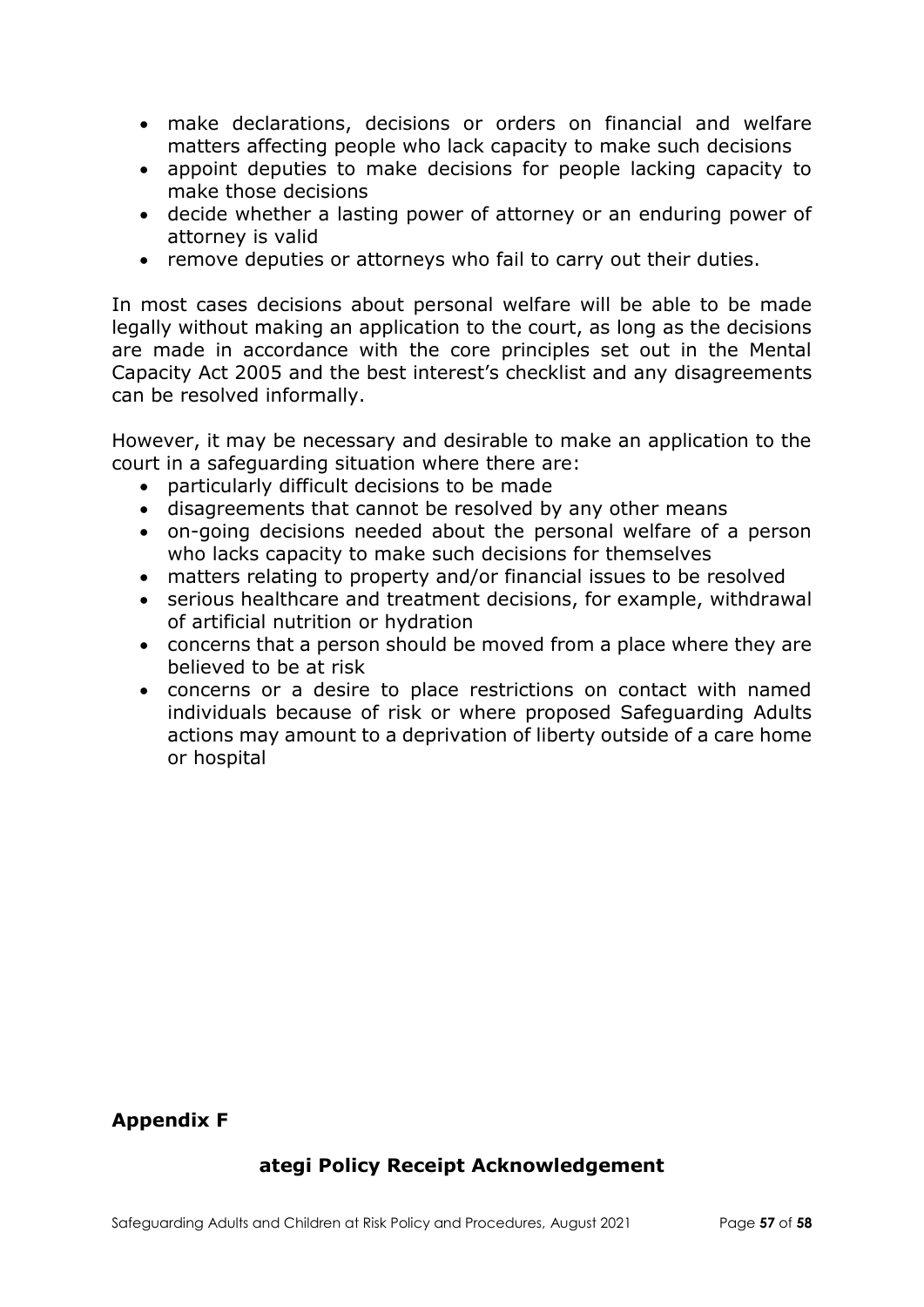- make declarations, decisions or orders on financial and welfare matters affecting people who lack capacity to make such decisions
- appoint deputies to make decisions for people lacking capacity to make those decisions
- decide whether a lasting power of attorney or an enduring power of attorney is valid
- remove deputies or attorneys who fail to carry out their duties.

In most cases decisions about personal welfare will be able to be made legally without making an application to the court, as long as the decisions are made in accordance with the core principles set out in the Mental Capacity Act 2005 and the best interest's checklist and any disagreements can be resolved informally.

However, it may be necessary and desirable to make an application to the court in a safeguarding situation where there are:

- particularly difficult decisions to be made
- disagreements that cannot be resolved by any other means
- on-going decisions needed about the personal welfare of a person who lacks capacity to make such decisions for themselves
- matters relating to property and/or financial issues to be resolved
- serious healthcare and treatment decisions, for example, withdrawal of artificial nutrition or hydration
- concerns that a person should be moved from a place where they are believed to be at risk
- concerns or a desire to place restrictions on contact with named individuals because of risk or where proposed Safeguarding Adults actions may amount to a deprivation of liberty outside of a care home or hospital

### **Appendix F**

### **ategi Policy Receipt Acknowledgement**